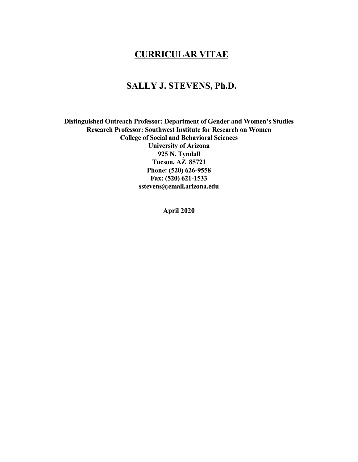# **CURRICULAR VITAE**

## **SALLY J. STEVENS, Ph.D.**

**Distinguished Outreach Professor: Department of Gender and Women's Studies Research Professor: Southwest Institute for Research on Women College of Social and Behavioral Sciences University of Arizona 925 N. Tyndall Tucson, AZ 85721 Phone: (520) 626-9558 Fax: (520) 621-1533 sstevens@email.arizona.edu**

**April 2020**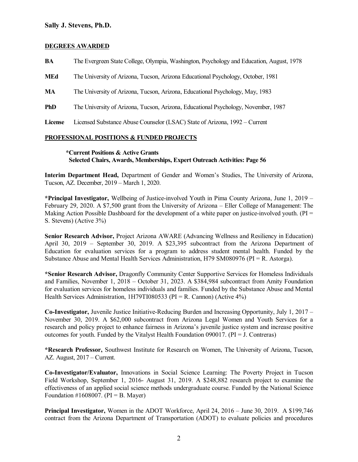#### **DEGREES AWARDED**

**BA** The Evergreen State College, Olympia, Washington, Psychology and Education, August, 1978 **MEd** The University of Arizona, Tucson, Arizona Educational Psychology, October, 1981

**MA** The University of Arizona, Tucson, Arizona, Educational Psychology, May, 1983

**PhD** The University of Arizona, Tucson, Arizona, Educational Psychology, November, 1987

**License** Licensed Substance Abuse Counselor (LSAC) State of Arizona, 1992 – Current

#### **PROFESSIONAL POSITIONS & FUNDED PROJECTS**

#### **\*Current Positions & Active Grants Selected Chairs, Awards, Memberships, Expert Outreach Activities: Page 56**

**Interim Department Head,** Department of Gender and Women's Studies, The University of Arizona, Tucson, AZ. December, 2019 – March 1, 2020.

**\*Principal Investigator,** Wellbeing of Justice-involved Youth in Pima County Arizona, June 1, 2019 – February 29, 2020. A \$7,500 grant from the University of Arizona – Eller College of Management: The Making Action Possible Dashboard for the development of a white paper on justice-involved youth. (PI = S. Stevens) (Active 3%)

**Senior Research Advisor,** Project Arizona AWARE (Advancing Wellness and Resiliency in Education) April 30, 2019 – September 30, 2019. A \$23,395 subcontract from the Arizona Department of Education for evaluation services for a program to address student mental health. Funded by the Substance Abuse and Mental Health Services Administration, H79 SM080976 ( $PI = R$ . Astorga).

**\*Senior Research Advisor,** Dragonfly Community Center Supportive Services for Homeless Individuals and Families, November 1, 2018 – October 31, 2023. A \$384,984 subcontract from Amity Foundation for evaluation services for homeless individuals and families. Funded by the Substance Abuse and Mental Health Services Administration, 1H79TI080533 ( $PI = R$ . Cannon) (Active 4%)

**Co-Investigator,** Juvenile Justice Initiative-Reducing Burden and Increasing Opportunity, July 1, 2017 – November 30, 2019. A \$62,000 subcontract from Arizona Legal Women and Youth Services for a research and policy project to enhance fairness in Arizona's juvenile justice system and increase positive outcomes for youth. Funded by the Vitalyst Health Foundation 090017. ( $PI = J$ . Contreras)

**\*Research Professor,** Southwest Institute for Research on Women, The University of Arizona, Tucson, AZ. August, 2017 – Current.

**Co-Investigator/Evaluator,** Innovations in Social Science Learning: The Poverty Project in Tucson Field Workshop, September 1, 2016- August 31, 2019. A \$248,882 research project to examine the effectiveness of an applied social science methods undergraduate course. Funded by the National Science Foundation #1608007. ( $PI = B$ . Mayer)

**Principal Investigator,** Women in the ADOT Workforce, April 24, 2016 – June 30, 2019. A \$199,746 contract from the Arizona Department of Transportation (ADOT) to evaluate policies and procedures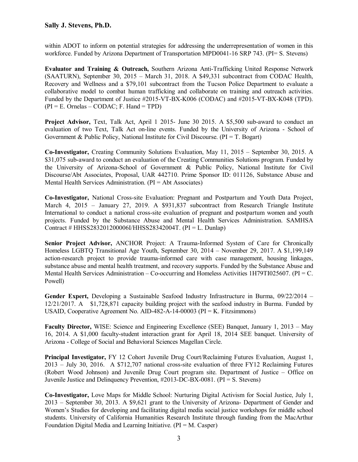within ADOT to inform on potential strategies for addressing the underrepresentation of women in this workforce. Funded by Arizona Department of Transportation MPD0041-16 SRP 743. (PI= S. Stevens)

**Evaluator and Training & Outreach,** Southern Arizona Anti-Trafficking United Response Network (SAATURN), September 30, 2015 – March 31, 2018. A \$49,331 subcontract from CODAC Health, Recovery and Wellness and a \$79,101 subcontract from the Tucson Police Department to evaluate a collaborative model to combat human trafficking and collaborate on training and outreach activities. Funded by the Department of Justice #2015-VT-BX-K006 (CODAC) and #2015-VT-BX-K048 (TPD).  $(PI = E.$  Ornelas – CODAC; F. Hand = TPD)

**Project Advisor,** Text, Talk Act, April 1 2015- June 30 2015. A \$5,500 sub-award to conduct an evaluation of two Text, Talk Act on-line events. Funded by the University of Arizona - School of Government & Public Policy, National Institute for Civil Discourse. ( $PI = T$ . Bogart)

**Co-Investigator,** Creating Community Solutions Evaluation, May 11, 2015 – September 30, 2015. A \$31,075 sub-award to conduct an evaluation of the Creating Communities Solutions program. Funded by the University of Arizona-School of Government & Public Policy, National Institute for Civil Discourse/Abt Associates, Proposal, UAR 442710. Prime Sponsor ID: 011126, Substance Abuse and Mental Health Services Administration.  $(PI = Abt$  Associates)

**Co-Investigator,** National Cross-site Evaluation: Pregnant and Postpartum and Youth Data Project, March 4, 2015 – January 27, 2019. A \$931,837 subcontract from Research Triangle Institute International to conduct a national cross-site evaluation of pregnant and postpartum women and youth projects. Funded by the Substance Abuse and Mental Health Services Administration. SAMHSA Contract # HHSS283201200006I/HHSS28342004T. (PI = L. Dunlap)

**Senior Project Advisor,** ANCHOR Project: A Trauma-Informed System of Care for Chronically Homeless LGBTQ Transitional Age Youth, September 30, 2014 – November 29, 2017. A \$1,199,149 action-research project to provide trauma-informed care with case management, housing linkages, substance abuse and mental health treatment, and recovery supports. Funded by the Substance Abuse and Mental Health Services Administration – Co-occurring and Homeless Activities 1H79TI025607. ( $PI = C$ . Powell)

**Gender Expert,** Developing a Sustainable Seafood Industry Infrastructure in Burma, 09/22/2014 – 12/21/2017. A \$1,728,871 capacity building project with the seafood industry in Burma. Funded by USAID, Cooperative Agreement No. AID-482-A-14-00003 (PI = K. Fitzsimmons)

**Faculty Director,** WISE: Science and Engineering Excellence (SEE) Banquet, January 1, 2013 – May 16, 2014. A \$1,000 faculty-student interaction grant for April 18, 2014 SEE banquet. University of Arizona - College of Social and Behavioral Sciences Magellan Circle.

**Principal Investigator,** FY 12 Cohort Juvenile Drug Court/Reclaiming Futures Evaluation, August 1, 2013 – July 30, 2016. A \$712,707 national cross-site evaluation of three FY12 Reclaiming Futures (Robert Wood Johnson) and Juvenile Drug Court program site. Department of Justice – Office on Juvenile Justice and Delinquency Prevention, #2013-DC-BX-0081. (PI = S. Stevens)

**Co-Investigator,** Love Maps for Middle School: Nurturing Digital Activism for Social Justice, July 1, 2013 – September 30, 2013. A \$9,621 grant to the University of Arizona- Department of Gender and Women's Studies for developing and facilitating digital media social justice workshops for middle school students. University of California Humanities Research Institute through funding from the MacArthur Foundation Digital Media and Learning Initiative.  $(PI = M. \text{ Casper})$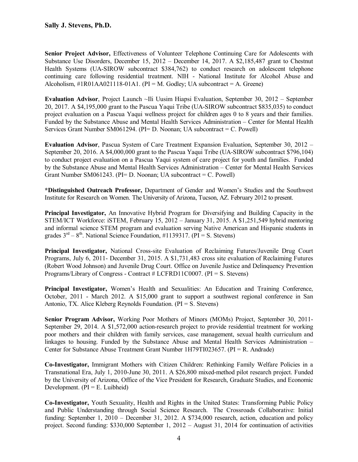**Senior Project Advisor,** Effectiveness of Volunteer Telephone Continuing Care for Adolescents with Substance Use Disorders, December 15, 2012 – December 14, 2017. A \$2,185,487 grant to Chestnut Health Systems (UA-SIROW subcontract \$384,762) to conduct research on adolescent telephone continuing care following residential treatment. NIH - National Institute for Alcohol Abuse and Alcoholism,  $\#1R01A4021118-01A1$ . (PI = M. Godley; UA subcontract = A. Greene)

**Evaluation Advisor**, Project Launch ~Ili Uusim Hiapsi Evaluation, September 30, 2012 – September 20, 2017. A \$4,195,000 grant to the Pascua Yaqui Tribe (UA-SIROW subcontract \$835,035) to conduct project evaluation on a Pascua Yaqui wellness project for children ages 0 to 8 years and their families. Funded by the Substance Abuse and Mental Health Services Administration – Center for Mental Health Services Grant Number SM061294. (PI= D. Noonan; UA subcontract = C. Powell)

**Evaluation Advisor**, Pascua System of Care Treatment Expansion Evaluation, September 30, 2012 – September 20, 2016. A \$4,000,000 grant to the Pascua Yaqui Tribe (UA-SIROW subcontract \$796,104) to conduct project evaluation on a Pascua Yaqui system of care project for youth and families. Funded by the Substance Abuse and Mental Health Services Administration – Center for Mental Health Services Grant Number SM061243. (PI= D. Noonan; UA subcontract = C. Powell)

**\*Distinguished Outreach Professor,** Department of Gender and Women's Studies and the Southwest Institute for Research on Women. The University of Arizona, Tucson, AZ. February 2012 to present.

**Principal Investigator,** An Innovative Hybrid Program for Diversifying and Building Capacity in the STEM/ICT Workforce: iSTEM, February 15, 2012 – January 31, 2015. A \$1,251,549 hybrid mentoring and informal science STEM program and evaluation serving Native American and Hispanic students in grades  $3<sup>rd</sup> - 8<sup>th</sup>$ . National Science Foundation, #1139317. (PI = S. Stevens)

**Principal Investigator,** National Cross-site Evaluation of Reclaiming Futures/Juvenile Drug Court Programs, July 6, 2011- December 31, 2015. A \$1,731,483 cross site evaluation of Reclaiming Futures (Robert Wood Johnson) and Juvenile Drug Court. Office on Juvenile Justice and Delinquency Prevention Programs/Library of Congress - Contract # LCFRD11C0007. (PI = S. Stevens)

**Principal Investigator,** Women's Health and Sexualities: An Education and Training Conference, October, 2011 - March 2012. A \$15,000 grant to support a southwest regional conference in San Antonio, TX. Alice Kleberg Reynolds Foundation.  $(PI = S$ . Stevens)

**Senior Program Advisor,** Working Poor Mothers of Minors (MOMs) Project, September 30, 2011- September 29, 2014. A \$1,572,000 action-research project to provide residential treatment for working poor mothers and their children with family services, case management, sexual health curriculum and linkages to housing. Funded by the Substance Abuse and Mental Health Services Administration – Center for Substance Abuse Treatment Grant Number 1H79TI023657. (PI = R. Andrade)

**Co-Investigator,** Immigrant Mothers with Citizen Children: Rethinking Family Welfare Policies in a Transnational Era, July 1, 2010-June 30, 2011. A \$26,800 mixed-method pilot research project. Funded by the University of Arizona, Office of the Vice President for Research, Graduate Studies, and Economic Development.  $(PI = E$ . Luibheid)

**Co-Investigator,** Youth Sexuality, Health and Rights in the United States: Transforming Public Policy and Public Understanding through Social Science Research. The Crossroads Collaborative: Initial funding: September 1, 2010 – December 31, 2012. A \$734,000 research, action, education and policy project. Second funding: \$330,000 September 1, 2012 – August 31, 2014 for continuation of activities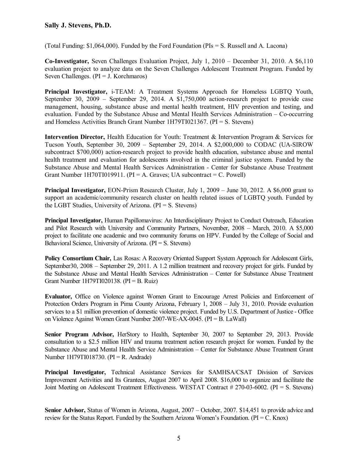(Total Funding: \$1,064,000). Funded by the Ford Foundation (PIs = S. Russell and A. Lacona)

**Co-Investigator,** Seven Challenges Evaluation Project, July 1, 2010 – December 31, 2010. A \$6,110 evaluation project to analyze data on the Seven Challenges Adolescent Treatment Program. Funded by Seven Challenges.  $(PI = J. Korchmaros)$ 

**Principal Investigator,** i-TEAM: A Treatment Systems Approach for Homeless LGBTQ Youth, September 30, 2009 – September 29, 2014. A \$1,750,000 action-research project to provide case management, housing, substance abuse and mental health treatment, HIV prevention and testing, and evaluation. Funded by the Substance Abuse and Mental Health Services Administration – Co-occurring and Homeless Activities Branch Grant Number 1H79TI021367. (PI = S. Stevens)

**Intervention Director,** Health Education for Youth: Treatment & Intervention Program & Services for Tucson Youth, September 30, 2009 – September 29, 2014. A \$2,000,000 to CODAC (UA-SIROW subcontract \$700,000) action-research project to provide health education, substance abuse and mental health treatment and evaluation for adolescents involved in the criminal justice system. Funded by the Substance Abuse and Mental Health Services Administration - Center for Substance Abuse Treatment Grant Number 1H70TI019911. ( $PI = A$ . Graves; UA subcontract = C. Powell)

**Principal Investigator,** EON-Prism Research Cluster, July 1, 2009 – June 30, 2012. A \$6,000 grant to support an academic/community research cluster on health related issues of LGBTQ youth. Funded by the LGBT Studies, University of Arizona. (PI = S. Stevens)

**Principal Investigator,** Human Papillomavirus: An Interdisciplinary Project to Conduct Outreach, Education and Pilot Research with University and Community Partners, November, 2008 – March, 2010. A \$5,000 project to facilitate one academic and two community forums on HPV. Funded by the College of Social and Behavioral Science, University of Arizona. (PI = S. Stevens)

**Policy Consortium Chair,** Las Rosas: A Recovery Oriented Support System Approach for Adolescent Girls, September30, 2008 – September 29, 2011. A 1.2 million treatment and recovery project for girls. Funded by the Substance Abuse and Mental Health Services Administration – Center for Substance Abuse Treatment Grant Number 1H79TI020138. (PI = B. Ruiz)

**Evaluator,** Office on Violence against Women Grant to Encourage Arrest Policies and Enforcement of Protection Orders Program in Pima County Arizona, February 1, 2008 – July 31, 2010. Provide evaluation services to a \$1 million prevention of domestic violence project. Funded by U.S. Department of Justice - Office on Violence Against Women Grant Number 2007-WE-AX-0045. (PI = B. LaWall)

**Senior Program Advisor,** HerStory to Health, September 30, 2007 to September 29, 2013. Provide consultation to a \$2.5 million HIV and trauma treatment action research project for women. Funded by the Substance Abuse and Mental Health Service Administration – Center for Substance Abuse Treatment Grant Number 1H79TI018730. (PI = R. Andrade)

**Principal Investigator,** Technical Assistance Services for SAMHSA/CSAT Division of Services Improvement Activities and Its Grantees, August 2007 to April 2008. \$16,000 to organize and facilitate the Joint Meeting on Adolescent Treatment Effectiveness. WESTAT Contract # 270-03-6002. (PI = S. Stevens)

**Senior Advisor,** Status of Women in Arizona, August, 2007 – October, 2007. \$14,451 to provide advice and review for the Status Report. Funded by the Southern Arizona Women's Foundation. (PI = C. Knox)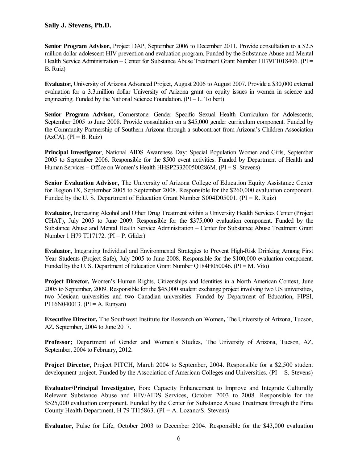**Senior Program Advisor,** Project DAP, September 2006 to December 2011. Provide consultation to a \$2.5 million dollar adolescent HIV prevention and evaluation program. Funded by the Substance Abuse and Mental Health Service Administration – Center for Substance Abuse Treatment Grant Number 1H79T1018406. (PI = B. Ruiz)

**Evaluator,** University of Arizona Advanced Project, August 2006 to August 2007. Provide a \$30,000 external evaluation for a 3.3.million dollar University of Arizona grant on equity issues in women in science and engineering. Funded by the National Science Foundation.  $(PI - L. Tolbert)$ 

**Senior Program Advisor,** Cornerstone: Gender Specific Sexual Health Curriculum for Adolescents, September 2005 to June 2008. Provide consultation on a \$45,000 gender curriculum component. Funded by the Community Partnership of Southern Arizona through a subcontract from Arizona's Children Association  $(AzCA)$ . (PI = B. Ruiz)

**Principal Investigator**, National AIDS Awareness Day: Special Population Women and Girls, September 2005 to September 2006. Responsible for the \$500 event activities. Funded by Department of Health and Human Services – Office on Women's Health HHSP233200500286M. (PI = S. Stevens)

**Senior Evaluation Advisor,** The University of Arizona College of Education Equity Assistance Center for Region IX, September 2005 to September 2008. Responsible for the \$260,000 evaluation component. Funded by the U. S. Department of Education Grant Number  $S004D05001$ . (PI = R. Ruiz)

**Evaluator,** Increasing Alcohol and Other Drug Treatment within a University Health Services Center (Project CHAT), July 2005 to June 2009. Responsible for the \$375,000 evaluation component. Funded by the Substance Abuse and Mental Health Service Administration – Center for Substance Abuse Treatment Grant Number 1 H79 TI17172. (PI = P. Glider)

**Evaluator,** Integrating Individual and Environmental Strategies to Prevent High-Risk Drinking Among First Year Students (Project Safe), July 2005 to June 2008. Responsible for the \$100,000 evaluation component. Funded by the U. S. Department of Education Grant Number Q184H050046. (PI = M. Vito)

**Project Director,** Women's Human Rights, Citizenships and Identities in a North American Context, June 2005 to September, 2009. Responsible for the \$45,000 student exchange project involving two US universities, two Mexican universities and two Canadian universities. Funded by Department of Education, FIPSI, P116N040013. (PI = A. Runyan)

**Executive Director,** The Southwest Institute for Research on Women**,** The University of Arizona, Tucson, AZ. September, 2004 to June 2017.

**Professor;** Department of Gender and Women's Studies, The University of Arizona, Tucson, AZ. September, 2004 to February, 2012.

**Project Director,** Project PITCH, March 2004 to September, 2004. Responsible for a \$2,500 student development project. Funded by the Association of American Colleges and Universities.  $(PI = S$ . Stevens)

**Evaluator/Principal Investigator,** Eon: Capacity Enhancement to Improve and Integrate Culturally Relevant Substance Abuse and HIV/AIDS Services, October 2003 to 2008. Responsible for the \$525,000 evaluation component. Funded by the Center for Substance Abuse Treatment through the Pima County Health Department, H 79 TI15863. (PI = A. Lozano/S. Stevens)

**Evaluator,** Pulse for Life, October 2003 to December 2004. Responsible for the \$43,000 evaluation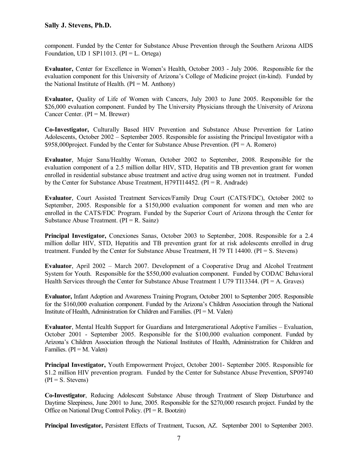component. Funded by the Center for Substance Abuse Prevention through the Southern Arizona AIDS Foundation, UD 1 SP11013. ( $PI = L$ . Ortega)

**Evaluator,** Center for Excellence in Women's Health, October 2003 - July 2006. Responsible for the evaluation component for this University of Arizona's College of Medicine project (in-kind). Funded by the National Institute of Health.  $(PI = M.$  Anthony)

**Evaluator,** Quality of Life of Women with Cancers, July 2003 to June 2005. Responsible for the \$26,000 evaluation component. Funded by The University Physicians through the University of Arizona Cancer Center.  $(PI = M. Brewer)$ 

**Co-Investigator,** Culturally Based HIV Prevention and Substance Abuse Prevention for Latino Adolescents, October 2002 – September 2005. Responsible for assisting the Principal Investigator with a  $$958,000$ project. Funded by the Center for Substance Abuse Prevention. (PI = A. Romero)

**Evaluator**, Mujer Sana/Healthy Woman, October 2002 to September, 2008. Responsible for the evaluation component of a 2.5 million dollar HIV, STD, Hepatitis and TB prevention grant for women enrolled in residential substance abuse treatment and active drug using women not in treatment. Funded by the Center for Substance Abuse Treatment, H79TI14452. (PI = R. Andrade)

**Evaluator**, Court Assisted Treatment Services/Family Drug Court (CATS/FDC), October 2002 to September, 2005. Responsible for a \$150,000 evaluation component for women and men who are enrolled in the CATS/FDC Program. Funded by the Superior Court of Arizona through the Center for Substance Abuse Treatment.  $(PI = R. Sainz)$ 

**Principal Investigator,** Conexiones Sanas, October 2003 to September, 2008. Responsible for a 2.4 million dollar HIV, STD, Hepatitis and TB prevention grant for at risk adolescents enrolled in drug treatment. Funded by the Center for Substance Abuse Treatment, H 79 TI 14400. (PI = S. Stevens)

**Evaluator**, April 2002 – March 2007. Development of a Cooperative Drug and Alcohol Treatment System for Youth. Responsible for the \$550,000 evaluation component. Funded by CODAC Behavioral Health Services through the Center for Substance Abuse Treatment 1 U79 TI13344. ( $PI = A$ . Graves)

**Evaluator,** Infant Adoption and Awareness Training Program, October 2001 to September 2005. Responsible for the \$160,000 evaluation component. Funded by the Arizona's Children Association through the National Institute of Health, Administration for Children and Families.  $(PI = M.$  Valen)

**Evaluator**, Mental Health Support for Guardians and Intergenerational Adoptive Families – Evaluation, October 2001 - September 2005. Responsible for the \$100,000 evaluation component. Funded by Arizona's Children Association through the National Institutes of Health, Administration for Children and Families. ( $PI = M$ . Valen)

**Principal Investigator,** Youth Empowerment Project, October 2001- September 2005. Responsible for \$1.2 million HIV prevention program. Funded by the Center for Substance Abuse Prevention, SP09740  $(PI = S. Stevens)$ 

**Co-Investigator**, Reducing Adolescent Substance Abuse through Treatment of Sleep Disturbance and Daytime Sleepiness, June 2001 to June, 2005. Responsible for the \$270,000 research project. Funded by the Office on National Drug Control Policy. (PI = R. Bootzin)

**Principal Investigator,** Persistent Effects of Treatment, Tucson, AZ. September 2001 to September 2003.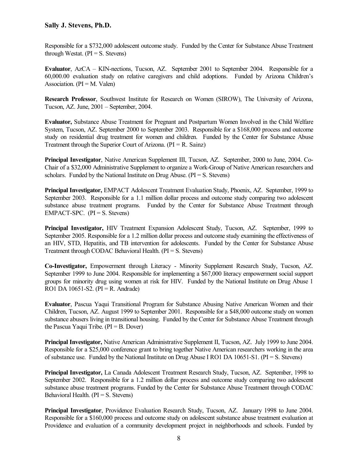Responsible for a \$732,000 adolescent outcome study. Funded by the Center for Substance Abuse Treatment through Westat.  $(PI = S$ . Stevens)

**Evaluator**, AzCA – KIN-nections, Tucson, AZ. September 2001 to September 2004. Responsible for a 60,000.00 evaluation study on relative caregivers and child adoptions. Funded by Arizona Children's Association. ( $PI = M$ . Valen)

**Research Professor**, Southwest Institute for Research on Women (SIROW), The University of Arizona, Tucson, AZ. June, 2001 – September, 2004.

**Evaluator,** Substance Abuse Treatment for Pregnant and Postpartum Women Involved in the Child Welfare System, Tucson, AZ. September 2000 to September 2003. Responsible for a \$168,000 process and outcome study on residential drug treatment for women and children. Funded by the Center for Substance Abuse Treatment through the Superior Court of Arizona.  $(PI = R. Sainz)$ 

**Principal Investigator**, Native American Supplement III, Tucson, AZ. September, 2000 to June, 2004. Co-Chair of a \$32,000 Administrative Supplement to organize a Work-Group of Native American researchers and scholars. Funded by the National Institute on Drug Abuse.  $(PI = S$ . Stevens)

**Principal Investigator,** EMPACT Adolescent Treatment Evaluation Study, Phoenix, AZ. September, 1999 to September 2003. Responsible for a 1.1 million dollar process and outcome study comparing two adolescent substance abuse treatment programs. Funded by the Center for Substance Abuse Treatment through EMPACT-SPC.  $(PI = S.$  Stevens)

**Principal Investigator,** HIV Treatment Expansion Adolescent Study, Tucson, AZ. September, 1999 to September 2005. Responsible for a 1.2 million dollar process and outcome study examining the effectiveness of an HIV, STD, Hepatitis, and TB intervention for adolescents. Funded by the Center for Substance Abuse Treatment through CODAC Behavioral Health. (PI = S. Stevens)

**Co-Investigator,** Empowerment through Literacy - Minority Supplement Research Study, Tucson, AZ. September 1999 to June 2004. Responsible for implementing a \$67,000 literacy empowerment social support groups for minority drug using women at risk for HIV. Funded by the National Institute on Drug Abuse 1 RO1 DA 10651-S2. ( $PI = R$ . Andrade)

**Evaluator**, Pascua Yaqui Transitional Program for Substance Abusing Native American Women and their Children, Tucson, AZ. August 1999 to September 2001. Responsible for a \$48,000 outcome study on women substance abusers living in transitional housing. Funded by the Center for Substance Abuse Treatment through the Pascua Yaqui Tribe.  $(PI = B. Dover)$ 

**Principal Investigator,** Native American Administrative Supplement II, Tucson, AZ. July 1999 to June 2004. Responsible for a \$25,000 conference grant to bring together Native American researchers working in the area of substance use. Funded by the National Institute on Drug Abuse I RO1 DA 10651-S1. (PI = S. Stevens)

**Principal Investigator,** La Canada Adolescent Treatment Research Study, Tucson, AZ. September, 1998 to September 2002. Responsible for a 1.2 million dollar process and outcome study comparing two adolescent substance abuse treatment programs. Funded by the Center for Substance Abuse Treatment through CODAC Behavioral Health.  $(PI = S.$  Stevens)

**Principal Investigator**, Providence Evaluation Research Study, Tucson, AZ. January 1998 to June 2004. Responsible for a \$160,000 process and outcome study on adolescent substance abuse treatment evaluation at Providence and evaluation of a community development project in neighborhoods and schools. Funded by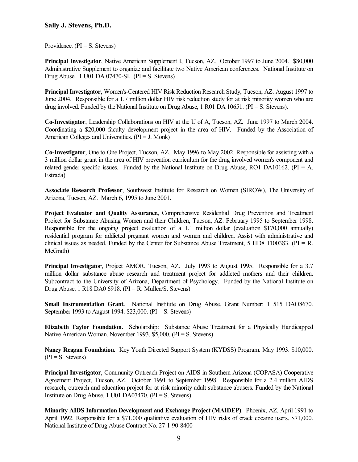Providence.  $(PI = S.$  Stevens)

**Principal Investigator**, Native American Supplement I, Tucson, AZ. October 1997 to June 2004. \$80,000 Administrative Supplement to organize and facilitate two Native American conferences. National Institute on Drug Abuse. 1 U01 DA 07470-SI.  $(PI = S.$  Stevens)

**Principal Investigator**, Women's-Centered HIV Risk Reduction Research Study, Tucson, AZ. August 1997 to June 2004. Responsible for a 1.7 million dollar HIV risk reduction study for at risk minority women who are drug involved. Funded by the National Institute on Drug Abuse, 1 R01 DA 10651. (PI = S. Stevens).

**Co-Investigator**, Leadership Collaborations on HIV at the U of A, Tucson, AZ. June 1997 to March 2004. Coordinating a \$20,000 faculty development project in the area of HIV. Funded by the Association of American Colleges and Universities. (PI = J. Monk)

**Co-Investigator**, One to One Project, Tucson, AZ. May 1996 to May 2002. Responsible for assisting with a 3 million dollar grant in the area of HIV prevention curriculum for the drug involved women's component and related gender specific issues. Funded by the National Institute on Drug Abuse, RO1 DA10162. ( $PI = A$ . Estrada)

**Associate Research Professor**, Southwest Institute for Research on Women (SIROW), The University of Arizona, Tucson, AZ. March 6, 1995 to June 2001.

**Project Evaluator and Quality Assurance,** Comprehensive Residential Drug Prevention and Treatment Project for Substance Abusing Women and their Children, Tucson, AZ. February 1995 to September 1998. Responsible for the ongoing project evaluation of a 1.1 million dollar (evaluation \$170,000 annually) residential program for addicted pregnant women and women and children. Assist with administrative and clinical issues as needed. Funded by the Center for Substance Abuse Treatment, 5 HD8 TI00383. ( $PI = R$ . McGrath)

**Principal Investigator**, Project AMOR, Tucson, AZ. July 1993 to August 1995. Responsible for a 3.7 million dollar substance abuse research and treatment project for addicted mothers and their children. Subcontract to the University of Arizona, Department of Psychology. Funded by the National Institute on Drug Abuse, 1 R18 DA0 6918. ( $PI = R$ . Mullen/S. Stevens)

**Small Instrumentation Grant.** National Institute on Drug Abuse. Grant Number: 1 515 DAO8670. September 1993 to August 1994. \$23,000. (PI = S. Stevens)

**Elizabeth Taylor Foundation.** Scholarship: Substance Abuse Treatment for a Physically Handicapped Native American Woman. November 1993. \$5,000. (PI = S. Stevens)

**Nancy Reagan Foundation.** Key Youth Directed Support System (KYDSS) Program. May 1993. \$10,000.  $(PI = S. Stevens)$ 

**Principal Investigator**, Community Outreach Project on AIDS in Southern Arizona (COPASA) Cooperative Agreement Project, Tucson, AZ. October 1991 to September 1998. Responsible for a 2.4 million AIDS research, outreach and education project for at risk minority adult substance abusers. Funded by the National Institute on Drug Abuse, 1 U01 DA07470.  $(PI = S.$  Stevens)

**Minority AIDS Information Development and Exchange Project (MAIDEP)**. Phoenix, AZ. April 1991 to April 1992. Responsible for a \$71,000 qualitative evaluation of HIV risks of crack cocaine users. \$71,000. National Institute of Drug Abuse Contract No. 27-1-90-8400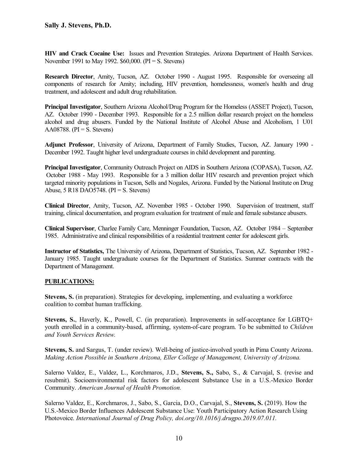**HIV and Crack Cocaine Use:** Issues and Prevention Strategies. Arizona Department of Health Services. November 1991 to May 1992. \$60,000. (PI = S. Stevens)

**Research Director**, Amity, Tucson, AZ. October 1990 - August 1995. Responsible for overseeing all components of research for Amity; including, HIV prevention, homelessness, women's health and drug treatment, and adolescent and adult drug rehabilitation.

**Principal Investigator**, Southern Arizona Alcohol/Drug Program for the Homeless (ASSET Project), Tucson, AZ. October 1990 - December 1993. Responsible for a 2.5 million dollar research project on the homeless alcohol and drug abusers. Funded by the National Institute of Alcohol Abuse and Alcoholism, 1 U01 AA08788. ( $PI = S$ . Stevens)

**Adjunct Professor**, University of Arizona, Department of Family Studies, Tucson, AZ. January 1990 - December 1992. Taught higher level undergraduate courses in child development and parenting.

**Principal Investigator**, Community Outreach Project on AIDS in Southern Arizona (COPASA), Tucson, AZ. October 1988 - May 1993. Responsible for a 3 million dollar HIV research and prevention project which targeted minority populations in Tucson, Sells and Nogales, Arizona. Funded by the National Institute on Drug Abuse, 5 R18 DAO5748. (PI = S. Stevens)

**Clinical Director**, Amity, Tucson, AZ. November 1985 - October 1990. Supervision of treatment, staff training, clinical documentation, and program evaluation for treatment of male and female substance abusers.

**Clinical Supervisor**, Charlee Family Care, Menninger Foundation, Tucson, AZ. October 1984 – September 1985. Administrative and clinical responsibilities of a residential treatment center for adolescent girls.

**Instructor of Statistics,** The University of Arizona, Department of Statistics, Tucson, AZ. September 1982 - January 1985. Taught undergraduate courses for the Department of Statistics. Summer contracts with the Department of Management.

#### **PUBLICATIONS:**

**Stevens, S.** (in preparation). Strategies for developing, implementing, and evaluating a workforce coalition to combat human trafficking.

**Stevens, S.**, Haverly, K., Powell, C. (in preparation). Improvements in self-acceptance for LGBTQ+ youth enrolled in a community-based, affirming, system-of-care program. To be submitted to *Children and Youth Services Review.*

**Stevens, S.** and Sargus, T. (under review). Well-being of justice-involved youth in Pima County Arizona. *Making Action Possible in Southern Arizona, Eller College of Management, University of Arizona.*

Salerno Valdez, E., Valdez, L., Korchmaros, J.D., **Stevens, S.,** Sabo, S., & Carvajal, S. (revise and resubmit). Socioenvironmental risk factors for adolescent Substance Use in a U.S.-Mexico Border Community. *American Journal of Health Promotion.*

Salerno Valdez, E., Korchmaros, J., Sabo, S., Garcia, D.O., Carvajal, S., **Stevens, S.** (2019). How the U.S.-Mexico Border Influences Adolescent Substance Use: Youth Participatory Action Research Using Photovoice. *International Journal of Drug Policy, doi.org/10.1016/j.drugpo.2019.07.011.*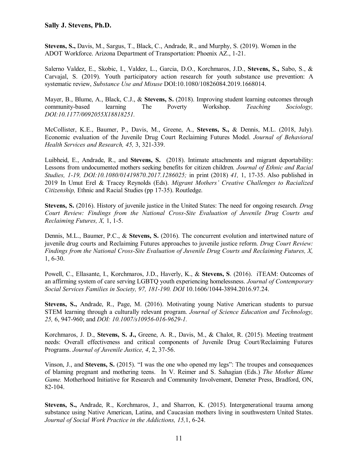**Stevens, S.,** Davis, M., Sargus, T., Black, C., Andrade, R., and Murphy, S. (2019). Women in the ADOT Workforce. Arizona Department of Transportation: Phoenix AZ., 1-21.

Salerno Valdez, E., Skobic, I., Valdez, L., Garcia, D.O., Korchmaros, J.D., **Stevens, S.,** Sabo, S., & Carvajal, S. (2019). Youth participatory action research for youth substance use prevention: A systematic review, *Substance Use and Misuse* DOI:10.1080/10826084.2019.1668014.

Mayer, B., Blume, A., Black, C.J., & **Stevens, S.** (2018). Improving student learning outcomes through community-based learning The Poverty Workshop. *Teaching Sociology, DOI:10.1177/0092055X18818251.*

McCollister, K.E., Baumer, P., Davis, M., Greene, A., **Stevens, S.,** & Dennis, M.L. (2018, July). Economic evaluation of the Juvenile Drug Court Reclaiming Futures Model. *Journal of Behavioral Health Services and Research, 45,* 3, 321-339.

Luibheid, E., Andrade, R., and **Stevens, S.** (2018). Intimate attachments and migrant deportability: Lessons from undocumented mothers seeking benefits for citizen children*. Journal of Ethnic and Racial Studies, 1-19, DOI:10.1080/01419870.2017.1286025;* in print (2018) *41,* 1, 17-35. Also published in 2019 In Umut Erel & Tracey Reynolds (Eds). *Migrant Mothers' Creative Challenges to Racialized Citizenship,* Ethnic and Racial Studies (pp 17-35). Routledge.

**Stevens, S.** (2016). History of juvenile justice in the United States: The need for ongoing research. *Drug Court Review: Findings from the National Cross-Site Evaluation of Juvenile Drug Courts and Reclaiming Futures, X,* 1, 1-5.

Dennis, M.L., Baumer, P.C., & **Stevens, S.** (2016). The concurrent evolution and intertwined nature of juvenile drug courts and Reclaiming Futures approaches to juvenile justice reform. *Drug Court Review: Findings from the National Cross-Site Evaluation of Juvenile Drug Courts and Reclaiming Futures, X,*  1, 6-30.

Powell, C., Ellasante, I., Korchmaros, J.D., Haverly, K., & **Stevens, S**. (2016). iTEAM: Outcomes of an affirming system of care serving LGBTQ youth experiencing homelessness. *Journal of Contemporary Social Services Families in Society, 97, 181-190. DOI* 10.1606/1044-3894.2016.97.24.

**Stevens, S.,** Andrade, R., Page, M. (2016). Motivating young Native American students to pursue STEM learning through a culturally relevant program. *Journal of Science Education and Technology, 25,* 6, 947-960; and *DOI: 10.1007/s10956-016-9629-1.*

Korchmaros, J. D., **Stevens, S. J.,** Greene, A. R., Davis, M., & Chalot, R. (2015). Meeting treatment needs: Overall effectiveness and critical components of Juvenile Drug Court/Reclaiming Futures Programs. *Journal of Juvenile Justice, 4*, 2, 37-56.

Vinson, J., and **Stevens, S.** (2015). "I was the one who opened my legs": The troupes and consequences of blaming pregnant and mothering teens. In V. Reimer and S. Sahagian (Eds.) *The Mother Blame Game.* Motherhood Initiative for Research and Community Involvement, Demeter Press, Bradford, ON, 82-104.

**Stevens, S.,** Andrade, R., Korchmaros, J., and Sharron, K. (2015). Intergenerational trauma among substance using Native American, Latina, and Caucasian mothers living in southwestern United States. *Journal of Social Work Practice in the Addictions, 15,*1, 6-24.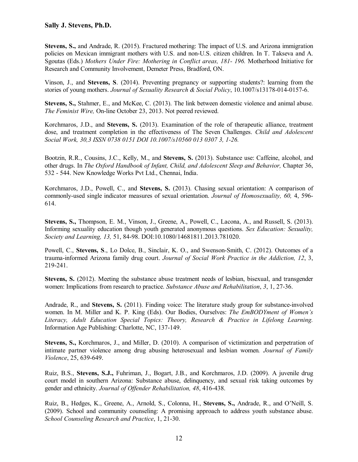**Stevens, S.,** and Andrade, R. (2015). Fractured mothering: The impact of U.S. and Arizona immigration policies on Mexican immigrant mothers with U.S. and non-U.S. citizen children. In T. Takseva and A. Sgoutas (Eds.) *Mothers Under Fire: Mothering in Conflict areas, 181- 196.* Motherhood Initiative for Research and Community Involvement, Demeter Press, Bradford, ON.

Vinson, J., and **Stevens, S**. (2014). Preventing pregnancy or supporting students?: learning from the stories of young mothers. *Journal of Sexuality Research & Social Policy*, 10.1007/s13178-014-0157-6.

**Stevens, S.,** Stahmer, E., and McKee, C. (2013). The link between domestic violence and animal abuse. *The Feminist Wire,* On-line October 23, 2013. Not peered reviewed.

Korchmaros, J.D., and **Stevens, S.** (2013). Examination of the role of therapeutic alliance, treatment dose, and treatment completion in the effectiveness of The Seven Challenges. *Child and Adolescent Social Work, 30,3 ISSN 0738 0151 DOI 10.1007/s10560 013 0307 3, 1-26.*

Bootzin, R.R., Cousins, J.C., Kelly, M., and **Stevens, S.** (2013). Substance use: Caffeine, alcohol, and other drugs. In *The Oxford Handbook of Infant, Child, and Adolescent Sleep and Behavior,* Chapter 36, 532 - 544. New Knowledge Works Pvt Ltd., Chennai, India.

Korchmaros, J.D., Powell, C., and **Stevens, S.** (2013). Chasing sexual orientation: A comparison of commonly-used single indicator measures of sexual orientation. *Journal of Homosexuality, 60,* 4, 596- 614.

**Stevens, S.,** Thompson, E. M., Vinson, J., Greene, A., Powell, C., Lacona, A., and Russell, S. (2013). Informing sexuality education though youth generated anonymous questions. *Sex Education: Sexuality, Society and Learning, 13,* 51, 84-98. DOI:10.1080/14681811.2013.781020.

Powell, C., **Stevens, S**., Lo Dolce, B., Sinclair, K. O., and Swenson-Smith, C. (2012). Outcomes of a trauma-informed Arizona family drug court. *Journal of Social Work Practice in the Addiction, 12*, 3, 219-241.

Stevens, S. (2012). Meeting the substance abuse treatment needs of lesbian, bisexual, and transgender women: Implications from research to practice. *Substance Abuse and Rehabilitation*, *3*, 1, 27-36.

Andrade, R., and **Stevens, S.** (2011). Finding voice: The literature study group for substance-involved women. In M. Miller and K. P. King (Eds). Our Bodies, Ourselves: *The EmBODYment of Women's Literacy, Adult Education Special Topics: Theory, Research & Practice in Lifelong Learning.* Information Age Publishing: Charlotte, NC, 137-149.

**Stevens, S.,** Korchmaros, J., and Miller, D. (2010). A comparison of victimization and perpetration of intimate partner violence among drug abusing heterosexual and lesbian women*. Journal of Family Violence*, 25, 639-649.

Ruiz, B.S., **Stevens, S.J.,** Fuhriman, J., Bogart, J.B., and Korchmaros, J.D. (2009). A juvenile drug court model in southern Arizona: Substance abuse, delinquency, and sexual risk taking outcomes by gender and ethnicity. *Journal of Offender Rehabilitation, 48*, 416-438.

Ruiz, B., Hedges, K., Greene, A., Arnold, S., Colonna, H., **Stevens, S.,** Andrade, R., and O'Neill, S. (2009). School and community counseling: A promising approach to address youth substance abuse. *School Counseling Research and Practice*, 1, 21-30.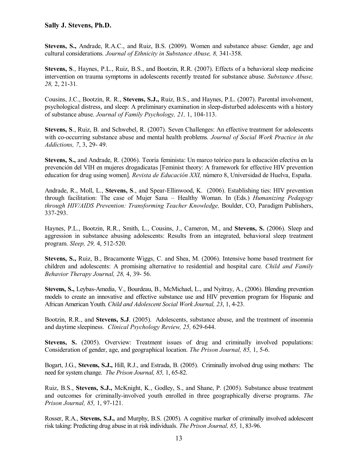**Stevens, S.,** Andrade, R.A.C., and Ruiz, B.S. (2009). Women and substance abuse: Gender, age and cultural considerations*. Journal of Ethnicity in Substance Abuse, 8,* 341-358.

**Stevens, S**., Haynes, P.L., Ruiz, B.S., and Bootzin, R.R. (2007). Effects of a behavioral sleep medicine intervention on trauma symptoms in adolescents recently treated for substance abuse. *Substance Abuse, 28,* 2, 21-31*.*

Cousins, J.C., Bootzin, R. R., **Stevens, S.J.,** Ruiz, B.S., and Haynes, P.L. (2007). Parental involvement, psychological distress, and sleep: A preliminary examination in sleep-disturbed adolescents with a history of substance abuse. *Journal of Family Psychology, 21,* 1, 104-113.

**Stevens, S**., Ruiz, B. and Schwebel, R. (2007). Seven Challenges: An effective treatment for adolescents with co-occurring substance abuse and mental health problems*. Journal of Social Work Practice in the Addictions, 7*, 3, 29- 49.

**Stevens, S.,** and Andrade, R. (2006). Teoría feminista: Un marco teórico para la educación efectiva en la prevención del VIH en mujeres drogadicatas [Feminist theory: A framework for effective HIV prevention education for drug using women]. *Revista de Educación XXI,* número 8, Universidad de Huelva, España.

Andrade, R., Moll, L., **Stevens, S**., and Spear-Ellinwood, K. (2006). Establishing ties: HIV prevention through facilitation: The case of Mujer Sana – Healthy Woman. In (Eds.) *Humanizing Pedagogy through HIV/AIDS Prevention: Transforming Teacher Knowledge,* Boulder, CO, Paradigm Publishers, 337-293.

Haynes, P.L., Bootzin, R.R., Smith, L., Cousins, J., Cameron, M., and **Stevens, S.** (2006). Sleep and aggression in substance abusing adolescents: Results from an integrated, behavioral sleep treatment program. *Sleep, 29,* 4, 512-520.

**Stevens, S.,** Ruiz, B., Bracamonte Wiggs, C. and Shea, M. (2006). Intensive home based treatment for children and adolescents: A promising alternative to residential and hospital care*. Child and Family Behavior Therapy Journal, 28,* 4, 39- 56.

**Stevens, S.,** Leybas-Amedia, V., Bourdeau, B., McMichael, L., and Nyitray, A., (2006). Blending prevention models to create an innovative and effective substance use and HIV prevention program for Hispanic and African American Youth. *Child and Adolescent Social Work Journal, 23*, 1, 4-23.

Bootzin, R.R., and **Stevens, S.J**. (2005). Adolescents, substance abuse, and the treatment of insomnia and daytime sleepiness. *Clinical Psychology Review, 25,* 629-644.

**Stevens, S.** (2005). Overview: Treatment issues of drug and criminally involved populations: Consideration of gender, age, and geographical location. *The Prison Journal, 85,* 1, 5-6.

Bogart, J.G., **Stevens, S.J.,** Hill, R.J., and Estrada, B. (2005). Criminally involved drug using mothers: The need for system change. *The Prison Journal, 85,* 1, 65-82.

Ruiz, B.S., **Stevens, S.J.,** McKnight, K., Godley, S., and Shane, P. (2005). Substance abuse treatment and outcomes for criminally-involved youth enrolled in three geographically diverse programs. *The Prison Journal, 85,* 1, 97-121.

Rosser, R.A., **Stevens, S.J.,** and Murphy, B.S. (2005). A cognitive marker of criminally involved adolescent risk taking: Predicting drug abuse in at risk individuals. *The Prison Journal, 85,* 1, 83-96.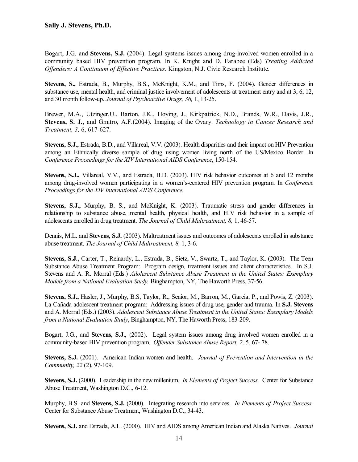Bogart, J.G. and **Stevens, S.J.** (2004). Legal systems issues among drug-involved women enrolled in a community based HIV prevention program. In K. Knight and D. Farabee (Eds) *Treating Addicted Offenders: A Continuum of Effective Practices.* Kingston, N.J. Civic Research Institute.

**Stevens, S.,** Estrada, B., Murphy, B.S., McKnight, K.M., and Tims, F. (2004). Gender differences in substance use, mental health, and criminal justice involvement of adolescents at treatment entry and at 3, 6, 12, and 30 month follow-up. *Journal of Psychoactive Drugs, 36,* 1, 13-25.

Brewer, M.A., Utzinger,U., Barton, J.K., Hoying, J., Kirkpatrick, N.D., Brands, W.R., Davis, J.R., **Stevens, S. J.,** and Gmitro, A.F.(2004). Imaging of the Ovary. *Technology in Cancer Research and Treatment, 3,* 6, 617-627.

**Stevens, S.J.,** Estrada, B.D., and Villareal, V.V. (2003). Health disparities and their impact on HIV Prevention among an Ethnically diverse sample of drug using women living north of the US/Mexico Border. In *Conference Proceedings for the XIV International AIDS Conference*, 150-154.

**Stevens, S.J.,** Villareal, V.V., and Estrada, B.D. (2003). HIV risk behavior outcomes at 6 and 12 months among drug-involved women participating in a women's-centered HIV prevention program. In *Conference Proceedings for the XIV International AIDS Conference.*

**Stevens, S.J.,** Murphy, B. S., and McKnight, K. (2003). Traumatic stress and gender differences in relationship to substance abuse, mental health, physical health, and HIV risk behavior in a sample of adolescents enrolled in drug treatment. *The Journal of Child Maltreatment, 8,* 1, 46-57.

Dennis, M.L. and **Stevens, S.J.** (2003). Maltreatment issues and outcomes of adolescents enrolled in substance abuse treatment. *The Journal of Child Maltreatment, 8,* 1, 3-6.

**Stevens, S.J.,** Carter, T., Reinardy, L., Estrada, B., Sietz, V., Swartz, T., and Taylor, K. (2003). The Teen Substance Abuse Treatment Program: Program design, treatment issues and client characteristics. In S.J. Stevens and A. R. Morral (Eds.) *Adolescent Substance Abuse Treatment in the United States: Exemplary Models from a National Evaluation Study,* Binghampton, NY, The Haworth Press, 37-56.

**Stevens, S.J.,** Hasler, J., Murphy, B.S, Taylor, R., Senior, M., Barron, M., Garcia, P., and Powis, Z. (2003). La Cañada adolescent treatment program: Addressing issues of drug use, gender and trauma. In **S.J. Stevens** and A. Morral (Eds.) (2003). *Adolescent Substance Abuse Treatment in the United States: Exemplary Models from a National Evaluation Study*, Binghampton, NY, The Haworth Press, 183-209.

Bogart, J.G., and **Stevens, S.J.**, (2002). Legal system issues among drug involved women enrolled in a community-based HIV prevention program. *Offender Substance Abuse Report, 2,* 5, 67- 78.

**Stevens, S.J.** (2001). American Indian women and health. *Journal of Prevention and Intervention in the Community, 22* (2), 97-109.

**Stevens, S.J.** (2000). Leadership in the new millenium. *In Elements of Project Success.* Center for Substance Abuse Treatment, Washington D.C., 6-12.

Murphy, B.S. and **Stevens, S.J.** (2000). Integrating research into services*. In Elements of Project Success.* Center for Substance Abuse Treatment, Washington D.C., 34-43.

**Stevens, S.J.** and Estrada, A.L. (2000). HIV and AIDS among American Indian and Alaska Natives. *Journal*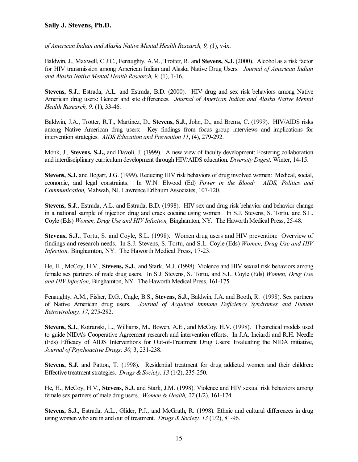*of American Indian and Alaska Native Mental Health Research, 9, (*1), v-ix.

Baldwin, J., Maxwell, C.J.C., Fenaughty, A.M., Trotter, R. and **Stevens, S.J.** (2000). Alcohol as a risk factor for HIV transmission among American Indian and Alaska Native Drug Users*. Journal of American Indian and Alaska Native Mental Health Research, 9,* (1), 1-16.

**Stevens, S.J.**, Estrada, A.L. and Estrada, B.D. (2000). HIV drug and sex risk behaviors among Native American drug users: Gender and site differences*. Journal of American Indian and Alaska Native Mental Health Research, 9,* (1), 33-46.

Baldwin, J.A., Trotter, R.T., Martinez, D., **Stevens, S.J.**, John, D., and Brems, C. (1999). HIV/AIDS risks among Native American drug users: Key findings from focus group interviews and implications for intervention strategies. *AIDS Education and Prevention 11*, (4), 279-292.

Monk, J., **Stevens, S.J.,** and Davoli, J. (1999). A new view of faculty development: Fostering collaboration and interdisciplinary curriculum development through HIV/AIDS education*. Diversity Digest,* Winter, 14-15.

**Stevens, S.J.** and Bogart, J.G. (1999). Reducing HIV risk behaviors of drug involved women: Medical, social, economic, and legal constraints. In W.N. Elwood (Ed) *Power in the Blood: AIDS, Politics and Communication,* Mahwah, NJ. Lawrence Erlbaum Associates, 107-120.

**Stevens, S.J.**, Estrada, A.L. and Estrada, B.D. (1998). HIV sex and drug risk behavior and behavior change in a national sample of injection drug and crack cocaine using women. In S.J. Stevens, S. Tortu, and S.L. Coyle (Eds) *Women, Drug Use and HIV Infection,* Binghamton, NY. The Haworth Medical Press, 25-48.

**Stevens, S.J.**, Tortu, S. and Coyle, S.L. (1998). Women drug users and HIV prevention: Overview of findings and research needs. In S.J. Stevens, S. Tortu, and S.L. Coyle (Eds) *Women, Drug Use and HIV Infection,* Binghamton, NY. The Haworth Medical Press, 17-23.

He, H., McCoy, H.V., **Stevens, S.J.**, and Stark, M.J. (1998). Violence and HIV sexual risk behaviors among female sex partners of male drug users. In S.J. Stevens, S. Tortu, and S.L. Coyle (Eds) *Women, Drug Use and HIV Infection,* Binghamton, NY. The Haworth Medical Press, 161-175.

Fenaughty, A.M., Fisher, D.G., Cagle, B.S., **Stevens, S.J.,** Baldwin, J.A. and Booth, R. (1998). Sex partners of Native American drug users*. Journal of Acquired Immune Deficiency Syndromes and Human Retrovirology, 17*, 275-282.

**Stevens, S.J.**, Kotranski, L., Williams, M., Bowen, A.E., and McCoy, H.V. (1998). Theoretical models used to guide NIDA's Cooperative Agreement research and intervention efforts. In J.A. Inciardi and R.H. Needle (Eds) Efficacy of AIDS Interventions for Out-of-Treatment Drug Users: Evaluating the NIDA initiative, *Journal of Psychoactive Drugs; 30,* 3, 231-238.

**Stevens, S.J.** and Patton, T. (1998). Residential treatment for drug addicted women and their children: Effective treatment strategies. *Drugs & Society, 13* (1/2), 235-250.

He, H., McCoy, H.V., **Stevens, S.J.** and Stark, J.M. (1998). Violence and HIV sexual risk behaviors among female sex partners of male drug users. *Women & Health, 27* (1/2), 161-174.

**Stevens, S.J.,** Estrada, A.L., Glider, P.J., and McGrath, R. (1998). Ethnic and cultural differences in drug using women who are in and out of treatment. *Drugs & Society, 13* (1/2), 81-96.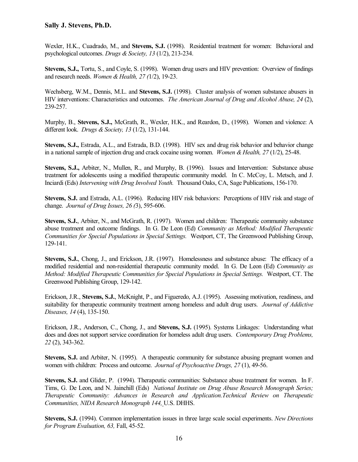Wexler, H.K., Cuadrado, M., and **Stevens, S.J.** (1998). Residential treatment for women: Behavioral and psychological outcomes. *Drugs & Society, 13* (1/2), 213-234.

**Stevens, S.J.,** Tortu, S., and Coyle, S. (1998). Women drug users and HIV prevention: Overview of findings and research needs. *Women & Health, 27 (*1/2), 19-23.

Wechsberg, W.M., Dennis, M.L. and **Stevens, S.J.** (1998). Cluster analysis of women substance abusers in HIV interventions: Characteristics and outcomes. *The American Journal of Drug and Alcohol Abuse, 24* (2), 239-257.

Murphy, B., **Stevens, S.J.,** McGrath, R., Wexler, H.K., and Reardon, D., (1998). Women and violence: A different look. *Drugs & Society, 13* (1/2), 131-144.

**Stevens, S.J.,** Estrada, A.L., and Estrada, B.D. (1998). HIV sex and drug risk behavior and behavior change in a national sample of injection drug and crack cocaine using women. *Women & Health, 27* (1/2), 25-48.

**Stevens, S.J.,** Arbiter, N., Mullen, R., and Murphy, B. (1996). Issues and Intervention: Substance abuse treatment for adolescents using a modified therapeutic community model. In C. McCoy, L. Metsch, and J. Inciardi (Eds) *Intervening with Drug Involved Youth.* Thousand Oaks, CA, Sage Publications, 156-170.

**Stevens, S.J.** and Estrada, A.L. (1996). Reducing HIV risk behaviors: Perceptions of HIV risk and stage of change. *Journal of Drug Issues, 26 (*3), 595-606.

**Stevens, S.J.**, Arbiter, N., and McGrath, R. (1997). Women and children: Therapeutic community substance abuse treatment and outcome findings. In G. De Leon (Ed) *Community as Method: Modified Therapeutic Communities for Special Populations in Special Settings.* Westport, CT, The Greenwood Publishing Group, 129-141.

**Stevens, S.J.**, Chong, J., and Erickson, J.R. (1997). Homelessness and substance abuse: The efficacy of a modified residential and non-residential therapeutic community model. In G. De Leon (Ed) *Community as Method: Modified Therapeutic Communities for Special Populations in Special Settings.* Westport, CT. The Greenwood Publishing Group, 129-142.

Erickson, J.R., **Stevens, S.J.**, McKnight, P., and Figueredo, A.J. (1995). Assessing motivation, readiness, and suitability for therapeutic community treatment among homeless and adult drug users. *Journal of Addictive Diseases, 14* (4), 135-150.

Erickson, J.R., Anderson, C., Chong, J., and **Stevens, S.J.** (1995). Systems Linkages: Understanding what does and does not support service coordination for homeless adult drug users. *Contemporary Drug Problems, 22* (2), 343-362.

**Stevens, S.J.** and Arbiter, N. (1995). A therapeutic community for substance abusing pregnant women and women with children: Process and outcome. *Journal of Psychoactive Drugs, 27* (1), 49-56.

**Stevens, S.J.** and Glider, P. (1994). Therapeutic communities: Substance abuse treatment for women. In F. Tims, G. De Leon, and N. Jainchill (Eds) *National Institute on Drug Abuse Research Monograph Series; Therapeutic Community: Advances in Research and Application.Technical Review on Therapeutic Communities, NIDA Research Monograph 144,* U.S. DHHS.

**Stevens, S.J.** (1994). Common implementation issues in three large scale social experiments. *New Directions for Program Evaluation, 63,* Fall, 45-52.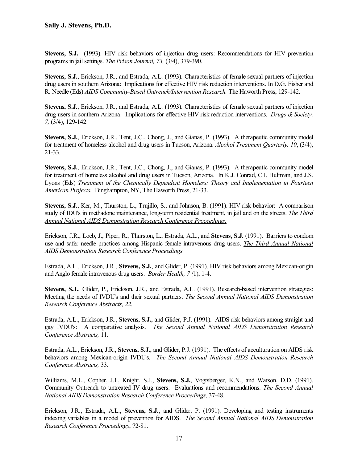**Stevens, S.J.** (1993). HIV risk behaviors of injection drug users: Recommendations for HIV prevention programs in jail settings. *The Prison Journal, 73,* (3/4), 379-390.

**Stevens, S.J.**, Erickson, J.R., and Estrada, A.L. (1993). Characteristics of female sexual partners of injection drug users in southern Arizona: Implications for effective HIV risk reduction interventions. In D.G. Fisher and R. Needle (Eds) *AIDS Community-Based Outreach/Intervention Research.* The Haworth Press, 129-142.

**Stevens, S.J.**, Erickson, J.R., and Estrada, A.L. (1993). Characteristics of female sexual partners of injection drug users in southern Arizona: Implications for effective HIV risk reduction interventions. *Drugs & Society, 7,* (3/4), 129-142.

**Stevens, S.J.**, Erickson, J.R., Tent, J.C., Chong, J., and Gianas, P. (1993). A therapeutic community model for treatment of homeless alcohol and drug users in Tucson, Arizona. *Alcohol Treatment Quarterly, 10*, (3/4), 21-33.

**Stevens, S.J.**, Erickson, J.R., Tent, J.C., Chong, J., and Gianas, P. (1993). A therapeutic community model for treatment of homeless alcohol and drug users in Tucson, Arizona. In K.J. Conrad, C.I. Hultman, and J.S. Lyons (Eds) *Treatment of the Chemically Dependent Homeless: Theory and Implementation in Fourteen American Projects.* Binghampton, NY, The Haworth Press, 21-33.

**Stevens, S.J.**, Ker, M., Thurston, L., Trujillo, S., and Johnson, B. (1991). HIV risk behavior: A comparison study of IDU's in methadone maintenance, long-term residential treatment, in jail and on the streets. *The Third Annual National AIDS Demonstration Research Conference Proceedings.*

Erickson, J.R., Loeb, J., Piper, R., Thurston, L., Estrada, A.L., and **Stevens, S.J.** (1991). Barriers to condom use and safer needle practices among Hispanic female intravenous drug users. *The Third Annual National AIDS Demonstration Research Conference Proceedings.* 

Estrada, A.L., Erickson, J.R., **Stevens, S.J.**, and Glider, P. (1991). HIV risk behaviors among Mexican-origin and Anglo female intravenous drug users. *Border Health, 7 (*1), 1-4.

**Stevens, S.J.**, Glider, P., Erickson, J.R., and Estrada, A.L. (1991). Research-based intervention strategies: Meeting the needs of IVDU's and their sexual partners. *The Second Annual National AIDS Demonstration Research Conference Abstracts, 22.*

Estrada, A.L., Erickson, J.R., **Stevens, S.J.**, and Glider, P.J. (1991). AIDS risk behaviors among straight and gay IVDU's: A comparative analysis. *The Second Annual National AIDS Demonstration Research Conference Abstracts,* 11.

Estrada, A.L., Erickson, J.R., **Stevens, S.J.**, and Glider, P.J. (1991). The effects of acculturation on AIDS risk behaviors among Mexican-origin IVDU's. *The Second Annual National AIDS Demonstration Research Conference Abstracts,* 33.

Williams, M.L., Copher, J.I., Knight, S.J., **Stevens, S.J.**, Vogtsberger, K.N., and Watson, D.D. (1991). Community Outreach to untreated IV drug users: Evaluations and recommendations. *The Second Annual National AIDS Demonstration Research Conference Proceedings*, 37-48.

Erickson, J.R., Estrada, A.L., **Stevens, S.J.**, and Glider, P. (1991). Developing and testing instruments indexing variables in a model of prevention for AIDS. *The Second Annual National AIDS Demonstration Research Conference Proceedings*, 72-81.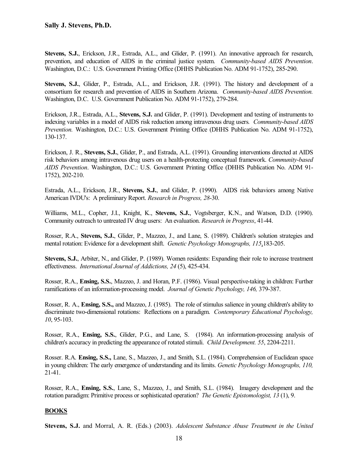**Stevens, S.J.**, Erickson, J.R., Estrada, A.L., and Glider, P. (1991). An innovative approach for research, prevention, and education of AIDS in the criminal justice system. *Community-based AIDS Prevention*. Washington, D.C.: U.S. Government Printing Office (DHHS Publication No. ADM 91-1752), 285-290.

**Stevens, S.J.**, Glider, P., Estrada, A.L., and Erickson, J.R. (1991). The history and development of a consortium for research and prevention of AIDS in Southern Arizona. *Community-based AIDS Prevention.*  Washington, D.C. U.S. Government Publication No. ADM 91-1752), 279-284.

Erickson, J.R., Estrada, A.L., **Stevens, S.J.** and Glider, P. (1991). Development and testing of instruments to indexing variables in a model of AIDS risk reduction among intravenous drug users*. Community-based AIDS Prevention.* Washington, D.C.: U.S. Government Printing Office (DHHS Publication No. ADM 91-1752), 130-137.

Erickson, J. R., **Stevens, S.J.**, Glider, P., and Estrada, A.L. (1991). Grounding interventions directed at AIDS risk behaviors among intravenous drug users on a health-protecting conceptual framework. *Community-based AIDS Prevention*. Washington, D.C.: U.S. Government Printing Office (DHHS Publication No. ADM 91- 1752), 202-210.

Estrada, A.L., Erickson, J.R., **Stevens, S.J.**, and Glider, P. (1990). AIDS risk behaviors among Native American IVDU's: A preliminary Report. *Research in Progress, 28*-30.

Williams, M.L., Copher, J.I., Knight, K., **Stevens, S.J.**, Vogtsberger, K.N., and Watson, D.D. (1990). Community outreach to untreated IV drug users: An evaluation. *Research in Progress*, 41-44.

Rosser, R.A., **Stevens, S.J.**, Glider, P., Mazzeo, J., and Lane, S. (1989). Children's solution strategies and mental rotation: Evidence for a development shift. *Genetic Psychology Monographs, 115*,183-205.

**Stevens, S.J.**, Arbiter, N., and Glider, P. (1989). Women residents: Expanding their role to increase treatment effectiveness. *International Journal of Addictions, 24* (5), 425-434.

Rosser, R.A., **Ensing, S.S.**, Mazzeo, J. and Horan, P.F. (1986). Visual perspective-taking in children: Further ramifications of an information-processing model. *Journal of Genetic Psychology, 146,* 379-387.

Rosser, R. A., **Ensing, S.S.,** and Mazzeo, J. (1985). The role of stimulus salience in young children's ability to discriminate two-dimensional rotations: Reflections on a paradigm. *Contemporary Educational Psychology, 10*, 95-103.

Rosser, R.A., **Ensing, S.S.**, Glider, P.G., and Lane, S. (1984). An information-processing analysis of children's accuracy in predicting the appearance of rotated stimuli. *Child Development. 55*, 2204-2211.

Rosser. R.A. **Ensing, S.S.,** Lane, S., Mazzeo, J., and Smith, S.L. (1984). Comprehension of Euclidean space in young children: The early emergence of understanding and its limits. *Genetic Psychology Monographs, 110,* 21-41.

Rosser, R.A., **Ensing, S.S.**, Lane, S., Mazzeo, J., and Smith, S.L. (1984). Imagery development and the rotation paradigm: Primitive process or sophisticated operation? *The Genetic Epistomologist, 13* (1), 9.

#### **BOOKS**

**Stevens, S.J.** and Morral, A. R. (Eds.) (2003). *Adolescent Substance Abuse Treatment in the United*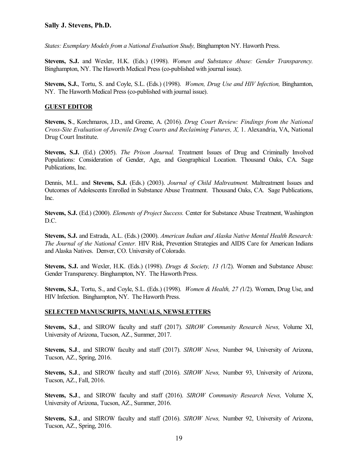*States: Exemplary Models from a National Evaluation Study,* Binghampton NY. Haworth Press.

**Stevens, S.J.** and Wexler, H.K. (Eds.) (1998). *Women and Substance Abuse: Gender Transparency.* Binghampton, NY. The Haworth Medical Press (co-published with journal issue).

**Stevens, S.J.**, Tortu, S. and Coyle, S.L. (Eds.) (1998). *Women, Drug Use and HIV Infection,* Binghamton, NY. The Haworth Medical Press (co-published with journal issue).

#### **GUEST EDITOR**

**Stevens, S**., Korchmaros, J.D., and Greene, A. (2016). *Drug Court Review: Findings from the National Cross-Site Evaluation of Juvenile Drug Courts and Reclaiming Futures, X,* 1. Alexandria, VA, National Drug Court Institute.

**Stevens, S.J.** (Ed.) (2005). *The Prison Journal.* Treatment Issues of Drug and Criminally Involved Populations: Consideration of Gender, Age, and Geographical Location. Thousand Oaks, CA. Sage Publications, Inc.

Dennis, M.L. and **Stevens, S.J.** (Eds.) (2003). *Journal of Child Maltreatment.* Maltreatment Issues and Outcomes of Adolescents Enrolled in Substance Abuse Treatment. Thousand Oaks, CA. Sage Publications, Inc.

**Stevens, S.J.** (Ed.) (2000). *Elements of Project Success.* Center for Substance Abuse Treatment, Washington D.C.

**Stevens, S.J.** and Estrada, A.L. (Eds.) (2000). *American Indian and Alaska Native Mental Health Research: The Journal of the National Center.* HIV Risk, Prevention Strategies and AIDS Care for American Indians and Alaska Natives. Denver, CO. University of Colorado.

**Stevens, S.J.** and Wexler, H.K. (Eds.) (1998). *Drugs & Society, 13 (*1/2). Women and Substance Abuse: Gender Transparency. Binghampton, NY. The Haworth Press.

**Stevens, S.J.**, Tortu, S., and Coyle, S.L. (Eds.) (1998). *Women & Health, 27 (*1/2). Women, Drug Use, and HIV Infection. Binghampton, NY. The Haworth Press.

#### **SELECTED MANUSCRIPTS, MANUALS, NEWSLETTERS**

**Stevens, S.J**., and SIROW faculty and staff (2017). *SIROW Community Research News,* Volume XI, University of Arizona, Tucson, AZ., Summer, 2017.

**Stevens, S.J**., and SIROW faculty and staff (2017). *SIROW News,* Number 94, University of Arizona, Tucson, AZ., Spring, 2016.

**Stevens, S.J**., and SIROW faculty and staff (2016). *SIROW News,* Number 93, University of Arizona, Tucson, AZ., Fall, 2016.

**Stevens, S.J**., and SIROW faculty and staff (2016). *SIROW Community Research News,* Volume X, University of Arizona, Tucson, AZ., Summer, 2016.

**Stevens, S.J**., and SIROW faculty and staff (2016). *SIROW News,* Number 92, University of Arizona, Tucson, AZ., Spring, 2016.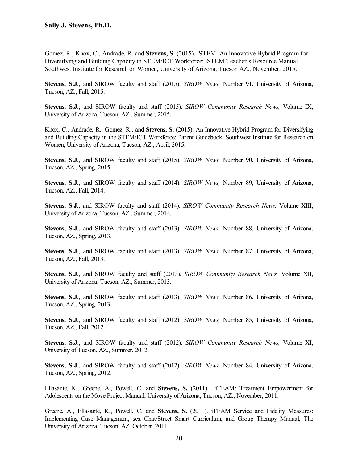Gomez, R., Knox, C., Andrade, R. and **Stevens, S.** (2015). iSTEM: An Innovative Hybrid Program for Diversifying and Building Capacity in STEM/ICT Workforce: iSTEM Teacher's Resource Manual. Southwest Institute for Research on Women, University of Arizona, Tucson AZ., November, 2015.

**Stevens, S.J**., and SIROW faculty and staff (2015). *SIROW News,* Number 91, University of Arizona, Tucson, AZ., Fall, 2015.

**Stevens, S.J**., and SIROW faculty and staff (2015). *SIROW Community Research News,* Volume IX, University of Arizona, Tucson, AZ., Summer, 2015.

Knox, C., Andrade, R., Gomez, R., and **Stevens, S.** (2015). An Innovative Hybrid Program for Diversifying and Building Capacity in the STEM/ICT Workforce: Parent Guidebook. Southwest Institute for Research on Women, University of Arizona, Tucson, AZ., April, 2015.

**Stevens, S.J**., and SIROW faculty and staff (2015). *SIROW News,* Number 90, University of Arizona, Tucson, AZ., Spring, 2015.

**Stevens, S.J**., and SIROW faculty and staff (2014). *SIROW News,* Number 89, University of Arizona, Tucson, AZ., Fall, 2014.

**Stevens, S.J**., and SIROW faculty and staff (2014). *SIROW Community Research News,* Volume XIII, University of Arizona, Tucson, AZ., Summer, 2014.

**Stevens, S.J**., and SIROW faculty and staff (2013). *SIROW News,* Number 88, University of Arizona, Tucson, AZ., Spring, 2013.

**Stevens, S.J**., and SIROW faculty and staff (2013). *SIROW News,* Number 87, University of Arizona, Tucson, AZ., Fall, 2013.

**Stevens, S.J**., and SIROW faculty and staff (2013). *SIROW Community Research News,* Volume XII, University of Arizona, Tucson, AZ., Summer, 2013.

**Stevens, S.J**., and SIROW faculty and staff (2013). *SIROW News,* Number 86, University of Arizona, Tucson, AZ., Spring, 2013.

**Stevens, S.J**., and SIROW faculty and staff (2012). *SIROW News,* Number 85, University of Arizona, Tucson, AZ., Fall, 2012.

**Stevens, S.J**., and SIROW faculty and staff (2012). *SIROW Community Research News,* Volume XI, University of Tucson, AZ., Summer, 2012.

**Stevens, S.J**., and SIROW faculty and staff (2012). *SIROW News,* Number 84, University of Arizona, Tucson, AZ., Spring, 2012.

Ellasante, K., Greene, A., Powell, C. and **Stevens, S.** (2011). iTEAM: Treatment Empowerment for Adolescents on the Move Project Manual, University of Arizona, Tucson, AZ., November, 2011.

Greene, A., Ellasante, K., Powell, C. and **Stevens, S.** (2011). iTEAM Service and Fidelity Measures: Implementing Case Management, sex Chat/Street Smart Curriculum, and Group Therapy Manual, The University of Arizona, Tucson, AZ. October, 2011.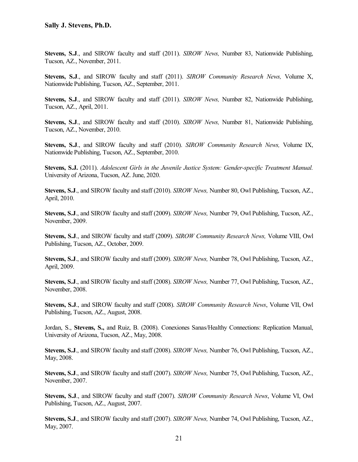**Stevens, S.J**., and SIROW faculty and staff (2011). *SIROW News,* Number 83, Nationwide Publishing, Tucson, AZ., November, 2011.

**Stevens, S.J**., and SIROW faculty and staff (2011). *SIROW Community Research News,* Volume X, Nationwide Publishing, Tucson, AZ., September, 2011.

**Stevens, S.J**., and SIROW faculty and staff (2011). *SIROW News,* Number 82, Nationwide Publishing, Tucson, AZ., April, 2011.

**Stevens, S.J**., and SIROW faculty and staff (2010). *SIROW News,* Number 81, Nationwide Publishing, Tucson, AZ., November, 2010.

**Stevens, S.J**., and SIROW faculty and staff (2010). *SIROW Community Research News,* Volume IX, Nationwide Publishing, Tucson, AZ., September, 2010.

**Stevens, S.J.** (2011). *Adolescent Girls in the Juvenile Justice System: Gender-specific Treatment Manual.* University of Arizona, Tucson, AZ. June, 2020.

**Stevens, S.J**., and SIROW faculty and staff (2010). *SIROW News,* Number 80, Owl Publishing, Tucson, AZ., April, 2010.

**Stevens, S.J**., and SIROW faculty and staff (2009). *SIROW News,* Number 79, Owl Publishing, Tucson, AZ., November, 2009.

**Stevens, S.J**., and SIROW faculty and staff (2009). *SIROW Community Research News,* Volume VIII, Owl Publishing, Tucson, AZ., October, 2009.

**Stevens, S.J**., and SIROW faculty and staff (2009). *SIROW News,* Number 78, Owl Publishing, Tucson, AZ., April, 2009.

**Stevens, S.J**., and SIROW faculty and staff (2008). *SIROW News,* Number 77, Owl Publishing, Tucson, AZ., November, 2008.

**Stevens, S.J**., and SIROW faculty and staff (2008). *SIROW Community Research News*, Volume VII, Owl Publishing, Tucson, AZ., August, 2008.

Jordan, S., **Stevens, S.,** and Ruiz, B. (2008). Conexiones Sanas/Healthy Connections: Replication Manual, University of Arizona, Tucson, AZ., May, 2008.

**Stevens, S.J**., and SIROW faculty and staff (2008). *SIROW News,* Number 76, Owl Publishing, Tucson, AZ., May, 2008.

**Stevens, S.J**., and SIROW faculty and staff (2007). *SIROW News,* Number 75, Owl Publishing, Tucson, AZ., November, 2007.

**Stevens, S.J**., and SIROW faculty and staff (2007). *SIROW Community Research News*, Volume VI, Owl Publishing, Tucson, AZ., August, 2007.

**Stevens, S.J**., and SIROW faculty and staff (2007). *SIROW News,* Number 74, Owl Publishing, Tucson, AZ., May, 2007.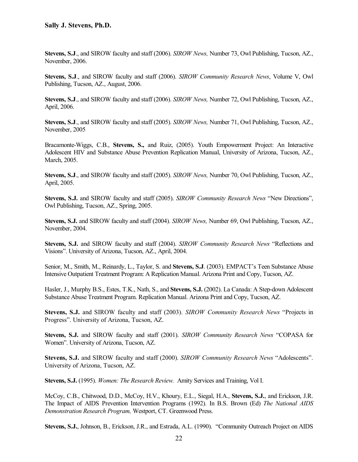**Stevens, S.J**., and SIROW faculty and staff (2006). *SIROW News,* Number 73, Owl Publishing, Tucson, AZ., November, 2006.

**Stevens, S.J**., and SIROW faculty and staff (2006). *SIROW Community Research News*, Volume V, Owl Publishing, Tucson, AZ., August, 2006.

**Stevens, S.J**., and SIROW faculty and staff (2006). *SIROW News,* Number 72, Owl Publishing, Tucson, AZ., April, 2006.

**Stevens, S.J**., and SIROW faculty and staff (2005). *SIROW News,* Number 71, Owl Publishing, Tucson, AZ., November, 2005

Bracamonte-Wiggs, C.B., **Stevens, S.,** and Ruiz, (2005). Youth Empowerment Project: An Interactive Adolescent HIV and Substance Abuse Prevention Replication Manual, University of Arizona, Tucson, AZ., March, 2005.

**Stevens, S.J**., and SIROW faculty and staff (2005). *SIROW News,* Number 70, Owl Publishing, Tucson, AZ., April, 2005.

**Stevens, S.J.** and SIROW faculty and staff (2005). *SIROW Community Research News* "New Directions", Owl Publishing, Tucson, AZ., Spring, 2005.

**Stevens, S.J.** and SIROW faculty and staff (2004). *SIROW News,* Number 69, Owl Publishing, Tucson, AZ., November, 2004.

**Stevens, S.J.** and SIROW faculty and staff (2004). *SIROW Community Research News* "Reflections and Visions". University of Arizona, Tucson, AZ., April, 2004.

Senior, M., Smith, M., Reinardy, L., Taylor, S. and **Stevens, S.J**. (2003). EMPACT's Teen Substance Abuse Intensive Outpatient Treatment Program: A Replication Manual. Arizona Print and Copy, Tucson, AZ.

Hasler, J., Murphy B.S., Estes, T.K., Nath, S., and **Stevens, S.J.** (2002). La Canada: A Step-down Adolescent Substance Abuse Treatment Program. Replication Manual. Arizona Print and Copy, Tucson, AZ.

**Stevens, S.J.** and SIROW faculty and staff (2003). *SIROW Community Research News* "Projects in Progress". University of Arizona, Tucson, AZ.

**Stevens, S.J.** and SIROW faculty and staff (2001). *SIROW Community Research News* "COPASA for Women". University of Arizona, Tucson, AZ.

**Stevens, S.J.** and SIROW faculty and staff (2000). *SIROW Community Research News* "Adolescents". University of Arizona, Tucson, AZ.

**Stevens, S.J.** (1995). *Women: The Research Review.* Amity Services and Training, Vol I.

McCoy, C.B., Chitwood, D.D., McCoy, H.V., Khoury, E.L., Siegal, H.A., **Stevens, S.J.**, and Erickson, J.R. The Impact of AIDS Prevention Intervention Programs (1992). In B.S. Brown (Ed) *The National AIDS Demonstration Research Program,* Westport, CT. Greenwood Press.

**Stevens, S.J.**, Johnson, B., Erickson, J.R., and Estrada, A.L. (1990). "Community Outreach Project on AIDS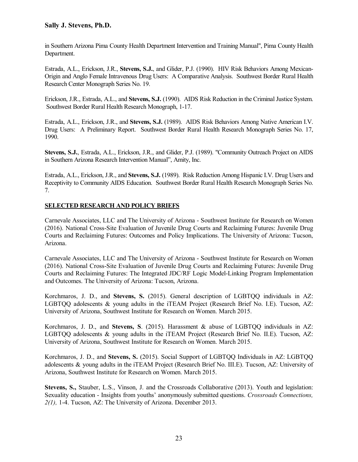in Southern Arizona Pima County Health Department Intervention and Training Manual", Pima County Health Department.

Estrada, A.L., Erickson, J.R., **Stevens, S.J.**, and Glider, P.J. (1990). HIV Risk Behaviors Among Mexican-Origin and Anglo Female Intravenous Drug Users: A Comparative Analysis. Southwest Border Rural Health Research Center Monograph Series No. 19.

Erickson, J.R., Estrada, A.L., and **Stevens, S.J.** (1990). AIDS Risk Reduction in the Criminal Justice System. Southwest Border Rural Health Research Monograph, 1-17.

Estrada, A.L., Erickson, J.R., and **Stevens, S.J.** (1989). AIDS Risk Behaviors Among Native American I.V. Drug Users: A Preliminary Report. Southwest Border Rural Health Research Monograph Series No. 17, 1990.

**Stevens, S.J.**, Estrada, A.L., Erickson, J.R., and Glider, P.J. (1989). "Community Outreach Project on AIDS in Southern Arizona Research Intervention Manual", Amity, Inc.

Estrada, A.L., Erickson, J.R., and **Stevens, S.J.** (1989). Risk Reduction Among Hispanic I.V. Drug Users and Receptivity to Community AIDS Education. Southwest Border Rural Health Research Monograph Series No. 7.

#### **SELECTED RESEARCH AND POLICY BRIEFS**

Carnevale Associates, LLC and The University of Arizona - Southwest Institute for Research on Women (2016). National Cross-Site Evaluation of Juvenile Drug Courts and Reclaiming Futures: Juvenile Drug Courts and Reclaiming Futures: Outcomes and Policy Implications. The University of Arizona: Tucson, Arizona.

Carnevale Associates, LLC and The University of Arizona - Southwest Institute for Research on Women (2016). National Cross-Site Evaluation of Juvenile Drug Courts and Reclaiming Futures: Juvenile Drug Courts and Reclaiming Futures: The Integrated JDC/RF Logic Model-Linking Program Implementation and Outcomes. The University of Arizona: Tucson, Arizona.

Korchmaros, J. D., and **Stevens, S.** (2015). General description of LGBTQQ individuals in AZ: LGBTQQ adolescents & young adults in the iTEAM Project (Research Brief No. I.E). Tucson, AZ: University of Arizona, Southwest Institute for Research on Women. March 2015.

Korchmaros, J. D., and **Stevens, S**. (2015). Harassment & abuse of LGBTQQ individuals in AZ: LGBTQQ adolescents & young adults in the iTEAM Project (Research Brief No. II.E). Tucson, AZ: University of Arizona, Southwest Institute for Research on Women. March 2015.

Korchmaros, J. D., and **Stevens, S.** (2015). Social Support of LGBTQQ Individuals in AZ: LGBTQQ adolescents & young adults in the iTEAM Project (Research Brief No. III.E). Tucson, AZ: University of Arizona, Southwest Institute for Research on Women. March 2015.

**Stevens, S.,** Stauber, L.S., Vinson, J. and the Crossroads Collaborative (2013). Youth and legislation: Sexuality education - Insights from youths' anonymously submitted questions. *Crossroads Connections, 2(1),* 1-4. Tucson, AZ: The University of Arizona. December 2013.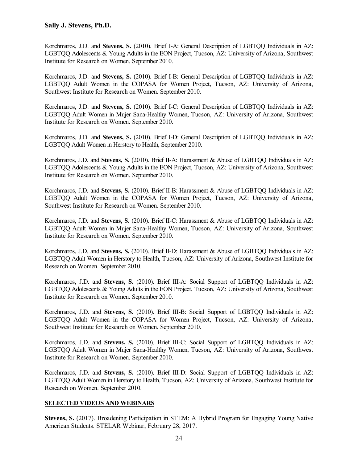Korchmaros, J.D. and **Stevens, S.** (2010). Brief I-A: General Description of LGBTQQ Individuals in AZ: LGBTQQ Adolescents & Young Adults in the EON Project, Tucson, AZ: University of Arizona, Southwest Institute for Research on Women. September 2010.

Korchmaros, J.D. and **Stevens, S.** (2010). Brief I-B: General Description of LGBTQQ Individuals in AZ: LGBTQQ Adult Women in the COPASA for Women Project, Tucson, AZ: University of Arizona, Southwest Institute for Research on Women. September 2010.

Korchmaros, J.D. and **Stevens, S.** (2010). Brief I-C: General Description of LGBTQQ Individuals in AZ: LGBTQQ Adult Women in Mujer Sana-Healthy Women, Tucson, AZ: University of Arizona, Southwest Institute for Research on Women. September 2010.

Korchmaros, J.D. and **Stevens, S.** (2010). Brief I-D: General Description of LGBTQQ Individuals in AZ: LGBTQQ Adult Women in Herstory to Health, September 2010.

Korchmaros, J.D. and **Stevens, S.** (2010). Brief II-A: Harassment & Abuse of LGBTQQ Individuals in AZ: LGBTQQ Adolescents & Young Adults in the EON Project, Tucson, AZ: University of Arizona, Southwest Institute for Research on Women. September 2010.

Korchmaros, J.D. and **Stevens, S.** (2010). Brief II-B: Harassment & Abuse of LGBTQQ Individuals in AZ: LGBTQQ Adult Women in the COPASA for Women Project, Tucson, AZ: University of Arizona, Southwest Institute for Research on Women. September 2010.

Korchmaros, J.D. and **Stevens, S.** (2010). Brief II-C: Harassment & Abuse of LGBTQQ Individuals in AZ: LGBTQQ Adult Women in Mujer Sana-Healthy Women, Tucson, AZ: University of Arizona, Southwest Institute for Research on Women. September 2010.

Korchmaros, J.D. and **Stevens, S.** (2010). Brief II-D: Harassment & Abuse of LGBTQQ Individuals in AZ: LGBTQQ Adult Women in Herstory to Health, Tucson, AZ: University of Arizona, Southwest Institute for Research on Women. September 2010.

Korchmaros, J.D. and **Stevens, S.** (2010). Brief III-A: Social Support of LGBTQQ Individuals in AZ: LGBTQQ Adolescents & Young Adults in the EON Project, Tucson, AZ: University of Arizona, Southwest Institute for Research on Women. September 2010.

Korchmaros, J.D. and **Stevens, S.** (2010). Brief III-B: Social Support of LGBTQQ Individuals in AZ: LGBTQQ Adult Women in the COPASA for Women Project, Tucson, AZ: University of Arizona, Southwest Institute for Research on Women. September 2010.

Korchmaros, J.D. and **Stevens, S.** (2010). Brief III-C: Social Support of LGBTQQ Individuals in AZ: LGBTQQ Adult Women in Mujer Sana-Healthy Women, Tucson, AZ: University of Arizona, Southwest Institute for Research on Women. September 2010.

Korchmaros, J.D. and **Stevens, S.** (2010). Brief III-D: Social Support of LGBTQQ Individuals in AZ: LGBTQQ Adult Women in Herstory to Health, Tucson, AZ: University of Arizona, Southwest Institute for Research on Women. September 2010.

#### **SELECTED VIDEOS AND WEBINARS**

**Stevens, S.** (2017). Broadening Participation in STEM: A Hybrid Program for Engaging Young Native American Students. STELAR Webinar, February 28, 2017.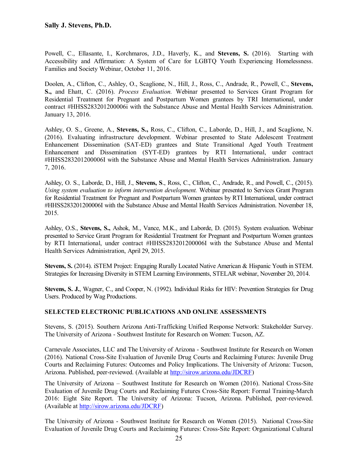Powell, C., Ellasante, I., Korchmaros, J.D., Haverly, K., and **Stevens, S.** (2016). Starting with Accessibility and Affirmation: A System of Care for LGBTQ Youth Experiencing Homelessness. Families and Society Webinar, October 11, 2016.

Doolen, A., Clifton, C., Ashley, O., Scaglione, N., Hill, J., Ross, C., Andrade, R., Powell, C., **Stevens, S.,** and Ehatt, C. (2016). *Process Evaluation.* Webinar presented to Services Grant Program for Residential Treatment for Pregnant and Postpartum Women grantees by TRI International, under contract #HHSS283201200006i with the Substance Abuse and Mental Health Services Administration. January 13, 2016.

Ashley, O. S., Greene, A., **Stevens, S.,** Ross, C., Clifton, C., Laborde, D., Hill, J., and Scaglione, N. (2016). Evaluating infrastructure development. Webinar presented to State Adolescent Treatment Enhancement Dissemination (SAT-ED) grantees and State Transitional Aged Youth Treatment Enhancement and Dissemination (SYT-ED) grantees by RTI International, under contract #HHSS283201200006I with the Substance Abuse and Mental Health Services Administration. January 7, 2016.

Ashley, O. S., Laborde, D., Hill, J., **Stevens, S**., Ross, C., Clifton, C., Andrade, R., and Powell, C., (2015). *Using system evaluation to inform intervention development.* Webinar presented to Services Grant Program for Residential Treatment for Pregnant and Postpartum Women grantees by RTI International, under contract #HHSS283201200006I with the Substance Abuse and Mental Health Services Administration. November 18, 2015.

Ashley, O.S., **Stevens, S.,** Ashok, M., Vance, M.K., and Laborde, D. (2015). System evaluation. Webinar presented to Service Grant Program for Residential Treatment for Pregnant and Postpartum Women grantees by RTI International, under contract #HHSS283201200006I with the Substance Abuse and Mental Health Services Administration, April 29, 2015.

**Stevens, S.** (2014). iSTEM Project: Engaging Rurally Located Native American & Hispanic Youth in STEM. Strategies for Increasing Diversity in STEM Learning Environments, STELAR webinar, November 20, 2014.

**Stevens, S. J.**, Wagner, C., and Cooper, N. (1992). Individual Risks for HIV: Prevention Strategies for Drug Users. Produced by Wag Productions.

#### **SELECTED ELECTRONIC PUBLICATIONS AND ONLINE ASSESSMENTS**

Stevens, S. (2015). Southern Arizona Anti-Trafficking Unified Response Network: Stakeholder Survey. The University of Arizona - Southwest Institute for Research on Women: Tucson, AZ.

Carnevale Associates, LLC and The University of Arizona - Southwest Institute for Research on Women (2016). National Cross-Site Evaluation of Juvenile Drug Courts and Reclaiming Futures: Juvenile Drug Courts and Reclaiming Futures: Outcomes and Policy Implications. The University of Arizona: Tucson, Arizona. Published, peer-reviewed. (Available at [http://sirow.arizona.edu/JDCRF\)](http://sirow.arizona.edu/JDCRF)

The University of Arizona – Southwest Institute for Research on Women (2016). National Cross-Site Evaluation of Juvenile Drug Courts and Reclaiming Futures Cross-Site Report: Formal Training-March 2016: Eight Site Report. The University of Arizona: Tucson, Arizona. Published, peer-reviewed. (Available at [http://sirow.arizona.edu/JDCRF\)](http://sirow.arizona.edu/JDCRF)

The University of Arizona - Southwest Institute for Research on Women (2015). National Cross-Site Evaluation of Juvenile Drug Courts and Reclaiming Futures: Cross-Site Report: Organizational Cultural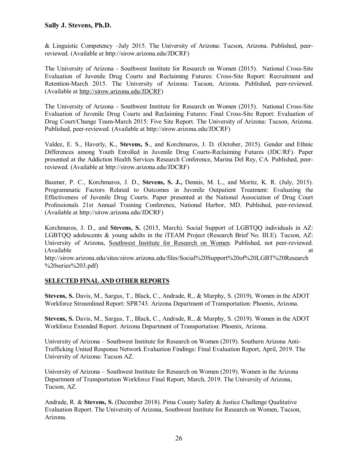& Linguistic Competency –July 2015. The University of Arizona: Tucson, Arizona. Published, peerreviewed. (Available at http://sirow.arizona.edu/JDCRF)

The University of Arizona - Southwest Institute for Research on Women (2015). National Cross-Site Evaluation of Juvenile Drug Courts and Reclaiming Futures: Cross-Site Report: Recruitment and Retention-March 2015. The University of Arizona: Tucson, Arizona. Published, peer-reviewed. (Available at [http://sirow.arizona.edu/JDCRF\)](http://sirow.arizona.edu/JDCRF)

The University of Arizona - Southwest Institute for Research on Women (2015). National Cross-Site Evaluation of Juvenile Drug Courts and Reclaiming Futures: Final Cross-Site Report: Evaluation of Drug Court/Change Team-March 2015: Five Site Report. The University of Arizona: Tucson, Arizona. Published, peer-reviewed. (Available at http://sirow.arizona.edu/JDCRF)

Valdez, E. S., Haverly, K., **Stevens, S**., and Korchmaros, J. D. (October, 2015). Gender and Ethnic Differences among Youth Enrolled in Juvenile Drug Courts-Reclaiming Futures (JDC/RF). Paper presented at the Addiction Health Services Research Conference, Marina Del Rey, CA. Published, peerreviewed. (Available at http://sirow.arizona.edu/JDCRF)

Baumer, P. C., Korchmaros, J. D., **Stevens, S. J.,** Dennis, M. L., and Moritz, K. R. (July, 2015). Programmatic Factors Related to Outcomes in Juvenile Outpatient Treatment: Evaluating the Effectiveness of Juvenile Drug Courts. Paper presented at the National Association of Drug Court Professionals 21st Annual Training Conference, National Harbor, MD. Published, peer-reviewed. (Available at http://sirow.arizona.edu/JDCRF)

Korchmaros, J. D., and **Stevens, S.** (2015, March). Social Support of LGBTQQ individuals in AZ: LGBTQQ adolescents & young adults in the iTEAM Project (Research Brief No. III.E). Tucson, AZ: University of Arizona, [Southwest Institute for Research on Women.](http://sirow.arizona.edu/) Published, not peer-reviewed. (Available at a contract of  $\alpha$ ) and  $\alpha$  at a contract of  $\alpha$  at a contract of  $\alpha$  at a contract of  $\alpha$  at a contract of  $\alpha$  at a contract of  $\alpha$  at a contract of  $\alpha$  at a contract of  $\alpha$  at a contract of  $\alpha$  at http://sirow.arizona.edu/sites/sirow.arizona.edu/files/Social%20Support%20of%20LGBT%20Research

# **SELECTED FINAL AND OTHER REPORTS**

%20series%203.pdf)

**Stevens, S.** Davis, M., Sargus, T., Black, C., Andrade, R., & Murphy, S. (2019). Women in the ADOT Workforce Streamlined Report: SPR743. Arizona Department of Transportation: Phoenix, Arizona.

**Stevens, S.** Davis, M., Sargus, T., Black, C., Andrade, R., & Murphy, S. (2019). Women in the ADOT Workforce Extended Report. Arizona Department of Transportation: Phoenix, Arizona.

University of Arizona – Southwest Institute for Research on Women (2019). Southern Arizona Anti-Trafficking United Response Network Evaluation Findings: Final Evaluation Report, April, 2019. The University of Arizona: Tucson AZ.

University of Arizona – Southwest Institute for Research on Women (2019). Women in the Arizona Department of Transportation Workforce Final Report, March, 2019. The University of Arizona, Tucson, AZ.

Andrade, R. & **Stevens, S.** (December 2018). Pima County Safety & Justice Challenge Qualitative Evaluation Report. The University of Arizona, Southwest Institute for Research on Women, Tucson, Arizona.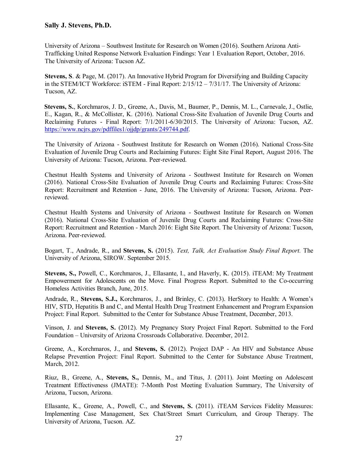University of Arizona – Southwest Institute for Research on Women (2016). Southern Arizona Anti-Trafficking United Response Network Evaluation Findings: Year 1 Evaluation Report, October, 2016. The University of Arizona: Tucson AZ.

**Stevens, S**. & Page, M. (2017). An Innovative Hybrid Program for Diversifying and Building Capacity in the STEM/ICT Workforce: iSTEM - Final Report: 2/15/12 – 7/31/17. The University of Arizona: Tucson, AZ.

 **Stevens, S.**, Korchmaros, J. D., Greene, A., Davis, M., Baumer, P., Dennis, M. L., Carnevale, J., Ostlie, E., Kagan, R., & McCollister, K. (2016). National Cross-Site Evaluation of Juvenile Drug Courts and Reclaiming Futures - Final Report: 7/1/2011-6/30/2015. The University of Arizona: Tucson, AZ. [https://www.ncjrs.gov/pdffiles1/ojjdp/grants/249744.pdf.](https://www.ncjrs.gov/pdffiles1/ojjdp/grants/249744.pdf)

The University of Arizona - Southwest Institute for Research on Women (2016). National Cross-Site Evaluation of Juvenile Drug Courts and Reclaiming Futures: Eight Site Final Report, August 2016. The University of Arizona: Tucson, Arizona. Peer-reviewed.

Chestnut Health Systems and University of Arizona - Southwest Institute for Research on Women (2016). National Cross-Site Evaluation of Juvenile Drug Courts and Reclaiming Futures: Cross-Site Report: Recruitment and Retention - June, 2016. The University of Arizona: Tucson, Arizona. Peerreviewed.

Chestnut Health Systems and University of Arizona - Southwest Institute for Research on Women (2016). National Cross-Site Evaluation of Juvenile Drug Courts and Reclaiming Futures: Cross-Site Report: Recruitment and Retention - March 2016: Eight Site Report. The University of Arizona: Tucson, Arizona. Peer-reviewed.

Bogart, T., Andrade, R., and **Stevens, S.** (2015). *Text, Talk, Act Evaluation Study Final Report.* The University of Arizona, SIROW. September 2015.

**Stevens, S.,** Powell, C., Korchmaros, J., Ellasante, I., and Haverly, K. (2015). iTEAM: My Treatment Empowerment for Adolescents on the Move. Final Progress Report. Submitted to the Co-occurring Homeless Activities Branch, June, 2015.

Andrade, R., **Stevens, S.J.,** Korchmaros, J., and Brinley, C. (2013). HerStory to Health: A Women's HIV, STD, Hepatitis B and C, and Mental Health Drug Treatment Enhancement and Program Expansion Project: Final Report. Submitted to the Center for Substance Abuse Treatment, December, 2013.

Vinson, J. and **Stevens, S.** (2012). My Pregnancy Story Project Final Report. Submitted to the Ford Foundation – University of Arizona Crossroads Collaborative. December, 2012.

Greene, A., Korchmaros, J., and **Stevens, S.** (2012). Project DAP - An HIV and Substance Abuse Relapse Prevention Project: Final Report. Submitted to the Center for Substance Abuse Treatment, March, 2012.

Riuz, B., Greene, A., **Stevens, S.,** Dennis, M., and Titus, J. (2011). Joint Meeting on Adolescent Treatment Effectiveness (JMATE): 7-Month Post Meeting Evaluation Summary, The University of Arizona, Tucson, Arizona.

Ellasante, K., Greene, A., Powell, C., and **Stevens, S.** (2011). iTEAM Services Fidelity Measures: Implementing Case Management, Sex Chat/Street Smart Curriculum, and Group Therapy. The University of Arizona, Tucson. AZ.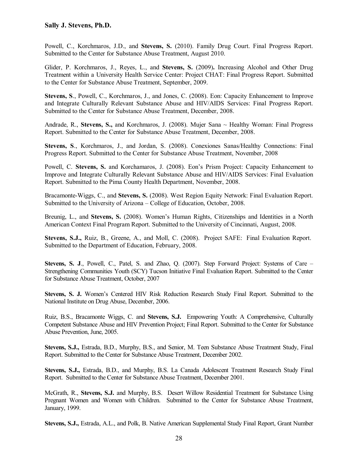Powell, C., Korchmaros, J.D., and **Stevens, S.** (2010). Family Drug Court. Final Progress Report. Submitted to the Center for Substance Abuse Treatment, August 2010.

Glider, P. Korchmaros, J., Reyes, L., and **Stevens, S.** (2009)**.** Increasing Alcohol and Other Drug Treatment within a University Health Service Center: Project CHAT: Final Progress Report. Submitted to the Center for Substance Abuse Treatment, September, 2009.

**Stevens, S**., Powell, C., Korchmaros, J., and Jones, C. (2008). Eon: Capacity Enhancement to Improve and Integrate Culturally Relevant Substance Abuse and HIV/AIDS Services: Final Progress Report. Submitted to the Center for Substance Abuse Treatment, December, 2008.

Andrade, R., **Stevens, S.,** and Korchmaros, J. (2008). Mujer Sana ~ Healthy Woman: Final Progress Report. Submitted to the Center for Substance Abuse Treatment, December, 2008.

**Stevens, S**., Korchmaros, J., and Jordan, S. (2008). Conexiones Sanas/Healthy Connections: Final Progress Report. Submitted to the Center for Substance Abuse Treatment, November, 2008

Powell, C. **Stevens, S.** and Korchamaros, J. (2008). Eon's Prism Project: Capacity Enhancement to Improve and Integrate Culturally Relevant Substance Abuse and HIV/AIDS Services: Final Evaluation Report. Submitted to the Pima County Health Department, November, 2008.

Bracamonte-Wiggs, C., and **Stevens, S.** (2008). West Region Equity Network: Final Evaluation Report. Submitted to the University of Arizona – College of Education, October, 2008.

Breunig, L., and **Stevens, S.** (2008). Women's Human Rights, Citizenships and Identities in a North American Context Final Program Report. Submitted to the University of Cincinnati, August, 2008.

**Stevens, S.J.,** Ruiz, B., Greene, A., and Moll, C. (2008). Project SAFE: Final Evaluation Report. Submitted to the Department of Education, February, 2008.

**Stevens, S. J**., Powell, C., Patel, S. and Zhao, Q. (2007). Step Forward Project: Systems of Care – Strengthening Communities Youth (SCY) Tucson Initiative Final Evaluation Report. Submitted to the Center for Substance Abuse Treatment, October, 2007

**Stevens, S. J.** Women's Centered HIV Risk Reduction Research Study Final Report. Submitted to the National Institute on Drug Abuse, December, 2006.

Ruiz, B.S., Bracamonte Wiggs, C. and **Stevens, S.J.** Empowering Youth: A Comprehensive, Culturally Competent Substance Abuse and HIV Prevention Project; Final Report. Submitted to the Center for Substance Abuse Prevention, June, 2005.

**Stevens, S.J.,** Estrada, B.D., Murphy, B.S., and Senior, M. Teen Substance Abuse Treatment Study, Final Report. Submitted to the Center for Substance Abuse Treatment, December 2002.

**Stevens, S.J.,** Estrada, B.D., and Murphy, B.S. La Canada Adolescent Treatment Research Study Final Report. Submitted to the Center for Substance Abuse Treatment, December 2001.

McGrath, R., **Stevens, S.J.** and Murphy, B.S. Desert Willow Residential Treatment for Substance Using Pregnant Women and Women with Children. Submitted to the Center for Substance Abuse Treatment, January, 1999.

**Stevens, S.J.,** Estrada, A.L., and Polk, B. Native American Supplemental Study Final Report, Grant Number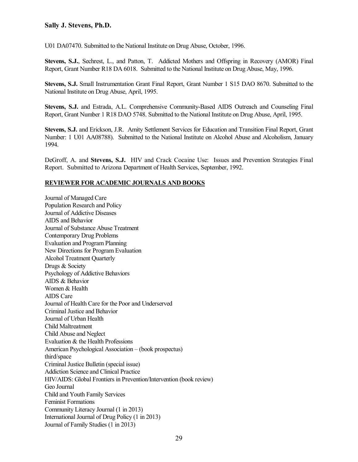U01 DA07470. Submitted to the National Institute on Drug Abuse, October, 1996.

**Stevens, S.J.**, Sechrest, L., and Patton, T. Addicted Mothers and Offspring in Recovery (AMOR) Final Report, Grant Number R18 DA 6018. Submitted to the National Institute on Drug Abuse, May, 1996.

**Stevens, S.J.** Small Instrumentation Grant Final Report, Grant Number 1 S15 DAO 8670. Submitted to the National Institute on Drug Abuse, April, 1995.

**Stevens, S.J.** and Estrada, A.L. Comprehensive Community-Based AIDS Outreach and Counseling Final Report, Grant Number 1 R18 DAO 5748. Submitted to the National Institute on Drug Abuse, April, 1995.

**Stevens, S.J.** and Erickson, J.R. Amity Settlement Services for Education and Transition Final Report, Grant Number: 1 U01 AA08788). Submitted to the National Institute on Alcohol Abuse and Alcoholism, January 1994.

DeGroff, A. and **Stevens, S.J.** HIV and Crack Cocaine Use: Issues and Prevention Strategies Final Report. Submitted to Arizona Department of Health Services, September, 1992.

#### **REVIEWER FOR ACADEMIC JOURNALS AND BOOKS**

Journal of Managed Care Population Research and Policy Journal of Addictive Diseases AIDS and Behavior Journal of Substance Abuse Treatment Contemporary Drug Problems Evaluation and Program Planning New Directions for Program Evaluation Alcohol Treatment Quarterly Drugs & Society Psychology of Addictive Behaviors AIDS & Behavior Women & Health AIDS Care Journal of Health Care for the Poor and Underserved Criminal Justice and Behavior Journal of Urban Health Child Maltreatment Child Abuse and Neglect Evaluation & the Health Professions American Psychological Association – (book prospectus) third/space Criminal Justice Bulletin (special issue) Addiction Science and Clinical Practice HIV/AIDS: Global Frontiers in Prevention/Intervention (book review) Geo Journal Child and Youth Family Services Feminist Formations Community Literacy Journal (1 in 2013) International Journal of Drug Policy (1 in 2013) Journal of Family Studies (1 in 2013)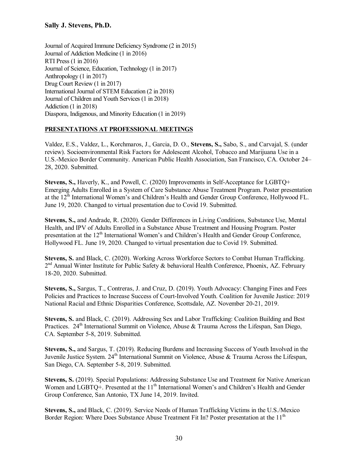Journal of Acquired Immune Deficiency Syndrome (2 in 2015) Journal of Addiction Medicine (1 in 2016) RTI Press (1 in 2016) Journal of Science, Education, Technology (1 in 2017) Anthropology (1 in 2017) Drug Court Review (1 in 2017) International Journal of STEM Education (2 in 2018) Journal of Children and Youth Services (1 in 2018) Addiction (1 in 2018) Diaspora, Indigenous, and Minority Education (1 in 2019)

#### **PRESENTATIONS AT PROFESSIONAL MEETINGS**

Valdez, E.S., Valdez, L., Korchmaros, J., Garcia, D. O., **Stevens, S.,** Sabo, S., and Carvajal, S. (under review). Socioenvironmental Risk Factors for Adolescent Alcohol, Tobacco and Marijuana Use in a U.S.-Mexico Border Community. American Public Health Association, San Francisco, CA. October 24– 28, 2020. Submitted.

**Stevens, S.,** Haverly, K., and Powell, C. (2020) Improvements in Self-Acceptance for LGBTQ+ Emerging Adults Enrolled in a System of Care Substance Abuse Treatment Program. Poster presentation at the 12th International Women's and Children's Health and Gender Group Conference, Hollywood FL. June 19, 2020. Changed to virtual presentation due to Covid 19. Submitted.

**Stevens, S.,** and Andrade, R. (2020). Gender Differences in Living Conditions, Substance Use, Mental Health, and IPV of Adults Enrolled in a Substance Abuse Treatment and Housing Program. Poster presentation at the 12<sup>th</sup> International Women's and Children's Health and Gender Group Conference, Hollywood FL. June 19, 2020. Changed to virtual presentation due to Covid 19. Submitted.

**Stevens, S.** and Black, C. (2020). Working Across Workforce Sectors to Combat Human Trafficking.  $2<sup>nd</sup>$  Annual Winter Institute for Public Safety & behavioral Health Conference, Phoenix, AZ. February 18-20, 2020. Submitted.

**Stevens, S.,** Sargus, T., Contreras, J. and Cruz, D. (2019). Youth Advocacy: Changing Fines and Fees Policies and Practices to Increase Success of Court-Involved Youth. Coalition for Juvenile Justice: 2019 National Racial and Ethnic Disparities Conference, Scottsdale, AZ. November 20-21, 2019.

**Stevens, S.** and Black, C. (2019). Addressing Sex and Labor Trafficking: Coalition Building and Best Practices. 24<sup>th</sup> International Summit on Violence, Abuse & Trauma Across the Lifespan, San Diego, CA. September 5-8, 2019. Submitted.

**Stevens, S.,** and Sargus, T. (2019). Reducing Burdens and Increasing Success of Youth Involved in the Juvenile Justice System. 24<sup>th</sup> International Summit on Violence, Abuse & Trauma Across the Lifespan, San Diego, CA. September 5-8, 2019. Submitted.

**Stevens, S.** (2019). Special Populations: Addressing Substance Use and Treatment for Native American Women and LGBTQ+. Presented at the 11<sup>th</sup> International Women's and Children's Health and Gender Group Conference, San Antonio, TX June 14, 2019. Invited.

**Stevens, S.,** and Black, C. (2019). Service Needs of Human Trafficking Victims in the U.S./Mexico Border Region: Where Does Substance Abuse Treatment Fit In? Poster presentation at the  $11<sup>th</sup>$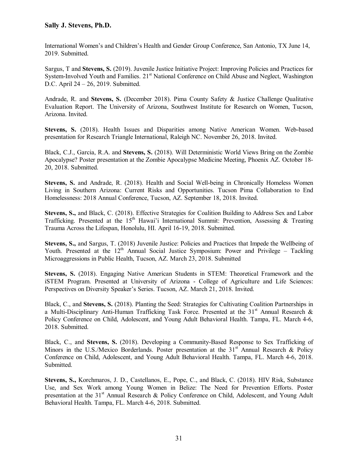International Women's and Children's Health and Gender Group Conference, San Antonio, TX June 14, 2019. Submitted.

Sargus, T and **Stevens, S.** (2019). Juvenile Justice Initiative Project: Improving Policies and Practices for System-Involved Youth and Families. 21<sup>st</sup> National Conference on Child Abuse and Neglect, Washington D.C. April 24 – 26, 2019. Submitted.

Andrade, R. and **Stevens, S.** (December 2018). Pima County Safety & Justice Challenge Qualitative Evaluation Report. The University of Arizona, Southwest Institute for Research on Women, Tucson, Arizona. Invited.

**Stevens, S.** (2018). Health Issues and Disparities among Native American Women. Web-based presentation for Research Triangle International, Raleigh NC. November 26, 2018. Invited.

Black, C.J., Garcia, R.A. and **Stevens, S.** (2018). Will Deterministic World Views Bring on the Zombie Apocalypse? Poster presentation at the Zombie Apocalypse Medicine Meeting, Phoenix AZ. October 18- 20, 2018. Submitted.

**Stevens, S.** and Andrade, R. (2018). Health and Social Well-being in Chronically Homeless Women Living in Southern Arizona: Current Risks and Opportunities. Tucson Pima Collaboration to End Homelessness: 2018 Annual Conference, Tucson, AZ. September 18, 2018. Invited.

**Stevens, S.,** and Black, C. (2018). Effective Strategies for Coalition Building to Address Sex and Labor Trafficking. Presented at the  $15<sup>th</sup>$  Hawai'i International Summit: Prevention, Assessing & Treating Trauma Across the Lifespan, Honolulu, HI. April 16-19, 2018. Submitted.

**Stevens, S.,** and Sargus, T. (2018) Juvenile Justice: Policies and Practices that Impede the Wellbeing of Youth. Presented at the  $12<sup>th</sup>$  Annual Social Justice Symposium: Power and Privilege – Tackling Microaggressions in Public Health, Tucson, AZ. March 23, 2018. Submitted

**Stevens, S.** (2018). Engaging Native American Students in STEM: Theoretical Framework and the iSTEM Program. Presented at University of Arizona - College of Agriculture and Life Sciences: Perspectives on Diversity Speaker's Series. Tucson, AZ. March 21, 2018. Invited.

Black, C., and **Stevens, S.** (2018). Planting the Seed: Strategies for Cultivating Coalition Partnerships in a Multi-Disciplinary Anti-Human Trafficking Task Force. Presented at the  $31<sup>st</sup>$  Annual Research & Policy Conference on Child, Adolescent, and Young Adult Behavioral Health. Tampa, FL. March 4-6, 2018. Submitted.

Black, C., and **Stevens, S.** (2018). Developing a Community-Based Response to Sex Trafficking of Minors in the U.S./Mexico Borderlands. Poster presentation at the  $31<sup>st</sup>$  Annual Research & Policy Conference on Child, Adolescent, and Young Adult Behavioral Health. Tampa, FL. March 4-6, 2018. Submitted.

**Stevens, S.,** Korchmaros, J. D., Castellanos, E., Pope, C., and Black, C. (2018). HIV Risk, Substance Use, and Sex Work among Young Women in Belize: The Need for Prevention Efforts. Poster presentation at the  $31<sup>st</sup>$  Annual Research & Policy Conference on Child, Adolescent, and Young Adult Behavioral Health. Tampa, FL. March 4-6, 2018. Submitted.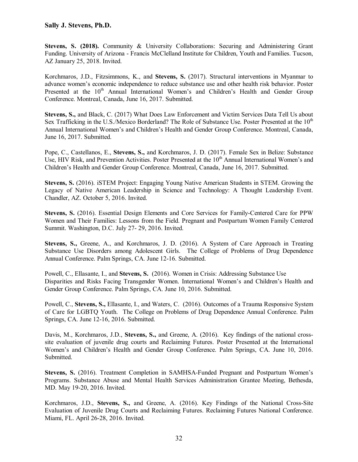**Stevens, S. (2018).** Community & University Collaborations: Securing and Administering Grant Funding. University of Arizona - Francis McClelland Institute for Children, Youth and Families. Tucson, AZ January 25, 2018. Invited.

Korchmaros, J.D., Fitzsimmons, K., and **Stevens, S.** (2017). Structural interventions in Myanmar to advance women's economic independence to reduce substance use and other health risk behavior. Poster Presented at the 10<sup>th</sup> Annual International Women's and Children's Health and Gender Group Conference. Montreal, Canada, June 16, 2017. Submitted.

**Stevens, S.,** and Black, C. (2017) What Does Law Enforcement and Victim Services Data Tell Us about Sex Trafficking in the U.S./Mexico Borderland? The Role of Substance Use. Poster Presented at the 10<sup>th</sup> Annual International Women's and Children's Health and Gender Group Conference. Montreal, Canada, June 16, 2017. Submitted.

Pope, C., Castellanos, E., **Stevens, S.,** and Korchmaros, J. D. (2017). Female Sex in Belize: Substance Use, HIV Risk, and Prevention Activities. Poster Presented at the  $10<sup>th</sup>$  Annual International Women's and Children's Health and Gender Group Conference. Montreal, Canada, June 16, 2017. Submitted.

**Stevens, S.** (2016). iSTEM Project: Engaging Young Native American Students in STEM. Growing the Legacy of Native American Leadership in Science and Technology: A Thought Leadership Event. Chandler, AZ. October 5, 2016. Invited.

**Stevens, S.** (2016). Essential Design Elements and Core Services for Family-Centered Care for PPW Women and Their Families: Lessons from the Field. Pregnant and Postpartum Women Family Centered Summit. Washington, D.C. July 27- 29, 2016. Invited.

**Stevens, S.,** Greene, A., and Korchmaros, J. D. (2016). A System of Care Approach in Treating Substance Use Disorders among Adolescent Girls. The College of Problems of Drug Dependence Annual Conference. Palm Springs, CA. June 12-16. Submitted.

Powell, C., Ellasante, I., and **Stevens, S.** (2016). Women in Crisis: Addressing Substance Use Disparities and Risks Facing Transgender Women. International Women's and Children's Health and Gender Group Conference. Palm Springs, CA. June 10, 2016. Submitted.

Powell, C., **Stevens, S.,** Ellasante, I., and Waters, C. (2016). Outcomes of a Trauma Responsive System of Care for LGBTQ Youth. The College on Problems of Drug Dependence Annual Conference. Palm Springs, CA. June 12-16, 2016. Submitted.

Davis, M., Korchmaros, J.D., **Stevens, S.,** and Greene, A. (2016). Key findings of the national crosssite evaluation of juvenile drug courts and Reclaiming Futures. Poster Presented at the International Women's and Children's Health and Gender Group Conference. Palm Springs, CA. June 10, 2016. Submitted.

**Stevens, S.** (2016). Treatment Completion in SAMHSA-Funded Pregnant and Postpartum Women's Programs. Substance Abuse and Mental Health Services Administration Grantee Meeting, Bethesda, MD. May 19-20, 2016. Invited.

Korchmaros, J.D., **Stevens, S.,** and Greene, A. (2016). Key Findings of the National Cross-Site Evaluation of Juvenile Drug Courts and Reclaiming Futures. Reclaiming Futures National Conference. Miami, FL. April 26-28, 2016. Invited.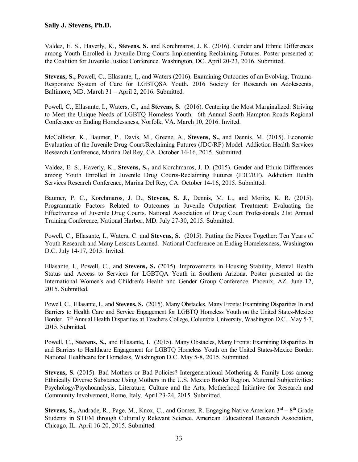Valdez, E. S., Haverly, K., **Stevens, S.** and Korchmaros, J. K. (2016). Gender and Ethnic Differences among Youth Enrolled in Juvenile Drug Courts Implementing Reclaiming Futures. Poster presented at the Coalition for Juvenile Justice Conference. Washington, DC. April 20-23, 2016. Submitted.

**Stevens, S.,** Powell, C., Ellasante, I,, and Waters (2016). Examining Outcomes of an Evolving, Trauma-Responsive System of Care for LGBTQSA Youth. 2016 Society for Research on Adolescents, Baltimore, MD. March 31 – April 2, 2016. Submitted.

Powell, C., Ellasante, I., Waters, C., and **Stevens, S.** (2016). Centering the Most Marginalized: Striving to Meet the Unique Needs of LGBTQ Homeless Youth. 6th Annual South Hampton Roads Regional Conference on Ending Homelessness, Norfolk, VA. March 10, 2016. Invited.

McCollister, K., Baumer, P., Davis, M., Greene, A., **Stevens, S.,** and Dennis, M. (2015). Economic Evaluation of the Juvenile Drug Court/Reclaiming Futures (JDC/RF) Model. Addiction Health Services Research Conference, Marina Del Rey, CA. October 14-16, 2015. Submitted.

Valdez, E. S., Haverly, K., **Stevens, S.,** and Korchmaros, J. D. (2015). Gender and Ethnic Differences among Youth Enrolled in Juvenile Drug Courts-Reclaiming Futures (JDC/RF). Addiction Health Services Research Conference, Marina Del Rey, CA. October 14-16, 2015. Submitted.

Baumer, P. C., Korchmaros, J. D., **Stevens, S. J.,** Dennis, M. L., and Moritz, K. R. (2015). Programmatic Factors Related to Outcomes in Juvenile Outpatient Treatment: Evaluating the Effectiveness of Juvenile Drug Courts. National Association of Drug Court Professionals 21st Annual Training Conference, National Harbor, MD. July 27-30, 2015. Submitted.

Powell, C., Ellasante, I., Waters, C. and **Stevens, S.** (2015). Putting the Pieces Together: Ten Years of Youth Research and Many Lessons Learned. National Conference on Ending Homelessness, Washington D.C. July 14-17, 2015. Invited.

Ellasante, I., Powell, C., and **Stevens, S.** (2015). Improvements in Housing Stability, Mental Health Status and Access to Services for LGBTQA Youth in Southern Arizona. Poster presented at the International Women's and Children's Health and Gender Group Conference. Phoenix, AZ. June 12, 2015. Submitted.

Powell, C., Ellasante, I., and **Stevens, S.** (2015). Many Obstacles, Many Fronts: Examining Disparities In and Barriers to Health Care and Service Engagement for LGBTQ Homeless Youth on the United States-Mexico Border. 7<sup>th</sup> Annual Health Disparities at Teachers College, Columbia University, Washington D.C. May 5-7, 2015. Submitted.

Powell, C., **Stevens, S.,** and Ellasante, I. (2015). Many Obstacles, Many Fronts: Examining Disparities In and Barriers to Healthcare Engagement for LGBTQ Homeless Youth on the United States-Mexico Border. National Healthcare for Homeless, Washington D.C. May 5-8, 2015. Submitted.

**Stevens, S.** (2015). Bad Mothers or Bad Policies? Intergenerational Mothering & Family Loss among Ethnically Diverse Substance Using Mothers in the U.S. Mexico Border Region. Maternal Subjectivities: Psychology/Psychoanalysis, Literature, Culture and the Arts, Motherhood Initiative for Research and Community Involvement, Rome, Italy. April 23-24, 2015. Submitted.

**Stevens, S., Andrade, R., Page, M., Knox, C., and Gomez, R. Engaging Native American 3<sup>rd</sup> – 8<sup>th</sup> Grade** Students in STEM through Culturally Relevant Science. American Educational Research Association, Chicago, IL. April 16-20, 2015. Submitted.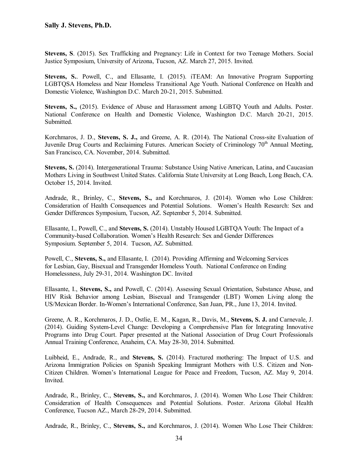**Stevens, S**. (2015). Sex Trafficking and Pregnancy: Life in Context for two Teenage Mothers. Social Justice Symposium, University of Arizona, Tucson, AZ. March 27, 2015. Invited.

**Stevens, S.**. Powell, C., and Ellasante, I. (2015). iTEAM: An Innovative Program Supporting LGBTQSA Homeless and Near Homeless Transitional Age Youth. National Conference on Health and Domestic Violence, Washington D.C. March 20-21, 2015. Submitted.

**Stevens, S.,** (2015). Evidence of Abuse and Harassment among LGBTQ Youth and Adults. Poster. National Conference on Health and Domestic Violence, Washington D.C. March 20-21, 2015. Submitted.

Korchmaros, J. D., **Stevens, S. J.,** and Greene, A. R. (2014). The National Cross-site Evaluation of Juvenile Drug Courts and Reclaiming Futures. American Society of Criminology 70<sup>th</sup> Annual Meeting, San Francisco, CA. November, 2014. Submitted.

**Stevens, S.** (2014). Intergenerational Trauma: Substance Using Native American, Latina, and Caucasian Mothers Living in Southwest United States. California State University at Long Beach, Long Beach, CA. October 15, 2014. Invited.

Andrade, R., Brinley, C., **Stevens, S.,** and Korchmaros, J. (2014). Women who Lose Children: Consideration of Health Consequences and Potential Solutions. Women's Health Research: Sex and Gender Differences Symposium, Tucson, AZ. September 5, 2014. Submitted.

Ellasante, I., Powell, C., and **Stevens, S.** (2014). Unstably Housed LGBTQA Youth: The Impact of a Community-based Collaboration. Women's Health Research: Sex and Gender Differences Symposium. September 5, 2014. Tucson, AZ. Submitted.

Powell, C., **Stevens, S.,** and Ellasante, I. (2014). Providing Affirming and Welcoming Services for Lesbian, Gay, Bisexual and Transgender Homeless Youth. National Conference on Ending Homelessness, July 29-31, 2014. Washington DC. Invited

Ellasante, I., **Stevens, S.,** and Powell, C. (2014). Assessing Sexual Orientation, Substance Abuse, and HIV Risk Behavior among Lesbian, Bisexual and Transgender (LBT) Women Living along the US/Mexican Border. In-Women's International Conference, San Juan, PR., June 13, 2014. Invited.

Greene, A. R., Korchmaros, J. D., Ostlie, E. M., Kagan, R., Davis, M., **Stevens, S. J.** and Carnevale, J. (2014). Guiding System-Level Change: Developing a Comprehensive Plan for Integrating Innovative Programs into Drug Court. Paper presented at the National Association of Drug Court Professionals Annual Training Conference, Anaheim, CA. May 28-30, 2014. Submitted.

Luibheid, E., Andrade, R., and **Stevens, S.** (2014). Fractured mothering: The Impact of U.S. and Arizona Immigration Policies on Spanish Speaking Immigrant Mothers with U.S. Citizen and Non-Citizen Children. Women's International League for Peace and Freedom, Tucson, AZ. May 9, 2014. Invited.

Andrade, R., Brinley, C., **Stevens, S.,** and Korchmaros, J. (2014). Women Who Lose Their Children: Consideration of Health Consequences and Potential Solutions. Poster. Arizona Global Health Conference, Tucson AZ., March 28-29, 2014. Submitted.

Andrade, R., Brinley, C., **Stevens, S.,** and Korchmaros, J. (2014). Women Who Lose Their Children: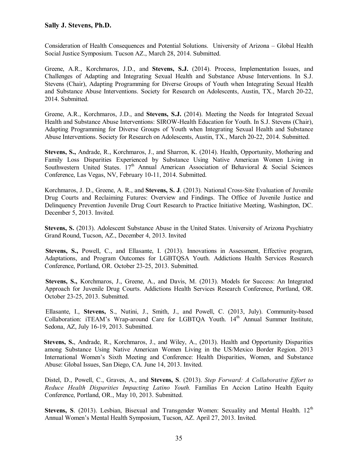Consideration of Health Consequences and Potential Solutions. University of Arizona – Global Health Social Justice Symposium. Tucson AZ., March 28, 2014. Submitted.

Greene, A.R., Korchmaros, J.D., and **Stevens, S.J.** (2014). Process, Implementation Issues, and Challenges of Adapting and Integrating Sexual Health and Substance Abuse Interventions. In S.J. Stevens (Chair), Adapting Programming for Diverse Groups of Youth when Integrating Sexual Health and Substance Abuse Interventions. Society for Research on Adolescents, Austin, TX., March 20-22, 2014. Submitted.

Greene, A.R., Korchmaros, J.D., and **Stevens, S.J.** (2014). Meeting the Needs for Integrated Sexual Health and Substance Abuse Interventions: SIROW-Health Education for Youth. In S.J. Stevens (Chair), Adapting Programming for Diverse Groups of Youth when Integrating Sexual Health and Substance Abuse Interventions. Society for Research on Adolescents, Austin, TX., March 20-22, 2014. Submitted.

**Stevens, S.,** Andrade, R., Korchmaros, J., and Sharron, K. (2014). Health, Opportunity, Mothering and Family Loss Disparities Experienced by Substance Using Native American Women Living in Southwestern United States. 17<sup>th</sup> Annual American Association of Behavioral & Social Sciences Conference, Las Vegas, NV, February 10-11, 2014. Submitted.

Korchmaros, J. D., Greene, A. R., and **Stevens, S. J**. (2013). National Cross-Site Evaluation of Juvenile Drug Courts and Reclaiming Futures: Overview and Findings. The Office of Juvenile Justice and Delinquency Prevention Juvenile Drug Court Research to Practice Initiative Meeting, Washington, DC. December 5, 2013. Invited.

**Stevens, S.** (2013). Adolescent Substance Abuse in the United States. University of Arizona Psychiatry Grand Round, Tucson, AZ., December 4, 2013. Invited

 **Stevens, S.,** Powell, C., and Ellasante, I. (2013). Innovations in Assessment, Effective program, Adaptations, and Program Outcomes for LGBTQSA Youth. Addictions Health Services Research Conference, Portland, OR. October 23-25, 2013. Submitted.

**Stevens, S.,** Korchmaros, J., Greene, A., and Davis, M. (2013). Models for Success: An Integrated Approach for Juvenile Drug Courts. Addictions Health Services Research Conference, Portland, OR. October 23-25, 2013. Submitted.

Ellasante, I., **Stevens,** S., Nutini, J., Smith, J., and Powell, C. (2013, July). Community-based Collaboration: iTEAM's Wrap-around Care for LGBTQA Youth. 14<sup>th</sup> Annual Summer Institute. Sedona, AZ, July 16-19, 2013. Submitted.

**Stevens, S.**, Andrade, R., Korchmaros, J., and Wiley, A., (2013). Health and Opportunity Disparities among Substance Using Native American Women Living in the US/Mexico Border Region. 2013 International Women's Sixth Meeting and Conference: Health Disparities, Women, and Substance Abuse: Global Issues, San Diego, CA. June 14, 2013. Invited.

Distel, D., Powell, C., Graves, A., and **Stevens, S**. (2013). *Step Forward: A Collaborative Effort to Reduce Health Disparities Impacting Latino Youth.* Familias En Accion Latino Health Equity Conference, Portland, OR., May 10, 2013. Submitted.

Stevens, S. (2013). Lesbian, Bisexual and Transgender Women: Sexuality and Mental Health. 12<sup>th</sup> Annual Women's Mental Health Symposium, Tucson, AZ. April 27, 2013. Invited.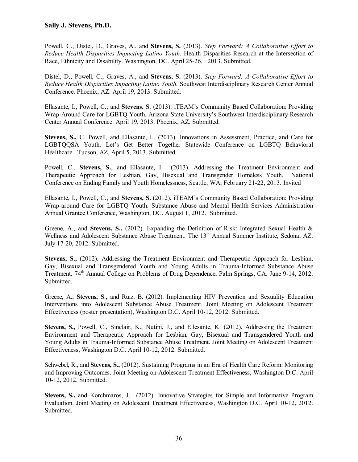Powell, C., Distel, D., Graves, A., and **Stevens, S.** (2013). *Step Forward: A Collaborative Effort to Reduce Health Disparities Impacting Latino Youth.* Health Disparities Research at the Intersection of Race, Ethnicity and Disability. Washington, DC. April 25-26, 2013. Submitted.

Distel, D., Powell, C., Graves, A., and **Stevens, S.** (2013). *Step Forward: A Collaborative Effort to Reduce Health Disparities Impacting Latino Youth.* Southwest Interdisciplinary Research Center Annual Conference. Phoenix, AZ. April 19, 2013. Submitted.

Ellasante, I., Powell, C., and **Stevens. S**. (2013). iTEAM's Community Based Collaboration: Providing Wrap-Around Care for LGBTQ Youth. Arizona State University's Southwest Interdisciplinary Research Center Annual Conference. April 19, 2013. Phoenix, AZ. Submitted.

**Stevens, S.,** C. Powell, and Ellasante, I.. (2013). Innovations in Assessment, Practice, and Care for LGBTQQSA Youth. Let's Get Better Together Statewide Conference on LGBTQ Behavioral Healthcare. Tucson, AZ, April 5, 2013. Submitted.

Powell, C., **Stevens, S.**, and Ellasante, I. (2013). Addressing the Treatment Environment and Therapeutic Approach for Lesbian, Gay, Bisexual and Transgender Homeless Youth. National Conference on Ending Family and Youth Homelessness, Seattle, WA, February 21-22, 2013. Invited

Ellasante, I., Powell, C., and **Stevens, S.** (2012). iTEAM's Community Based Collaboration: Providing Wrap-around Care for LGBTQ Youth. Substance Abuse and Mental Health Services Administration Annual Grantee Conference, Washington, DC. August 1, 2012. Submitted.

Greene, A., and **Stevens, S.,** (2012). Expanding the Definition of Risk: Integrated Sexual Health & Wellness and Adolescent Substance Abuse Treatment. The 13<sup>th</sup> Annual Summer Institute, Sedona, AZ. July 17-20, 2012. Submitted.

**Stevens, S.,** (2012). Addressing the Treatment Environment and Therapeutic Approach for Lesbian, Gay, Bisexual and Transgendered Youth and Young Adults in Trauma-Informed Substance Abuse Treatment. 74<sup>th</sup> Annual College on Problems of Drug Dependence, Palm Springs, CA. June 9-14, 2012. Submitted.

Greene, A., **Stevens, S**., and Ruiz, B. (2012). Implementing HIV Prevention and Sexuality Education Interventions into Adolescent Substance Abuse Treatment. Joint Meeting on Adolescent Treatment Effectiveness (poster presentation), Washington D.C. April 10-12, 2012. Submitted.

**Stevens, S.,** Powell, C., Sinclair, K., Nutini, J., and Ellesante, K. (2012). Addressing the Treatment Environment and Therapeutic Approach for Lesbian, Gay, Bisexual and Transgendered Youth and Young Adults in Trauma-Informed Substance Abuse Treatment. Joint Meeting on Adolescent Treatment Effectiveness, Washington D.C. April 10-12, 2012. Submitted.

Schwebel, R., and **Stevens, S.,** (2012). Sustaining Programs in an Era of Health Care Reform: Monitoring and Improving Outcomes. Joint Meeting on Adolescent Treatment Effectiveness, Washington D.C. April 10-12, 2012. Submitted.

**Stevens, S.,** and Korchmaros, J. (2012). Innovative Strategies for Simple and Informative Program Evaluation. Joint Meeting on Adolescent Treatment Effectiveness, Washington D.C. April 10-12, 2012. Submitted.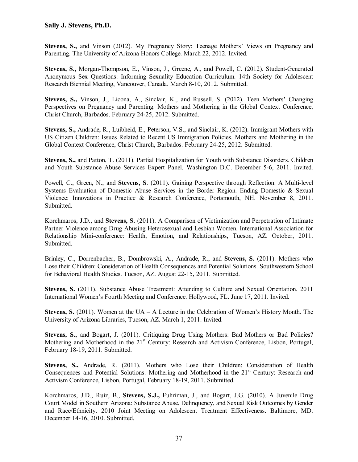**Stevens, S.,** and Vinson (2012). My Pregnancy Story: Teenage Mothers' Views on Pregnancy and Parenting. The University of Arizona Honors College. March 22, 2012. Invited.

**Stevens, S.,** Morgan-Thompson, E., Vinson, J., Greene, A., and Powell, C. (2012). Student-Generated Anonymous Sex Questions: Informing Sexuality Education Curriculum. 14th Society for Adolescent Research Biennial Meeting, Vancouver, Canada. March 8-10, 2012. Submitted.

**Stevens, S.,** Vinson, J., Licona, A., Sinclair, K., and Russell, S. (2012). Teen Mothers' Changing Perspectives on Pregnancy and Parenting. Mothers and Mothering in the Global Context Conference, Christ Church, Barbados. February 24-25, 2012. Submitted.

**Stevens, S.,** Andrade, R., Luibheid, E., Peterson, V.S., and Sinclair, K. (2012). Immigrant Mothers with US Citizen Children: Issues Related to Recent US Immigration Policies. Mothers and Mothering in the Global Context Conference, Christ Church, Barbados. February 24-25, 2012. Submitted.

**Stevens, S.,** and Patton, T. (2011). Partial Hospitalization for Youth with Substance Disorders. Children and Youth Substance Abuse Services Expert Panel. Washington D.C. December 5-6, 2011. Invited.

Powell, C., Green, N., and **Stevens, S**. (2011). Gaining Perspective through Reflection: A Multi-level Systems Evaluation of Domestic Abuse Services in the Border Region. Ending Domestic & Sexual Violence: Innovations in Practice & Research Conference, Portsmouth, NH. November 8, 2011. Submitted.

Korchmaros, J.D., and **Stevens, S.** (2011). A Comparison of Victimization and Perpetration of Intimate Partner Violence among Drug Abusing Heterosexual and Lesbian Women. International Association for Relationship Mini-conference: Health, Emotion, and Relationships, Tucson, AZ. October, 2011. Submitted.

Brinley, C., Dorrenbacher, B., Dombrowski, A., Andrade, R., and **Stevens, S.** (2011). Mothers who Lose their Children: Consideration of Health Consequences and Potential Solutions. Southwestern School for Behavioral Health Studies. Tucson, AZ. August 22-15, 2011. Submitted.

**Stevens, S.** (2011). Substance Abuse Treatment: Attending to Culture and Sexual Orientation. 2011 International Women's Fourth Meeting and Conference. Hollywood, FL. June 17, 2011. Invited.

**Stevens, S.** (2011). Women at the UA – A Lecture in the Celebration of Women's History Month. The University of Arizona Libraries, Tucson, AZ. March 1, 2011. Invited.

**Stevens, S.,** and Bogart, J. (2011). Critiquing Drug Using Mothers: Bad Mothers or Bad Policies? Mothering and Motherhood in the 21<sup>st</sup> Century: Research and Activism Conference, Lisbon, Portugal, February 18-19, 2011. Submitted.

**Stevens, S.,** Andrade, R. (2011). Mothers who Lose their Children: Consideration of Health Consequences and Potential Solutions. Mothering and Motherhood in the 21<sup>st</sup> Century: Research and Activism Conference, Lisbon, Portugal, February 18-19, 2011. Submitted.

Korchmaros, J.D., Ruiz, B., **Stevens, S.J.,** Fuhriman, J., and Bogart, J.G. (2010). A Juvenile Drug Court Model in Southern Arizona: Substance Abuse, Delinquency, and Sexual Risk Outcomes by Gender and Race/Ethnicity. 2010 Joint Meeting on Adolescent Treatment Effectiveness. Baltimore, MD. December 14-16, 2010. Submitted.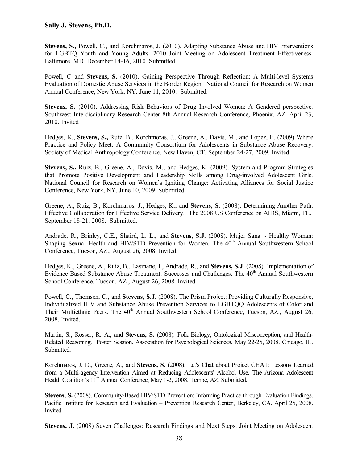**Stevens, S.,** Powell, C., and Korchmaros, J. (2010). Adapting Substance Abuse and HIV Interventions for LGBTQ Youth and Young Adults. 2010 Joint Meeting on Adolescent Treatment Effectiveness. Baltimore, MD. December 14-16, 2010. Submitted.

Powell, C and **Stevens, S.** (2010). Gaining Perspective Through Reflection: A Multi-level Systems Evaluation of Domestic Abuse Services in the Border Region. National Council for Research on Women Annual Conference, New York, NY. June 11, 2010. Submitted.

**Stevens, S.** (2010). Addressing Risk Behaviors of Drug Involved Women: A Gendered perspective. Southwest Interdisciplinary Research Center 8th Annual Research Conference, Phoenix, AZ. April 23, 2010. Invited

Hedges, K., **Stevens, S.,** Ruiz, B., Korchmoras, J., Greene, A., Davis, M., and Lopez, E. (2009) Where Practice and Policy Meet: A Community Consortium for Adolescents in Substance Abuse Recovery. Society of Medical Anthropology Conference. New Haven, CT. September 24-27, 2009. Invited

**Stevens, S.,** Ruiz, B., Greene, A., Davis, M., and Hedges, K. (2009). System and Program Strategies that Promote Positive Development and Leadership Skills among Drug-involved Adolescent Girls. National Council for Research on Women's Igniting Change: Activating Alliances for Social Justice Conference, New York, NY. June 10, 2009. Submitted.

Greene, A., Ruiz, B., Korchmaros, J., Hedges, K., and **Stevens, S.** (2008). Determining Another Path: Effective Collaboration for Effective Service Delivery. The 2008 US Conference on AIDS, Miami, FL. September 18-21, 2008. Submitted.

Andrade, R., Brinley, C.E., Shaird, L. L., and **Stevens, S.J.** (2008). Mujer Sana ~ Healthy Woman: Shaping Sexual Health and HIV/STD Prevention for Women. The 40<sup>th</sup> Annual Southwestern School Conference, Tucson, AZ., August 26, 2008. Invited.

Hedges, K., Greene, A., Ruiz, B., Lasmane, I., Andrade, R., and **Stevens, S.J**. (2008). Implementation of Evidence Based Substance Abuse Treatment. Successes and Challenges. The 40<sup>th</sup> Annual Southwestern School Conference, Tucson, AZ., August 26, 2008. Invited.

Powell, C., Thomsen, C., and **Stevens, S.J.** (2008). The Prism Project: Providing Culturally Responsive, Individualized HIV and Substance Abuse Prevention Services to LGBTQQ Adolescents of Color and Their Multiethnic Peers. The 40<sup>th</sup> Annual Southwestern School Conference, Tucson, AZ., August 26, 2008. Invited.

Martin, S., Rosser, R. A., and **Stevens, S.** (2008). Folk Biology, Ontological Misconception, and Health-Related Reasoning. Poster Session. Association for Psychological Sciences, May 22-25, 2008. Chicago, IL. Submitted.

Korchmaros, J. D., Greene, A., and **Stevens, S.** (2008). Let's Chat about Project CHAT: Lessons Learned from a Multi-agency Intervention Aimed at Reducing Adolescents' Alcohol Use. The Arizona Adolescent Health Coalition's 11<sup>th</sup> Annual Conference, May 1-2, 2008. Tempe, AZ. Submitted.

**Stevens, S.** (2008). Community-Based HIV/STD Prevention: Informing Practice through Evaluation Findings. Pacific Institute for Research and Evaluation – Prevention Research Center, Berkeley, CA. April 25, 2008. Invited.

**Stevens, J.** (2008) Seven Challenges: Research Findings and Next Steps. Joint Meeting on Adolescent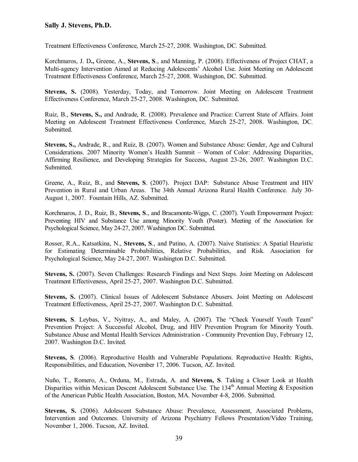Treatment Effectiveness Conference, March 25-27, 2008. Washington, DC*.* Submitted.

Korchmaros, J. D**.,** Greene, A., **Stevens, S**., and Manning, P. (2008). Effectiveness of Project CHAT, a Multi-agency Intervention Aimed at Reducing Adolescents' Alcohol Use. Joint Meeting on Adolescent Treatment Effectiveness Conference, March 25-27, 2008. Washington, DC*.* Submitted.

**Stevens, S.** (2008). Yesterday, Today, and Tomorrow. Joint Meeting on Adolescent Treatment Effectiveness Conference, March 25-27, 2008. Washington, DC*.* Submitted.

Ruiz, B., **Stevens, S.,** and Andrade, R. (2008). Prevalence and Practice: Current State of Affairs. Joint Meeting on Adolescent Treatment Effectiveness Conference, March 25-27, 2008. Washington, DC*.*  Submitted.

**Stevens, S.,** Andrade, R., and Ruiz, B. (2007). Women and Substance Abuse: Gender, Age and Cultural Considerations. 2007 Minority Women's Health Summit – Women of Color: Addressing Disparities, Affirming Resilience, and Developing Strategies for Success, August 23-26, 2007. Washington D.C. Submitted.

Greene, A., Ruiz, B., and **Stevens, S**. (2007). Project DAP: Substance Abuse Treatment and HIV Prevention in Rural and Urban Areas. The 34th Annual Arizona Rural Health Conference. July 30- August 1, 2007. Fountain Hills, AZ. Submitted.

Korchmaros, J. D., Ruiz, B., **Stevens, S**., and Bracamonte-Wiggs, C. (2007). Youth Empowerment Project: Preventing HIV and Substance Use among Minority Youth (Poster). Meeting of the Association for Psychological Science, May 24-27, 2007. Washington DC. Submitted.

Rosser, R.A., Katsatkina, N., **Stevens, S**., and Patino, A. (2007). Naive Statistics: A Spatial Heuristic for Estimating Determinable Probabilities, Relative Probabilities, and Risk. Association for Psychological Science, May 24-27, 2007. Washington D.C. Submitted.

**Stevens, S.** (2007). Seven Challenges: Research Findings and Next Steps. Joint Meeting on Adolescent Treatment Effectiveness, April 25-27, 2007. Washington D.C. Submitted.

**Stevens, S.** (2007). Clinical Issues of Adolescent Substance Abusers. Joint Meeting on Adolescent Treatment Effectiveness, April 25-27, 2007. Washington D.C. Submitted.

**Stevens, S**. Leybas, V., Nyitray, A., and Maley, A. (2007). The "Check Yourself Youth Team" Prevention Project: A Successful Alcohol, Drug, and HIV Prevention Program for Minority Youth. Substance Abuse and Mental Health Services Administration - Community Prevention Day, February 12, 2007. Washington D.C. Invited.

**Stevens, S**. (2006). Reproductive Health and Vulnerable Populations. Reproductive Health: Rights, Responsibilities, and Education, November 17, 2006. Tucson, AZ. Invited.

Nuño, T., Romero, A., Orduna, M., Estrada, A. and **Stevens, S**. Taking a Closer Look at Health Disparities within Mexican Descent Adolescent Substance Use. The 134<sup>th</sup> Annual Meeting & Exposition of the American Public Health Association, Boston, MA. November 4-8, 2006. Submitted.

**Stevens, S.** (2006). Adolescent Substance Abuse: Prevalence, Assessment, Associated Problems, Intervention and Outcomes. University of Arizona Psychiatry Fellows Presentation/Video Training, November 1, 2006. Tucson, AZ. Invited.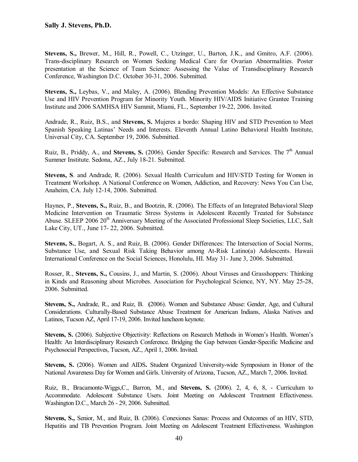**Stevens, S.,** Brewer, M., Hill, R., Powell, C., Utzinger, U., Barton, J.K., and Gmitro, A.F. (2006). Trans-disciplinary Research on Women Seeking Medical Care for Ovarian Abnormalities. Poster presentation at the Science of Team Science: Assessing the Value of Transdisciplinary Research Conference, Washington D.C. October 30-31, 2006. Submitted.

**Stevens, S.,** Leybas, V., and Maley, A. (2006). Blending Prevention Models: An Effective Substance Use and HIV Prevention Program for Minority Youth. Minority HIV/AIDS Initiative Grantee Training Institute and 2006 SAMHSA HIV Summit, Miami, FL., September 19-22, 2006. Invited.

Andrade, R., Ruiz, B.S., and **Stevens, S.** Mujeres a bordo: Shaping HIV and STD Prevention to Meet Spanish Speaking Latinas' Needs and Interests. Eleventh Annual Latino Behavioral Health Institute, Universal City, CA. September 19, 2006. Submitted.

Ruiz, B., Priddy, A., and **Stevens, S.** (2006). Gender Specific: Research and Services. The 7<sup>th</sup> Annual Summer Institute. Sedona, AZ., July 18-21. Submitted.

**Stevens, S**. and Andrade, R. (2006). Sexual Health Curriculum and HIV/STD Testing for Women in Treatment Workshop. A National Conference on Women, Addiction, and Recovery: News You Can Use, Anaheim, CA. July 12-14, 2006. Submitted.

Haynes, P., **Stevens, S.,** Ruiz, B., and Bootzin, R. (2006). The Effects of an Integrated Behavioral Sleep Medicine Intervention on Traumatic Stress Systems in Adolescent Recently Treated for Substance Abuse. SLEEP 2006 20<sup>th</sup> Anniversary Meeting of the Associated Professional Sleep Societies, LLC, Salt Lake City, UT., June 17- 22, 2006. Submitted.

**Stevens, S.**, Bogart, A. S., and Ruiz, B. (2006). Gender Differences: The Intersection of Social Norms, Substance Use, and Sexual Risk Taking Behavior among At-Risk Latino(a) Adolescents. Hawaii International Conference on the Social Sciences, Honolulu, HI. May 31- June 3, 2006. Submitted.

Rosser, R., **Stevens, S.,** Cousins, J., and Martin, S. (2006). About Viruses and Grasshoppers: Thinking in Kinds and Reasoning about Microbes. Association for Psychological Science, NY, NY. May 25-28, 2006. Submitted.

**Stevens, S.,** Andrade, R., and Ruiz, B. **(**2006). Women and Substance Abuse: Gender, Age, and Cultural Considerations. Culturally-Based Substance Abuse Treatment for American Indians, Alaska Natives and Latinos, Tucson AZ, April 17-19, 2006. Invited luncheon keynote.

**Stevens, S.** (2006). Subjective Objectivity: Reflections on Research Methods in Women's Health. Women's Health: An Interdisciplinary Research Conference. Bridging the Gap between Gender-Specific Medicine and Psychosocial Perspectives, Tucson, AZ., April 1, 2006. Invited.

**Stevens, S.** (2006). Women and AIDS**.** Student Organized University-wide Symposium in Honor of the National Awareness Day for Women and Girls. University of Arizona, Tucson, AZ., March 7, 2006. Invited.

Ruiz, B., Bracamonte-Wiggs,C., Barron, M., and **Stevens, S.** (2006). 2, 4, 6, 8, - Curriculum to Accommodate. Adolescent Substance Users. Joint Meeting on Adolescent Treatment Effectiveness. Washington D.C., March 26 - 29, 2006. Submitted.

**Stevens, S.,** Senior, M., and Ruiz, B. (2006). Conexiones Sanas: Process and Outcomes of an HIV, STD, Hepatitis and TB Prevention Program. Joint Meeting on Adolescent Treatment Effectiveness. Washington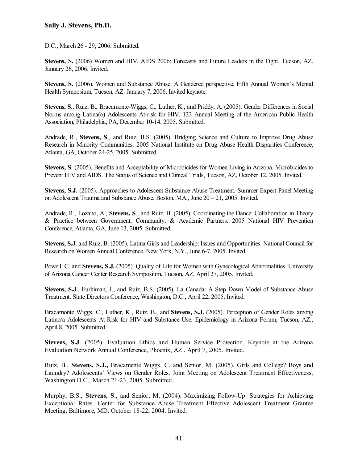D.C., March 26 - 29, 2006. Submitted.

**Stevens, S.** (2006) Women and HIV. AIDS 2006: Forecasts and Future Leaders in the Fight. Tucson, AZ. January 26, 2006. Invited.

**Stevens, S.** (2006). Women and Substance Abuse: A Gendered perspective. Fifth Annual Women's Mental Health Symposium, Tucson, AZ. January 7, 2006. Invited keynote.

**Stevens, S**., Ruiz, B., Bracamonte-Wiggs, C., Luther, K., and Priddy, A. (2005). Gender Differences in Social Norms among Latina(o) Adolescents At-risk for HIV. 133 Annual Meeting of the American Public Health Association, Philadelphia, PA, December 10-14, 2005. Submitted.

Andrade, R., **Stevens, S**., and Ruiz, B.S. (2005). Bridging Science and Culture to Improve Drug Abuse Research in Minority Communities. 2005 National Institute on Drug Abuse Health Disparities Conference, Atlanta, GA, October 24-25, 2005. Submitted.

**Stevens, S**. (2005). Benefits and Acceptability of Microbicides for Women Living in Arizona. Microbicides to Prevent HIV and AIDS. The Status of Science and Clinical Trials, Tucson, AZ, October 12, 2005. Invited.

**Stevens, S.J.** (2005). Approaches to Adolescent Substance Abuse Treatment. Summer Expert Panel Meeting on Adolescent Trauma and Substance Abuse, Boston, MA., June 20 – 21, 2005. Invited.

Andrade, R., Lozano, A., **Stevens, S**., and Ruiz, B. (2005). Coordinating the Dance: Collaboration in Theory & Practice between Government, Community, & Academic Partners. 2005 National HIV Prevention Conference, Atlanta, GA, June 13, 2005. Submitted.

**Stevens, S.J**. and Ruiz, B. (2005). Latina Girls and Leadership: Issues and Opportunities. National Council for Research on Women Annual Conference, New York, N.Y., June 6-7, 2005. Invited.

Powell, C. and **Stevens, S.J.** (2005). Quality of Life for Women with Gynecological Abnormalities. University of Arizona Cancer Center Research Symposium, Tucson, AZ, April 27, 2005. Invited.

**Stevens, S.J**., Furhiman, J., and Ruiz, B.S. (2005). La Canada: A Step Down Model of Substance Abuse Treatment. State Directors Conference, Washington, D.C., April 22, 2005. Invited.

Bracamonte Wiggs, C., Luther, K., Ruiz, B., and **Stevens, S.J.** (2005). Perception of Gender Roles among Latino/a Adolescents At-Risk for HIV and Substance Use. Epidemiology in Arizona Forum, Tucson, AZ., April 8, 2005. Submitted.

**Stevens, S.J**. (2005). Evaluation Ethics and Human Service Protection. Keynote at the Arizona Evaluation Network Annual Conference, Phoenix, AZ., April 7, 2005. Invited.

Ruiz, B., **Stevens, S.J.,** Bracamente Wiggs, C. and Senior, M. (2005). Girls and College? Boys and Laundry? Adolescents' Views on Gender Roles. Joint Meeting on Adolescent Treatment Effectiveness, Washington D.C., March 21-23, 2005. Submitted.

Murphy, B.S., **Stevens, S**., and Senior, M. (2004). Maximizing Follow-Up: Strategies for Achieving Exceptional Rates. Center for Substance Abuse Treatment Effective Adolescent Treatment Grantee Meeting, Baltimore, MD. October 18-22, 2004. Invited.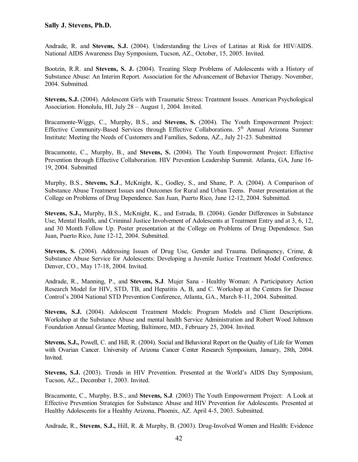Andrade, R. and **Stevens, S.J.** (2004). Understanding the Lives of Latinas at Risk for HIV/AIDS. National AIDS Awareness Day Symposium, Tucson, AZ., October, 15, 2005. Invited.

Bootzin, R.R. and **Stevens, S. J.** (2004). Treating Sleep Problems of Adolescents with a History of Substance Abuse: An Interim Report. Association for the Advancement of Behavior Therapy. November, 2004. Submitted.

**Stevens, S.J.** (2004). Adolescent Girls with Traumatic Stress: Treatment Issues. American Psychological Association. Honolulu, HI, July 28 – August 1, 2004. Invited.

Bracamonte-Wiggs, C., Murphy, B.S., and **Stevens, S.** (2004). The Youth Empowerment Project: Effective Community-Based Services through Effective Collaborations. 5<sup>th</sup> Annual Arizona Summer Institute: Meeting the Needs of Customers and Families, Sedona, AZ., July 21-23. Submitted

Bracamonte, C., Murphy, B., and **Stevens, S.** (2004). The Youth Empowerment Project: Effective Prevention through Effective Collaboration. HIV Prevention Leadership Summit. Atlanta, GA, June 16- 19, 2004. Submitted

Murphy, B.S., **Stevens, S.J**., McKnight, K., Godley, S., and Shane, P. A. (2004). A Comparison of Substance Abuse Treatment Issues and Outcomes for Rural and Urban Teens. Poster presentation at the College on Problems of Drug Dependence. San Juan, Puerto Rico, June 12-12, 2004. Submitted.

**Stevens, S.J.,** Murphy, B.S., McKnight, K., and Estrada, B. (2004). Gender Differences in Substance Use, Mental Health, and Criminal Justice Involvement of Adolescents at Treatment Entry and at 3, 6, 12, and 30 Month Follow Up. Poster presentation at the College on Problems of Drug Dependence. San Juan, Puerto Rico, June 12-12, 2004. Submitted.

**Stevens, S.** (2004). Addressing Issues of Drug Use, Gender and Trauma. Delinquency, Crime, & Substance Abuse Service for Adolescents: Developing a Juvenile Justice Treatment Model Conference. Denver, CO., May 17-18, 2004. Invited.

Andrade, R., Manning, P., and **Stevens, S.J**. Mujer Sana - Healthy Woman: A Participatory Action Research Model for HIV, STD, TB, and Hepatitis A, B, and C. Workshop at the Centers for Disease Control's 2004 National STD Prevention Conference, Atlanta, GA., March 8-11, 2004. Submitted.

**Stevens, S.J.** (2004). Adolescent Treatment Models: Program Models and Client Descriptions. Workshop at the Substance Abuse and mental health Service Administration and Robert Wood Johnson Foundation Annual Grantee Meeting, Baltimore, MD., February 25, 2004. Invited.

**Stevens, S.J.,** Powell, C. and Hill, R. (2004). Social and Behavioral Report on the Quality of Life for Women with Ovarian Cancer. University of Arizona Cancer Center Research Symposium, January, 28th, 2004. Invited.

**Stevens, S.J.** (2003). Trends in HIV Prevention. Presented at the World's AIDS Day Symposium, Tucson, AZ., December 1, 2003. Invited.

Bracamonte, C., Murphy, B.S., and **Stevens, S.J**. (2003) The Youth Empowerment Project: A Look at Effective Prevention Strategies for Substance Abuse and HIV Prevention for Adolescents. Presented at Healthy Adolescents for a Healthy Arizona, Phoenix, AZ. April 4-5, 2003. Submitted.

Andrade, R., **Stevens**, **S.J.,** Hill, R. & Murphy, B. (2003). Drug-Involved Women and Health: Evidence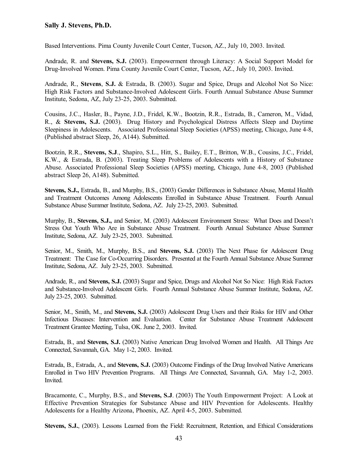Based Interventions. Pima County Juvenile Court Center, Tucson, AZ., July 10, 2003. Invited.

Andrade, R. and **Stevens, S.J.** (2003). Empowerment through Literacy: A Social Support Model for Drug-Involved Women. Pima County Juvenile Court Center, Tucson, AZ., July 10, 2003. Invited.

Andrade, R., **Stevens**, **S.J.** & Estrada, B. (2003). Sugar and Spice, Drugs and Alcohol Not So Nice: High Risk Factors and Substance-Involved Adolescent Girls. Fourth Annual Substance Abuse Summer Institute, Sedona, AZ, July 23-25, 2003. Submitted.

Cousins, J.C., Hasler, B., Payne, J.D., Fridel, K.W., Bootzin, R.R., Estrada, B., Cameron, M., Vidad, R., & **Stevens, S.J.** (2003). Drug History and Psychological Distress Affects Sleep and Daytime Sleepiness in Adolescents. Associated Professional Sleep Societies (APSS) meeting, Chicago, June 4-8, (Published abstract Sleep, 26, A144). Submitted.

Bootzin, R.R., **Stevens, S.J**., Shapiro, S.L., Hitt, S., Bailey, E.T., Britton, W.B., Cousins, J.C., Fridel, K.W., & Estrada, B. (2003). Treating Sleep Problems of Adolescents with a History of Substance Abuse. Associated Professional Sleep Societies (APSS) meeting, Chicago, June 4-8, 2003 (Published abstract Sleep 26, A148). Submitted.

**Stevens, S.J.,** Estrada, B., and Murphy, B.S., (2003) Gender Differences in Substance Abuse, Mental Health and Treatment Outcomes Among Adolescents Enrolled in Substance Abuse Treatment. Fourth Annual Substance Abuse Summer Institute, Sedona, AZ. July 23-25, 2003. Submitted.

Murphy, B., **Stevens, S.J.,** and Senior, M. (2003) Adolescent Environment Stress: What Does and Doesn't Stress Out Youth Who Are in Substance Abuse Treatment. Fourth Annual Substance Abuse Summer Institute, Sedona, AZ. July 23-25, 2003. Submitted.

Senior, M., Smith, M., Murphy, B.S., and **Stevens, S.J.** (2003) The Next Phase for Adolescent Drug Treatment: The Case for Co-Occurring Disorders. Presented at the Fourth Annual Substance Abuse Summer Institute, Sedona, AZ. July 23-25, 2003. Submitted.

Andrade, R., and **Stevens, S.J.** (2003) Sugar and Spice, Drugs and Alcohol Not So Nice: High Risk Factors and Substance-Involved Adolescent Girls. Fourth Annual Substance Abuse Summer Institute, Sedona, AZ. July 23-25, 2003. Submitted.

Senior, M., Smith, M., and **Stevens, S.J.** (2003) Adolescent Drug Users and their Risks for HIV and Other Infectious Diseases: Intervention and Evaluation. Center for Substance Abuse Treatment Adolescent Treatment Grantee Meeting, Tulsa, OK. June 2, 2003. Invited.

Estrada, B., and **Stevens, S.J.** (2003) Native American Drug Involved Women and Health. All Things Are Connected, Savannah, GA. May 1-2, 2003. Invited.

Estrada, B., Estrada, A., and **Stevens, S.J.** (2003) Outcome Findings of the Drug Involved Native Americans Enrolled in Two HIV Prevention Programs. All Things Are Connected, Savannah, GA. May 1-2, 2003. Invited.

Bracamonte, C., Murphy, B.S., and **Stevens, S.J**. (2003) The Youth Empowerment Project: A Look at Effective Prevention Strategies for Substance Abuse and HIV Prevention for Adolescents. Healthy Adolescents for a Healthy Arizona, Phoenix, AZ. April 4-5, 2003. Submitted.

**Stevens, S.J.**, (2003). Lessons Learned from the Field: Recruitment, Retention, and Ethical Considerations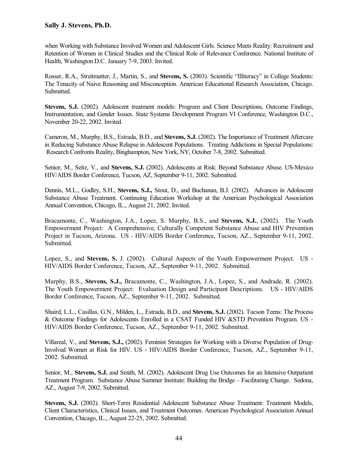when Working with Substance Involved Women and Adolescent Girls. Science Meets Reality: Recruitment and Retention of Women in Clinical Studies and the Clinical Role of Relevance Conference. National Institute of Health, Washington D.C. January 7-9, 2003. Invited.

Rosser, R.A., Streitmatter, J., Martin, S., and **Stevens, S.** (2003). Scientific "Illiteracy" in College Students: The Tenacity of Naive Reasoning and Misconception. American Educational Research Association, Chicago. Submitted.

**Stevens, S.J.** (2002). Adolescent treatment models: Program and Client Descriptions, Outcome Findings, Instrumentation, and Gender Issues. State Systems Development Program VI Conference, Washington D.C., November 20-22, 2002. Invited.

Cameron, M., Murphy, B.S., Estrada, B.D., and **Stevens, S.J.** (2002). The Importance of Treatment Aftercare in Reducing Substance Abuse Relapse in Adolescent Populations. Treating Addictions in Special Populations: Research Confronts Reality, Binghampton, New York, NY, October 7-8, 2002. Submitted.

Senior, M., Seitz, V., and **Stevens, S.J.** (2002). Adolescents at Risk: Beyond Substance Abuse. US-Mexico HIV/AIDS Border Conference, Tucson, AZ, September 9-11, 2002. Submitted.

Dennis, M.L., Godley, S.H., **Stevens, S.J.,** Stout, D., and Buchanan, B.J. (2002). Advances in Adolescent Substance Abuse Treatment. Continuing Education Workshop at the American Psychological Association Annual Convention, Chicago, IL., August 21, 2002. Invited.

Bracamonte, C., Washington, J.A., Lopez, S. Murphy, B.S., and **Stevens, S.J.**, (2002). The Youth Empowerment Project: A Comprehensive, Culturally Competent Substance Abuse and HIV Prevention Project in Tucson, Arizona. US - HIV/AIDS Border Conference, Tucson, AZ., September 9-11, 2002. Submitted.

Lopez, S., and **Stevens, S.** J. (2002). Cultural Aspects of the Youth Empowerment Project. US - HIV/AIDS Border Conference, Tucson, AZ., September 9-11, 2002. Submitted.

Murphy, B.S., **Stevens, S.J.,** Bracamonte, C., Washington, J.A., Lopez, S., and Andrade, R. (2002). The Youth Empowerment Project: Evaluation Design and Participant Descriptions. US - HIV/AIDS Border Conference, Tucson, AZ., September 9-11, 2002. Submitted.

Shaird, L.L., Casillas, G.N., Milden, L., Estrada, B.D., and **Stevens, S.J.** (2002). Tucson Teens: The Process & Outcome Findings for Adolescents Enrolled in a CSAT Funded HIV &STD Prevention Program. US - HIV/AIDS Border Conference, Tucson, AZ., September 9-11, 2002. Submitted.

Villareal, V., and **Stevens, S.J.,** (2002). Feminist Strategies for Working with a Diverse Population of Drug-Involved Women at Risk for HIV. US - HIV/AIDS Border Conference, Tucson, AZ., September 9-11, 2002. Submitted.

Senior, M., **Stevens, S.J.** and Smith, M. (2002). Adolescent Drug Use Outcomes for an Intensive Outpatient Treatment Program. Substance Abuse Summer Institute: Building the Bridge – Facilitating Change. Sedona, AZ., August 7-9, 2002. Submitted.

**Stevens, S.J.** (2002). Short-Term Residential Adolescent Substance Abuse Treatment: Treatment Models, Client Characteristics, Clinical Issues, and Treatment Outcomes. American Psychological Association Annual Convention, Chicago, IL., August 22-25, 2002. Submitted.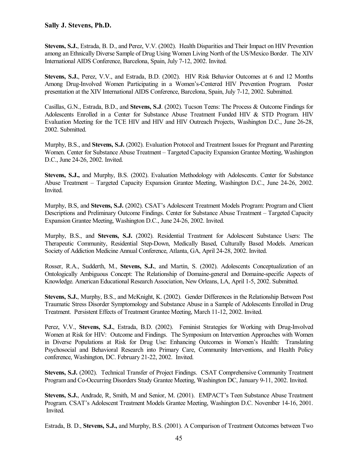**Stevens, S.J.**, Estrada, B. D., and Perez, V.V. (2002). Health Disparities and Their Impact on HIV Prevention among an Ethnically Diverse Sample of Drug Using Women Living North of the US/Mexico Border. The XIV International AIDS Conference, Barcelona, Spain, July 7-12, 2002. Invited.

**Stevens, S.J.**, Perez, V.V., and Estrada, B.D. (2002). HIV Risk Behavior Outcomes at 6 and 12 Months Among Drug-Involved Women Participating in a Women's-Centered HIV Prevention Program. Poster presentation at the XIV International AIDS Conference, Barcelona, Spain, July 7-12, 2002. Submitted.

Casillas, G.N., Estrada, B.D., and **Stevens, S.J**. (2002). Tucson Teens: The Process & Outcome Findings for Adolescents Enrolled in a Center for Substance Abuse Treatment Funded HIV & STD Program. HIV Evaluation Meeting for the TCE HIV and HIV and HIV Outreach Projects, Washington D.C., June 26-28, 2002. Submitted.

Murphy, B.S., and **Stevens, S.J.** (2002). Evaluation Protocol and Treatment Issues for Pregnant and Parenting Women. Center for Substance Abuse Treatment – Targeted Capacity Expansion Grantee Meeting, Washington D.C., June 24-26, 2002. Invited.

**Stevens, S.J.,** and Murphy, B.S. (2002). Evaluation Methodology with Adolescents. Center for Substance Abuse Treatment – Targeted Capacity Expansion Grantee Meeting, Washington D.C., June 24-26, 2002. Invited.

Murphy, B.S, and **Stevens, S.J.** (2002). CSAT's Adolescent Treatment Models Program: Program and Client Descriptions and Preliminary Outcome Findings. Center for Substance Abuse Treatment – Targeted Capacity Expansion Grantee Meeting, Washington D.C., June 24-26, 2002. Invited.

Murphy, B.S., and **Stevens, S.J.** (2002). Residential Treatment for Adolescent Substance Users: The Therapeutic Community, Residential Step-Down, Medically Based, Culturally Based Models. American Society of Addiction Medicine Annual Conference, Atlanta, GA, April 24-28, 2002. Invited.

Rosser, R.A., Sudderth, M., **Stevens, S.J.**, and Martin, S. (2002). Adolescents Conceptualization of an Ontologically Ambiguous Concept: The Relationship of Domaine-general and Domaine-specific Aspects of Knowledge. American Educational Research Association, New Orleans, LA, April 1-5, 2002. Submitted.

**Stevens, S.J.**, Murphy, B.S., and McKnight, K. (2002). Gender Differences in the Relationship Between Post Traumatic Stress Disorder Symptomology and Substance Abuse in a Sample of Adolescents Enrolled in Drug Treatment. Persistent Effects of Treatment Grantee Meeting, March 11-12, 2002. Invited.

Perez, V.V., **Stevens, S.J.**, Estrada, B.D. (2002). Feminist Strategies for Working with Drug-Involved Women at Risk for HIV: Outcome and Findings. The Symposium on Intervention Approaches with Women in Diverse Populations at Risk for Drug Use: Enhancing Outcomes in Women's Health: Translating Psychosocial and Behavioral Research into Primary Care, Community Interventions, and Health Policy conference, Washington, DC. February 21-22, 2002. Invited.

**Stevens, S.J.** (2002). Technical Transfer of Project Findings. CSAT Comprehensive Community Treatment Program and Co-Occurring Disorders Study Grantee Meeting, Washington DC, January 9-11, 2002. Invited.

**Stevens, S.J.**, Andrade, R, Smith, M and Senior, M. (2001). EMPACT's Teen Substance Abuse Treatment Program. CSAT's Adolescent Treatment Models Grantee Meeting, Washington D.C. November 14-16, 2001. Invited.

Estrada, B. D., **Stevens, S.J.,** and Murphy, B.S. (2001). A Comparison of Treatment Outcomes between Two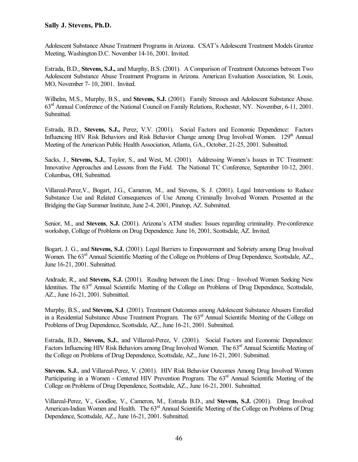Adolescent Substance Abuse Treatment Programs in Arizona. CSAT's Adolescent Treatment Models Grantee Meeting, Washington D.C. November 14-16, 2001. Invited.

Estrada, B.D., **Stevens, S.J.,** and Murphy, B.S. (2001). A Comparison of Treatment Outcomes between Two Adolescent Substance Abuse Treatment Programs in Arizona. American Evaluation Association, St. Louis, MO, November 7- 10, 2001. Invited.

Wilhelm, M.S., Murphy, B.S., and **Stevens, S.J.** (2001). Family Stresses and Adolescent Substance Abuse. 63rd Annual Conference of the National Council on Family Relations, Rochester, NY. November, 6-11, 2001. Submitted.

Estrada, B.D., **Stevens, S.J.,** Perez, V.V. (2001). Social Factors and Economic Dependence: Factors Influencing HIV Risk Behaviors and Risk Behavior Change among Drug Involved Women. 129<sup>th</sup> Annual Meeting of the American Public Health Association, Atlanta, GA., October, 21-25, 2001. Submitted.

Sacks, J., **Stevens, S.J.**, Taylor, S., and West, M. (2001). Addressing Women's Issues in TC Treatment: Innovative Approaches and Lessons from the Field. The National TC Conference, September 10-12, 2001. Columbus, OH, Submitted.

Villareal-Perez,V., Bogart, J.G., Cameron, M., and Stevens, S. J. (2001). Legal Interventions to Reduce Substance Use and Related Consequences of Use Among Criminally Involved Women. Presented at the Bridging the Gap Summer Institute, June 2-4, 2001, Pinetop, AZ. Submitted.

Senior, M., and **Stevens**, **S.J.** (2001). Arizona's ATM studies: Issues regarding criminality. Pre-conference workshop, College of Problems on Drug Dependence. June 16, 2001, Scottsdale, AZ. Invited.

Bogart, J. G., and **Stevens, S.J.** (2001). Legal Barriers to Empowerment and Sobriety among Drug Involved Women. The 63<sup>rd</sup> Annual Scientific Meeting of the College on Problems of Drug Dependence, Scottsdale, AZ., June 16-21, 2001. Submitted.

Andrade, R., and **Stevens, S.J.** (2001). Reading between the Lines: Drug – Involved Women Seeking New Identities. The 63<sup>rd</sup> Annual Scientific Meeting of the College on Problems of Drug Dependence, Scottsdale, AZ., June 16-21, 2001. Submitted.

Murphy, B.S., and **Stevens, S.J**. (2001). Treatment Outcomes among Adolescent Substance Abusers Enrolled in a Residential Substance Abuse Treatment Program. The 63<sup>rd</sup> Annual Scientific Meeting of the College on Problems of Drug Dependence, Scottsdale, AZ., June 16-21, 2001. Submitted.

Estrada, B.D., **Stevens, S.J.**, and Villareal-Perez, V. (2001). Social Factors and Economic Dependence: Factors Influencing HIV Risk Behaviors among Drug Involved Women. The 63<sup>rd</sup> Annual Scientific Meeting of the College on Problems of Drug Dependence, Scottsdale, AZ., June 16-21, 2001. Submitted.

**Stevens. S.J.**, and Villareal-Perez, V. (2001). HIV Risk Behavior Outcomes Among Drug Involved Women Participating in a Women - Centered HIV Prevention Program. The 63<sup>rd</sup> Annual Scientific Meeting of the College on Problems of Drug Dependence, Scottsdale, AZ., June 16-21, 2001. Submitted.

Villareal-Perez, V., Goodloe, V., Cameron, M., Estrada B.D., and **Stevens, S.J.** (2001). Drug Involved American-Indian Women and Health. The  $63<sup>rd</sup>$  Annual Scientific Meeting of the College on Problems of Drug Dependence, Scottsdale, AZ., June 16-21, 2001. Submitted.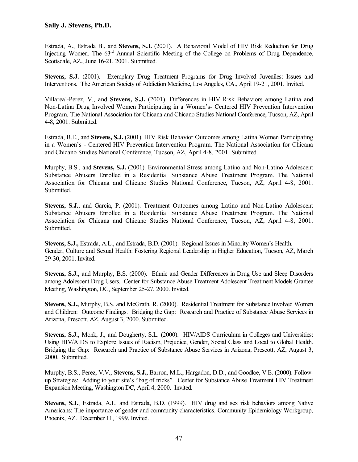Estrada, A., Estrada B., and **Stevens, S.J.** (2001). A Behavioral Model of HIV Risk Reduction for Drug Injecting Women. The  $63<sup>rd</sup>$  Annual Scientific Meeting of the College on Problems of Drug Dependence, Scottsdale, AZ., June 16-21, 2001. Submitted.

**Stevens, S.J.** (2001). Exemplary Drug Treatment Programs for Drug Involved Juveniles: Issues and Interventions. The American Society of Addiction Medicine, Los Angeles, CA., April 19-21, 2001. Invited.

Villareal-Perez, V., and **Stevens, S.J.** (2001). Differences in HIV Risk Behaviors among Latina and Non-Latina Drug Involved Women Participating in a Women's- Centered HIV Prevention Intervention Program. The National Association for Chicana and Chicano Studies National Conference, Tucson, AZ, April 4-8, 2001. Submitted.

Estrada, B.E., and **Stevens, S.J.** (2001). HIV Risk Behavior Outcomes among Latina Women Participating in a Women's - Centered HIV Prevention Intervention Program. The National Association for Chicana and Chicano Studies National Conference, Tucson, AZ, April 4-8, 2001. Submitted.

Murphy, B.S., and **Stevens, S.J.** (2001). Environmental Stress among Latino and Non-Latino Adolescent Substance Abusers Enrolled in a Residential Substance Abuse Treatment Program. The National Association for Chicana and Chicano Studies National Conference, Tucson, AZ, April 4-8, 2001. Submitted.

**Stevens, S.J.**, and Garcia, P. (2001). Treatment Outcomes among Latino and Non-Latino Adolescent Substance Abusers Enrolled in a Residential Substance Abuse Treatment Program. The National Association for Chicana and Chicano Studies National Conference, Tucson, AZ, April 4-8, 2001. Submitted.

**Stevens, S.J.,** Estrada, A.L., and Estrada, B.D. (2001). Regional Issues in Minority Women's Health. Gender, Culture and Sexual Health: Fostering Regional Leadership in Higher Education, Tucson, AZ, March 29-30, 2001. Invited.

**Stevens, S.J.,** and Murphy, B.S. (2000). Ethnic and Gender Differences in Drug Use and Sleep Disorders among Adolescent Drug Users. Center for Substance Abuse Treatment Adolescent Treatment Models Grantee Meeting, Washington, DC, September 25-27, 2000. Invited.

**Stevens, S.J.,** Murphy, B.S. and McGrath, R. (2000). Residential Treatment for Substance Involved Women and Children: Outcome Findings. Bridging the Gap: Research and Practice of Substance Abuse Services in Arizona, Prescott, AZ, August 3, 2000. Submitted.

**Stevens, S.J.,** Monk, J., and Dougherty, S.L. (2000). HIV/AIDS Curriculum in Colleges and Universities: Using HIV/AIDS to Explore Issues of Racism, Prejudice, Gender, Social Class and Local to Global Health. Bridging the Gap: Research and Practice of Substance Abuse Services in Arizona, Prescott, AZ, August 3, 2000. Submitted.

Murphy, B.S., Perez, V.V., **Stevens, S.J.,** Barron, M.L., Hargadon, D.D., and Goodloe, V.E. (2000). Followup Strategies: Adding to your site's "bag of tricks". Center for Substance Abuse Treatment HIV Treatment Expansion Meeting, Washington DC, April 4, 2000. Invited.

**Stevens, S.J.**, Estrada, A.L. and Estrada, B.D. (1999). HIV drug and sex risk behaviors among Native Americans: The importance of gender and community characteristics. Community Epidemiology Workgroup, Phoenix, AZ. December 11, 1999. Invited.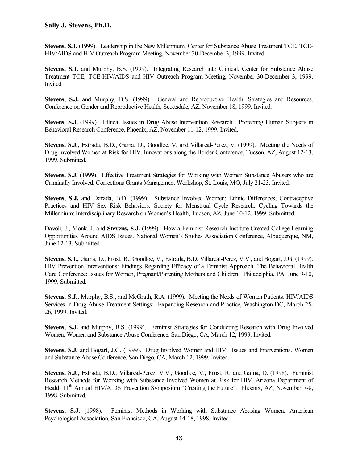**Stevens, S.J.** (1999). Leadership in the New Millennium. Center for Substance Abuse Treatment TCE, TCE-HIV/AIDS and HIV Outreach Program Meeting, November 30-December 3, 1999. Invited.

**Stevens, S.J.** and Murphy, B.S. (1999). Integrating Research into Clinical. Center for Substance Abuse Treatment TCE, TCE-HIV/AIDS and HIV Outreach Program Meeting, November 30-December 3, 1999. Invited.

Stevens, S.J. and Murphy, B.S. (1999). General and Reproductive Health: Strategies and Resources. Conference on Gender and Reproductive Health, Scottsdale, AZ, November 18, 1999. Invited.

**Stevens, S.J.** (1999). Ethical Issues in Drug Abuse Intervention Research. Protecting Human Subjects in Behavioral Research Conference, Phoenix, AZ, November 11-12, 1999. Invited.

**Stevens, S.J.,** Estrada, B.D., Gama, D., Goodloe, V. and Villareal-Perez, V. (1999). Meeting the Needs of Drug Involved Women at Risk for HIV. Innovations along the Border Conference, Tucson, AZ, August 12-13, 1999. Submitted.

**Stevens, S.J.** (1999). Effective Treatment Strategies for Working with Women Substance Abusers who are Criminally Involved. Corrections Grants Management Workshop, St. Louis, MO, July 21-23. Invited.

**Stevens, S.J.** and Estrada, B.D. (1999). Substance Involved Women: Ethnic Differences, Contraceptive Practices and HIV Sex Risk Behaviors. Society for Menstrual Cycle Research: Cycling Towards the Millennium: Interdisciplinary Research on Women's Health, Tucson, AZ, June 10-12, 1999. Submitted.

Davoli, J., Monk, J. and **Stevens, S**.**J.** (1999). How a Feminist Research Institute Created College Learning Opportunities Around AIDS Issues. National Women's Studies Association Conference, Albuquerque, NM, June 12-13. Submitted.

**Stevens, S.J.,** Gama, D., Frost, R., Goodloe, V., Estrada, B.D. Villareal-Perez, V.V., and Bogart, J.G. (1999). HIV Prevention Interventions: Findings Regarding Efficacy of a Feminist Approach. The Behavioral Health Care Conference: Issues for Women, Pregnant/Parenting Mothers and Children. Philadelphia, PA, June 9-10, 1999. Submitted.

**Stevens, S.J.**, Murphy, B.S., and McGrath, R.A. (1999). Meeting the Needs of Women Patients. HIV/AIDS Services in Drug Abuse Treatment Settings: Expanding Research and Practice, Washington DC, March 25- 26, 1999. Invited.

**Stevens, S.J.** and Murphy, B.S. (1999). Feminist Strategies for Conducting Research with Drug Involved Women. Women and Substance Abuse Conference, San Diego, CA, March 12, 1999. Invited.

**Stevens, S.J.** and Bogart, J.G. (1999). Drug Involved Women and HIV: Issues and Interventions. Women and Substance Abuse Conference, San Diego, CA, March 12, 1999. Invited.

**Stevens, S.J.,** Estrada, B.D., Villareal-Perez, V.V., Goodloe, V., Frost, R. and Gama, D. (1998). Feminist Research Methods for Working with Substance Involved Women at Risk for HIV. Arizona Department of Health 11<sup>th</sup> Annual HIV/AIDS Prevention Symposium "Creating the Future". Phoenix, AZ, November 7-8, 1998. Submitted.

**Stevens, S.J.** (1998). Feminist Methods in Working with Substance Abusing Women. American Psychological Association, San Francisco, CA, August 14-18, 1998. Invited.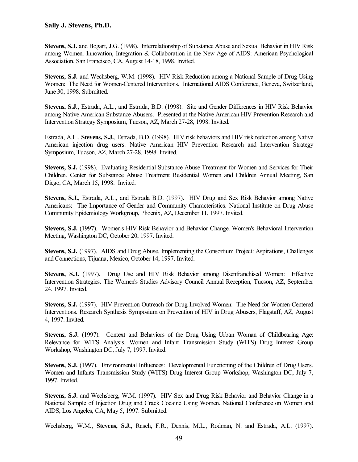**Stevens, S.J.** and Bogart, J.G. (1998). Interrelationship of Substance Abuse and Sexual Behavior in HIV Risk among Women. Innovation, Integration & Collaboration in the New Age of AIDS: American Psychological Association, San Francisco, CA, August 14-18, 1998. Invited.

**Stevens, S.J.** and Wechsberg, W.M. (1998). HIV Risk Reduction among a National Sample of Drug-Using Women: The Need for Women-Centered Interventions. International AIDS Conference, Geneva, Switzerland, June 30, 1998. Submitted.

**Stevens, S.J.**, Estrada, A.L., and Estrada, B.D. (1998). Site and Gender Differences in HIV Risk Behavior among Native American Substance Abusers. Presented at the Native American HIV Prevention Research and Intervention Strategy Symposium, Tucson, AZ, March 27-28, 1998. Invited.

Estrada, A.L., **Stevens, S.J.**, Estrada, B.D. (1998). HIV risk behaviors and HIV risk reduction among Native American injection drug users. Native American HIV Prevention Research and Intervention Strategy Symposium, Tucson, AZ, March 27-28, 1998. Invited.

**Stevens, S.J.** (1998). Evaluating Residential Substance Abuse Treatment for Women and Services for Their Children. Center for Substance Abuse Treatment Residential Women and Children Annual Meeting, San Diego, CA, March 15, 1998. Invited.

**Stevens, S.J.**, Estrada, A.L., and Estrada B.D. (1997). HIV Drug and Sex Risk Behavior among Native Americans: The Importance of Gender and Community Characteristics. National Institute on Drug Abuse Community Epidemiology Workgroup, Phoenix, AZ, December 11, 1997. Invited.

**Stevens, S.J.** (1997). Women's HIV Risk Behavior and Behavior Change. Women's Behavioral Intervention Meeting, Washington DC, October 20, 1997. Invited.

**Stevens, S.J.** (1997). AIDS and Drug Abuse. Implementing the Consortium Project: Aspirations, Challenges and Connections, Tijuana, Mexico, October 14, 1997. Invited.

**Stevens, S.J.** (1997). Drug Use and HIV Risk Behavior among Disenfranchised Women: Effective Intervention Strategies. The Women's Studies Advisory Council Annual Reception, Tucson, AZ, September 24, 1997. Invited.

**Stevens, S.J.** (1997). HIV Prevention Outreach for Drug Involved Women: The Need for Women-Centered Interventions. Research Synthesis Symposium on Prevention of HIV in Drug Abusers, Flagstaff, AZ, August 4, 1997. Invited.

**Stevens, S.J.** (1997). Context and Behaviors of the Drug Using Urban Woman of Childbearing Age: Relevance for WITS Analysis. Women and Infant Transmission Study (WITS) Drug Interest Group Workshop, Washington DC, July 7, 1997. Invited.

**Stevens, S.J.** (1997). Environmental Influences: Developmental Functioning of the Children of Drug Users. Women and Infants Transmission Study (WITS) Drug Interest Group Workshop, Washington DC, July 7, 1997. Invited.

**Stevens, S.J.** and Wechsberg, W.M. (1997). HIV Sex and Drug Risk Behavior and Behavior Change in a National Sample of Injection Drug and Crack Cocaine Using Women. National Conference on Women and AIDS, Los Angeles, CA, May 5, 1997. Submitted.

Wechsberg, W.M., **Stevens, S.J.**, Rasch, F.R., Dennis, M.L., Rodman, N. and Estrada, A.L. (1997).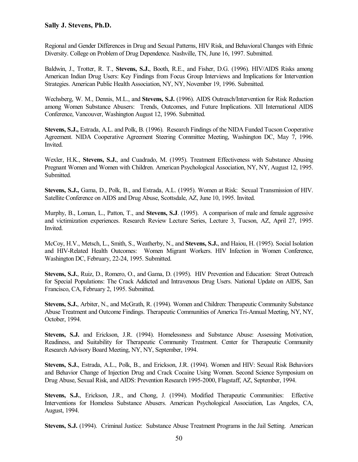Regional and Gender Differences in Drug and Sexual Patterns, HIV Risk, and Behavioral Changes with Ethnic Diversity. College on Problem of Drug Dependence. Nashville, TN, June 16, 1997. Submitted.

Baldwin, J., Trotter, R. T., **Stevens, S.J.**, Booth, R.E., and Fisher, D.G. (1996). HIV/AIDS Risks among American Indian Drug Users: Key Findings from Focus Group Interviews and Implications for Intervention Strategies. American Public Health Association, NY, NY, November 19, 1996. Submitted.

Wechsberg, W. M., Dennis, M.L., and **Stevens, S.J.** (1996). AIDS Outreach/Intervention for Risk Reduction among Women Substance Abusers: Trends, Outcomes, and Future Implications. XII International AIDS Conference, Vancouver, Washington August 12, 1996. Submitted.

**Stevens, S.J.,** Estrada, A.L. and Polk, B. (1996). Research Findings of the NIDA Funded Tucson Cooperative Agreement. NIDA Cooperative Agreement Steering Committee Meeting, Washington DC, May 7, 1996. Invited.

Wexler, H.K., **Stevens, S.J.**, and Cuadrado, M. (1995). Treatment Effectiveness with Substance Abusing Pregnant Women and Women with Children. American Psychological Association, NY, NY, August 12, 1995. Submitted.

**Stevens, S.J.,** Gama, D., Polk, B., and Estrada, A.L. (1995). Women at Risk: Sexual Transmission of HIV. Satellite Conference on AIDS and Drug Abuse, Scottsdale, AZ, June 10, 1995. Invited.

Murphy, B., Loman, L., Patton, T., and **Stevens, S.J**. (1995).A comparison of male and female aggressive and victimization experiences. Research Review Lecture Series, Lecture 3, Tucson, AZ, April 27, 1995. Invited.

McCoy, H.V., Metsch, L., Smith, S., Weatherby, N., and **Stevens, S.J.**, and Haiou, H. (1995). Social Isolation and HIV-Related Health Outcomes: Women Migrant Workers. HIV Infection in Women Conference, Washington DC, February, 22-24, 1995. Submitted.

**Stevens, S.J.**, Ruiz, D., Romero, O., and Gama, D. (1995). HIV Prevention and Education: Street Outreach for Special Populations: The Crack Addicted and Intravenous Drug Users. National Update on AIDS, San Francisco, CA, February 2, 1995. Submitted.

**Stevens, S.J.**, Arbiter, N., and McGrath, R. (1994). Women and Children: Therapeutic Community Substance Abuse Treatment and Outcome Findings. Therapeutic Communities of America Tri-Annual Meeting, NY, NY, October, 1994.

**Stevens, S.J.** and Erickson, J.R. (1994). Homelessness and Substance Abuse: Assessing Motivation, Readiness, and Suitability for Therapeutic Community Treatment. Center for Therapeutic Community Research Advisory Board Meeting, NY, NY, September, 1994.

**Stevens, S.J.**, Estrada, A.L., Polk, B., and Erickson, J.R. (1994). Women and HIV: Sexual Risk Behaviors and Behavior Change of Injection Drug and Crack Cocaine Using Women. Second Science Symposium on Drug Abuse, Sexual Risk, and AIDS: Prevention Research 1995-2000, Flagstaff, AZ, September, 1994.

**Stevens, S.J.**, Erickson, J.R., and Chong, J. (1994). Modified Therapeutic Communities: Effective Interventions for Homeless Substance Abusers. American Psychological Association, Las Angeles, CA, August, 1994.

**Stevens, S.J.** (1994). Criminal Justice: Substance Abuse Treatment Programs in the Jail Setting. American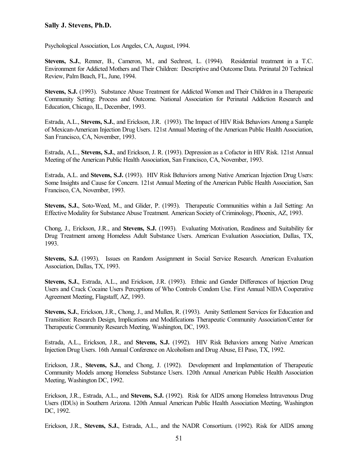Psychological Association, Los Angeles, CA, August, 1994.

**Stevens, S.J.**, Renner, B., Cameron, M., and Sechrest, L. (1994). Residential treatment in a T.C. Environment for Addicted Mothers and Their Children: Descriptive and Outcome Data. Perinatal 20 Technical Review, Palm Beach, FL, June, 1994.

**Stevens, S.J.** (1993). Substance Abuse Treatment for Addicted Women and Their Children in a Therapeutic Community Setting: Process and Outcome. National Association for Perinatal Addiction Research and Education, Chicago, IL, December, 1993.

Estrada, A.L., **Stevens, S.J.**, and Erickson, J.R. (1993). The Impact of HIV Risk Behaviors Among a Sample of Mexican-American Injection Drug Users. 121st Annual Meeting of the American Public Health Association, San Francisco, CA, November, 1993.

Estrada, A.L., **Stevens, S.J.**, and Erickson, J. R. (1993). Depression as a Cofactor in HIV Risk. 121st Annual Meeting of the American Public Health Association, San Francisco, CA, November, 1993.

Estrada, A.L. and **Stevens, S.J.** (1993). HIV Risk Behaviors among Native American Injection Drug Users: Some Insights and Cause for Concern. 121st Annual Meeting of the American Public Health Association, San Francisco, CA, November, 1993.

**Stevens, S.J.**, Soto-Weed, M., and Glider, P. (1993). Therapeutic Communities within a Jail Setting: An Effective Modality for Substance Abuse Treatment. American Society of Criminology, Phoenix, AZ, 1993.

Chong, J., Erickson, J.R., and **Stevens, S.J.** (1993). Evaluating Motivation, Readiness and Suitability for Drug Treatment among Homeless Adult Substance Users. American Evaluation Association, Dallas, TX, 1993.

**Stevens, S.J.** (1993). Issues on Random Assignment in Social Service Research. American Evaluation Association, Dallas, TX, 1993.

**Stevens, S.J.**, Estrada, A.L., and Erickson, J.R. (1993). Ethnic and Gender Differences of Injection Drug Users and Crack Cocaine Users Perceptions of Who Controls Condom Use. First Annual NIDA Cooperative Agreement Meeting, Flagstaff, AZ, 1993.

**Stevens, S.J.**, Erickson, J.R., Chong, J., and Mullen, R. (1993). Amity Settlement Services for Education and Transition: Research Design, Implications and Modifications Therapeutic Community Association/Center for Therapeutic Community Research Meeting, Washington, DC, 1993.

Estrada, A.L., Erickson, J.R., and **Stevens, S.J.** (1992). HIV Risk Behaviors among Native American Injection Drug Users. 16th Annual Conference on Alcoholism and Drug Abuse, El Paso, TX, 1992.

Erickson, J.R., **Stevens, S.J.**, and Chong, J. (1992). Development and Implementation of Therapeutic Community Models among Homeless Substance Users. 120th Annual American Public Health Association Meeting, Washington DC, 1992.

Erickson, J.R., Estrada, A.L., and **Stevens, S.J.** (1992). Risk for AIDS among Homeless Intravenous Drug Users (IDUs) in Southern Arizona. 120th Annual American Public Health Association Meeting, Washington DC, 1992.

Erickson, J.R., **Stevens, S.J.**, Estrada, A.L., and the NADR Consortium. (1992). Risk for AIDS among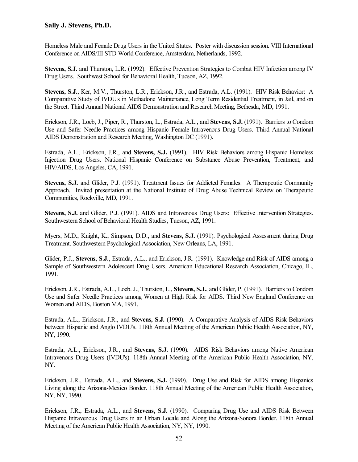Homeless Male and Female Drug Users in the United States. Poster with discussion session. VIII International Conference on AIDS/III STD World Conference, Amsterdam, Netherlands, 1992.

**Stevens, S.J.** and Thurston, L.R. (1992). Effective Prevention Strategies to Combat HIV Infection among IV Drug Users. Southwest School for Behavioral Health, Tucson, AZ, 1992.

**Stevens, S.J.**, Ker, M.V., Thurston, L.R., Erickson, J.R., and Estrada, A.L. (1991). HIV Risk Behavior: A Comparative Study of IVDU's in Methadone Maintenance, Long Term Residential Treatment, in Jail, and on the Street. Third Annual National AIDS Demonstration and Research Meeting, Bethesda, MD, 1991.

Erickson, J.R., Loeb, J., Piper, R., Thurston, L., Estrada, A.L., and **Stevens, S.J.** (1991). Barriers to Condom Use and Safer Needle Practices among Hispanic Female Intravenous Drug Users. Third Annual National AIDS Demonstration and Research Meeting, Washington DC (1991).

Estrada, A.L., Erickson, J.R., and **Stevens, S.J.** (1991). HIV Risk Behaviors among Hispanic Homeless Injection Drug Users. National Hispanic Conference on Substance Abuse Prevention, Treatment, and HIV/AIDS, Los Angeles, CA, 1991.

**Stevens, S.J.** and Glider, P.J. (1991). Treatment Issues for Addicted Females: A Therapeutic Community Approach. Invited presentation at the National Institute of Drug Abuse Technical Review on Therapeutic Communities, Rockville, MD, 1991.

**Stevens, S.J.** and Glider, P.J. (1991). AIDS and Intravenous Drug Users: Effective Intervention Strategies. Southwestern School of Behavioral Health Studies, Tucson, AZ, 1991.

Myers, M.D., Knight, K., Simpson, D.D., and **Stevens, S.J.** (1991). Psychological Assessment during Drug Treatment. Southwestern Psychological Association, New Orleans, LA, 1991.

Glider, P.J., **Stevens, S.J.**, Estrada, A.L., and Erickson, J.R. (1991). Knowledge and Risk of AIDS among a Sample of Southwestern Adolescent Drug Users. American Educational Research Association, Chicago, IL, 1991.

Erickson, J.R., Estrada, A.L., Loeb. J., Thurston, L., **Stevens, S.J.**, and Glider, P. (1991). Barriers to Condom Use and Safer Needle Practices among Women at High Risk for AIDS. Third New England Conference on Women and AIDS, Boston MA, 1991.

Estrada, A.L., Erickson, J.R., and **Stevens, S.J.** (1990). A Comparative Analysis of AIDS Risk Behaviors between Hispanic and Anglo IVDU's. 118th Annual Meeting of the American Public Health Association, NY, NY, 1990.

Estrada, A.L., Erickson, J.R., and **Stevens, S.J.** (1990). AIDS Risk Behaviors among Native American Intravenous Drug Users (IVDU's). 118th Annual Meeting of the American Public Health Association, NY, NY.

Erickson, J.R., Estrada, A.L., and **Stevens, S.J.** (1990). Drug Use and Risk for AIDS among Hispanics Living along the Arizona-Mexico Border. 118th Annual Meeting of the American Public Health Association, NY, NY, 1990.

Erickson, J.R., Estrada, A.L., and **Stevens, S.J.** (1990). Comparing Drug Use and AIDS Risk Between Hispanic Intravenous Drug Users in an Urban Locale and Along the Arizona-Sonora Border. 118th Annual Meeting of the American Public Health Association, NY, NY, 1990.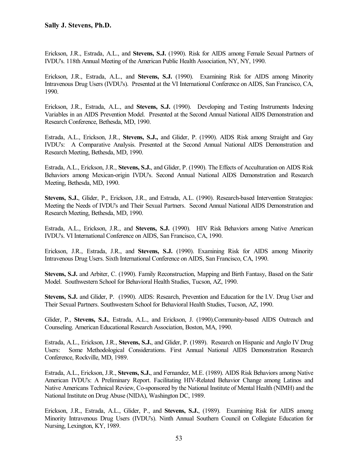Erickson, J.R., Estrada, A.L., and **Stevens, S.J.** (1990). Risk for AIDS among Female Sexual Partners of IVDU's. 118th Annual Meeting of the American Public Health Association, NY, NY, 1990.

Erickson, J.R., Estrada, A.L., and **Stevens, S.J.** (1990). Examining Risk for AIDS among Minority Intravenous Drug Users (IVDU's). Presented at the VI International Conference on AIDS, San Francisco, CA, 1990.

Erickson, J.R., Estrada, A.L., and **Stevens, S.J.** (1990). Developing and Testing Instruments Indexing Variables in an AIDS Prevention Model. Presented at the Second Annual National AIDS Demonstration and Research Conference, Bethesda, MD, 1990.

Estrada, A.L., Erickson, J.R., **Stevens, S.J.,** and Glider, P. (1990). AIDS Risk among Straight and Gay IVDU's: A Comparative Analysis. Presented at the Second Annual National AIDS Demonstration and Research Meeting, Bethesda, MD, 1990.

Estrada, A.L., Erickson, J.R., **Stevens, S.J.**, and Glider, P. (1990). The Effects of Acculturation on AIDS Risk Behaviors among Mexican-origin IVDU's. Second Annual National AIDS Demonstration and Research Meeting, Bethesda, MD, 1990.

**Stevens, S.J.**, Glider, P., Erickson, J.R., and Estrada, A.L. (1990). Research-based Intervention Strategies: Meeting the Needs of IVDU's and Their Sexual Partners. Second Annual National AIDS Demonstration and Research Meeting, Bethesda, MD, 1990.

Estrada, A.L., Erickson, J.R., and **Stevens, S.J.** (1990). HIV Risk Behaviors among Native American IVDU's. VI International Conference on AIDS, San Francisco, CA, 1990.

Erickson, J.R., Estrada, J.R., and **Stevens, S.J.** (1990). Examining Risk for AIDS among Minority Intravenous Drug Users. Sixth International Conference on AIDS, San Francisco, CA, 1990.

**Stevens, S.J.** and Arbiter, C. (1990). Family Reconstruction, Mapping and Birth Fantasy, Based on the Satir Model. Southwestern School for Behavioral Health Studies, Tucson, AZ, 1990.

**Stevens, S.J.** and Glider, P. (1990). AIDS: Research, Prevention and Education for the I.V. Drug User and Their Sexual Partners. Southwestern School for Behavioral Health Studies, Tucson, AZ, 1990.

Glider, P., **Stevens, S.J.**, Estrada, A.L., and Erickson, J. (1990).Community-based AIDS Outreach and Counseling. American Educational Research Association, Boston, MA, 1990.

Estrada, A.L., Erickson, J.R., **Stevens, S.J.**, and Glider, P. (1989). Research on Hispanic and Anglo IV Drug Users: Some Methodological Considerations. First Annual National AIDS Demonstration Research Conference, Rockville, MD, 1989.

Estrada, A.L., Erickson, J.R., **Stevens, S.J.**, and Fernandez, M.E. (1989). AIDS Risk Behaviors among Native American IVDU's: A Preliminary Report. Facilitating HIV-Related Behavior Change among Latinos and Native Americans Technical Review, Co-sponsored by the National Institute of Mental Health (NIMH) and the National Institute on Drug Abuse (NIDA), Washington DC, 1989.

Erickson, J.R., Estrada, A.L., Glider, P., and **Stevens, S.J.**, (1989). Examining Risk for AIDS among Minority Intravenous Drug Users (IVDU's). Ninth Annual Southern Council on Collegiate Education for Nursing, Lexington, KY, 1989.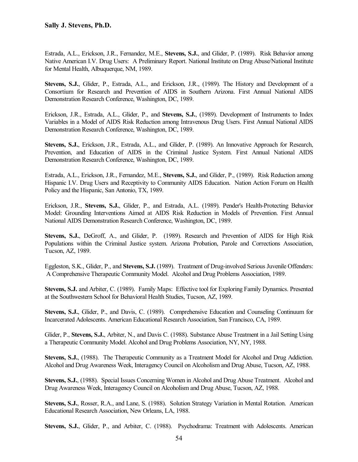Estrada, A.L., Erickson, J.R., Fernandez, M.E., **Stevens, S.J.**, and Glider, P. (1989). Risk Behavior among Native American I.V. Drug Users: A Preliminary Report. National Institute on Drug Abuse/National Institute for Mental Health, Albuquerque, NM, 1989.

**Stevens, S.J.**, Glider, P., Estrada, A.L., and Erickson, J.R., (1989). The History and Development of a Consortium for Research and Prevention of AIDS in Southern Arizona. First Annual National AIDS Demonstration Research Conference, Washington, DC, 1989.

Erickson, J.R., Estrada, A.L., Glider, P., and **Stevens, S.J.**, (1989). Development of Instruments to Index Variables in a Model of AIDS Risk Reduction among Intravenous Drug Users. First Annual National AIDS Demonstration Research Conference, Washington, DC, 1989.

**Stevens, S.J.**, Erickson, J.R., Estrada, A.L., and Glider, P. (1989). An Innovative Approach for Research, Prevention, and Education of AIDS in the Criminal Justice System. First Annual National AIDS Demonstration Research Conference, Washington, DC, 1989.

Estrada, A.L., Erickson, J.R., Fernandez, M.E., **Stevens, S.J.**, and Glider, P., (1989). Risk Reduction among Hispanic I.V. Drug Users and Receptivity to Community AIDS Education. Nation Action Forum on Health Policy and the Hispanic, San Antonio, TX, 1989.

Erickson, J.R., **Stevens, S.J.**, Glider, P., and Estrada, A.L. (1989). Pender's Health-Protecting Behavior Model: Grounding Interventions Aimed at AIDS Risk Reduction in Models of Prevention. First Annual National AIDS Demonstration Research Conference, Washington, DC, 1989.

**Stevens, S.J.**, DeGroff, A., and Glider, P. (1989). Research and Prevention of AIDS for High Risk Populations within the Criminal Justice system. Arizona Probation, Parole and Corrections Association, Tucson, AZ, 1989.

Eggleston, S.K., Glider, P., and **Stevens, S.J.** (1989). Treatment of Drug-involved Serious Juvenile Offenders: A Comprehensive Therapeutic Community Model. Alcohol and Drug Problems Association, 1989.

**Stevens, S.J.** and Arbiter, C. (1989). Family Maps: Effective tool for Exploring Family Dynamics. Presented at the Southwestern School for Behavioral Health Studies, Tucson, AZ, 1989.

**Stevens, S.J.**, Glider, P., and Davis, C. (1989). Comprehensive Education and Counseling Continuum for Incarcerated Adolescents. American Educational Research Association, San Francisco, CA, 1989.

Glider, P., **Stevens, S.J.**, Arbiter, N., and Davis C. (1988). Substance Abuse Treatment in a Jail Setting Using a Therapeutic Community Model. Alcohol and Drug Problems Association, NY, NY, 1988.

**Stevens, S.J.**, (1988). The Therapeutic Community as a Treatment Model for Alcohol and Drug Addiction. Alcohol and Drug Awareness Week, Interagency Council on Alcoholism and Drug Abuse, Tucson, AZ, 1988.

**Stevens, S.J.**, (1988). Special Issues Concerning Women in Alcohol and Drug Abuse Treatment. Alcohol and Drug Awareness Week, Interagency Council on Alcoholism and Drug Abuse, Tucson, AZ, 1988.

**Stevens, S.J.**, Rosser, R.A., and Lane, S. (1988). Solution Strategy Variation in Mental Rotation. American Educational Research Association, New Orleans, LA, 1988.

**Stevens, S.J.**, Glider, P., and Arbiter, C. (1988). Psychodrama: Treatment with Adolescents. American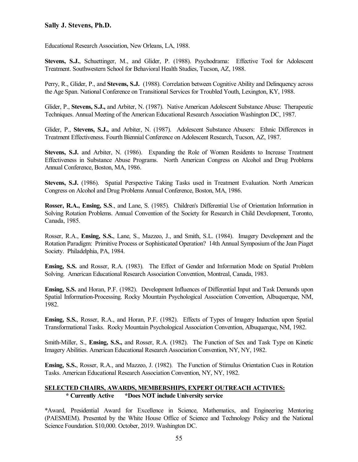Educational Research Association, New Orleans, LA, 1988.

**Stevens, S.J.**, Schuettinger, M., and Glider, P. (1988). Psychodrama: Effective Tool for Adolescent Treatment. Southwestern School for Behavioral Health Studies, Tucson, AZ, 1988.

Perry, R., Glider, P., and **Stevens, S.J.** (1988). Correlation between Cognitive Ability and Delinquency across the Age Span. National Conference on Transitional Services for Troubled Youth, Lexington, KY, 1988.

Glider, P., **Stevens, S.J.,** and Arbiter, N. (1987). Native American Adolescent Substance Abuse: Therapeutic Techniques. Annual Meeting of the American Educational Research Association Washington DC, 1987.

Glider, P., **Stevens, S.J.,** and Arbiter, N. (1987). Adolescent Substance Abusers: Ethnic Differences in Treatment Effectiveness. Fourth Biennial Conference on Adolescent Research, Tucson, AZ, 1987.

**Stevens, S.J.** and Arbiter, N. (1986). Expanding the Role of Women Residents to Increase Treatment Effectiveness in Substance Abuse Programs. North American Congress on Alcohol and Drug Problems Annual Conference, Boston, MA, 1986.

**Stevens, S.J.** (1986). Spatial Perspective Taking Tasks used in Treatment Evaluation. North American Congress on Alcohol and Drug Problems Annual Conference, Boston, MA, 1986.

**Rosser, R.A., Ensing, S.S**., and Lane, S. (1985). Children's Differential Use of Orientation Information in Solving Rotation Problems. Annual Convention of the Society for Research in Child Development, Toronto, Canada, 1985.

Rosser, R.A., **Ensing, S.S.**, Lane, S., Mazzeo, J., and Smith, S.L. (1984). Imagery Development and the Rotation Paradigm: Primitive Process or Sophisticated Operation? 14th Annual Symposium of the Jean Piaget Society. Philadelphia, PA, 1984.

**Ensing, S.S.** and Rosser, R.A. (1983). The Effect of Gender and Information Mode on Spatial Problem Solving. American Educational Research Association Convention, Montreal, Canada, 1983.

**Ensing, S.S.** and Horan, P.F. (1982). Development Influences of Differential Input and Task Demands upon Spatial Information-Processing. Rocky Mountain Psychological Association Convention, Albuquerque, NM, 1982.

**Ensing, S.S.**, Rosser, R.A., and Horan, P.F. (1982). Effects of Types of Imagery Induction upon Spatial Transformational Tasks. Rocky Mountain Psychological Association Convention, Albuquerque, NM, 1982.

Smith-Miller, S., **Ensing, S.S.,** and Rosser, R.A. (1982). The Function of Sex and Task Type on Kinetic Imagery Abilities. American Educational Research Association Convention, NY, NY, 1982.

**Ensing, S.S.**, Rosser, R.A., and Mazzeo, J. (1982). The Function of Stimulus Orientation Cues in Rotation Tasks. American Educational Research Association Convention, NY, NY, 1982.

#### **SELECTED CHAIRS, AWARDS, MEMBERSHIPS, EXPERT OUTREACH ACTIVIES: \* Currently Active \*Does NOT include University service**

\*Award, Presidential Award for Excellence in Science, Mathematics, and Engineering Mentoring (PAESMEM). Presented by the White House Office of Science and Technology Policy and the National Science Foundation. \$10,000. October, 2019. Washington DC.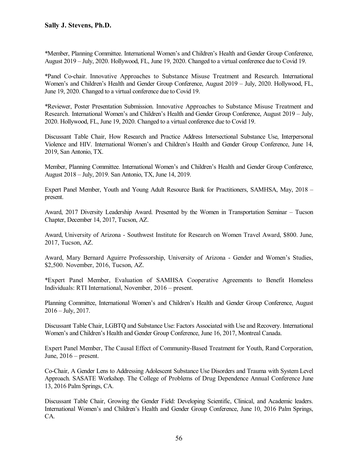\*Member, Planning Committee. International Women's and Children's Health and Gender Group Conference, August 2019 – July, 2020. Hollywood, FL, June 19, 2020. Changed to a virtual conference due to Covid 19.

\*Panel Co-chair. Innovative Approaches to Substance Misuse Treatment and Research. International Women's and Children's Health and Gender Group Conference, August 2019 – July, 2020. Hollywood, FL, June 19, 2020. Changed to a virtual conference due to Covid 19.

\*Reviewer, Poster Presentation Submission. Innovative Approaches to Substance Misuse Treatment and Research. International Women's and Children's Health and Gender Group Conference, August 2019 – July, 2020. Hollywood, FL, June 19, 2020. Changed to a virtual conference due to Covid 19.

Discussant Table Chair, How Research and Practice Address Intersectional Substance Use, Interpersonal Violence and HIV. International Women's and Children's Health and Gender Group Conference, June 14, 2019, San Antonio, TX.

Member, Planning Committee. International Women's and Children's Health and Gender Group Conference, August 2018 – July, 2019. San Antonio, TX, June 14, 2019.

Expert Panel Member, Youth and Young Adult Resource Bank for Practitioners, SAMHSA, May, 2018 – present.

Award, 2017 Diversity Leadership Award. Presented by the Women in Transportation Seminar – Tucson Chapter, December 14, 2017, Tucson, AZ.

Award, University of Arizona - Southwest Institute for Research on Women Travel Award, \$800. June, 2017, Tucson, AZ.

Award, Mary Bernard Aguirre Professorship, University of Arizona - Gender and Women's Studies, \$2,500. November, 2016, Tucson, AZ.

\*Expert Panel Member, Evaluation of SAMHSA Cooperative Agreements to Benefit Homeless Individuals: RTI International, November, 2016 – present.

Planning Committee, International Women's and Children's Health and Gender Group Conference, August  $2016 - July, 2017.$ 

Discussant Table Chair, LGBTQ and Substance Use: Factors Associated with Use and Recovery. International Women's and Children's Health and Gender Group Conference, June 16, 2017, Montreal Canada.

Expert Panel Member, The Causal Effect of Community-Based Treatment for Youth, Rand Corporation, June,  $2016$  – present.

Co-Chair, A Gender Lens to Addressing Adolescent Substance Use Disorders and Trauma with System Level Approach. SASATE Workshop. The College of Problems of Drug Dependence Annual Conference June 13, 2016 Palm Springs, CA.

Discussant Table Chair, Growing the Gender Field: Developing Scientific, Clinical, and Academic leaders. International Women's and Children's Health and Gender Group Conference, June 10, 2016 Palm Springs, CA.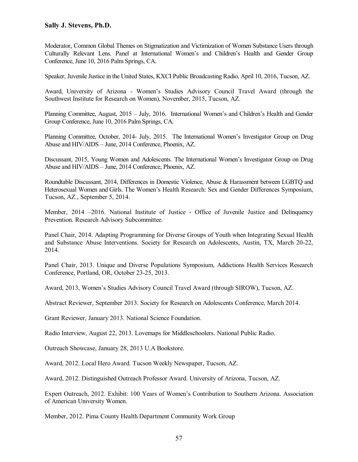Moderator, Common Global Themes on Stigmatization and Victimization of Women Substance Users through Culturally Relevant Lens. Panel at International Women's and Children's Health and Gender Group Conference, June 10, 2016 Palm Springs, CA.

Speaker, Juvenile Justice in the United States, KXCI Public Broadcasting Radio, April 10, 2016, Tucson, AZ.

Award, University of Arizona - Women's Studies Advisory Council Travel Award (through the Southwest Institute for Research on Women), November, 2015, Tucson, AZ.

Planning Committee, August, 2015 – July, 2016. International Women's and Children's Health and Gender Group Conference, June 10, 2016 Palm Springs, CA.

Planning Committee, October, 2014- July, 2015. The International Women's Investigator Group on Drug Abuse and HIV/AIDS – June, 2014 Conference, Phoenix, AZ.

Discussant, 2015, Young Women and Adolescents. The International Women's Investigator Group on Drug Abuse and HIV/AIDS – June, 2014 Conference, Phoenix, AZ.

Roundtable Discussant, 2014, Differences in Domestic Violence, Abuse & Harassment between LGBTQ and Heterosexual Women and Girls. The Women's Health Research: Sex and Gender Differences Symposium, Tucson, AZ., September 5, 2014.

Member, 2014 –2016. National Institute of Justice - Office of Juvenile Justice and Delinquency Prevention. Research Advisory Subcommittee.

Panel Chair, 2014. Adapting Programming for Diverse Groups of Youth when Integrating Sexual Health and Substance Abuse Interventions. Society for Research on Adolescents, Austin, TX, March 20-22, 2014.

Panel Chair, 2013. Unique and Diverse Populations Symposium, Addictions Health Services Research Conference, Portland, OR, October 23-25, 2013.

Award, 2013, Women's Studies Advisory Council Travel Award (through SIROW), Tucson, AZ.

Abstract Reviewer, September 2013. Society for Research on Adolescents Conference, March 2014.

Grant Reviewer, January 2013. National Science Foundation.

Radio Interview, August 22, 2013. Lovemaps for Middleschoolers. National Public Radio.

Outreach Showcase, January 28, 2013 U.A Bookstore.

Award, 2012. Local Hero Award. Tucson Weekly Newspaper, Tucson, AZ.

Award, 2012. Distinguished Outreach Professor Award. University of Arizona, Tucson, AZ.

Expert Outreach, 2012. Exhibit: 100 Years of Women's Contribution to Southern Arizona. Association of American University Women.

Member, 2012. Pima County Health Department Community Work Group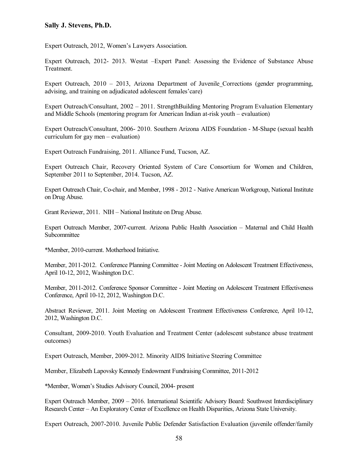Expert Outreach, 2012, Women's Lawyers Association.

Expert Outreach, 2012- 2013. Westat –Expert Panel: Assessing the Evidence of Substance Abuse Treatment.

Expert Outreach, 2010 – 2013, Arizona Department of Juvenile Corrections (gender programming, advising, and training on adjudicated adolescent females'care)

Expert Outreach/Consultant, 2002 – 2011. StrengthBuilding Mentoring Program Evaluation Elementary and Middle Schools (mentoring program for American Indian at-risk youth – evaluation)

Expert Outreach/Consultant, 2006- 2010. Southern Arizona AIDS Foundation - M-Shape (sexual health curriculum for gay men – evaluation)

Expert Outreach Fundraising, 2011. Alliance Fund, Tucson, AZ.

Expert Outreach Chair, Recovery Oriented System of Care Consortium for Women and Children, September 2011 to September, 2014. Tucson, AZ.

Expert Outreach Chair, Co-chair, and Member, 1998 - 2012 - Native American Workgroup, National Institute on Drug Abuse.

Grant Reviewer, 2011. NIH – National Institute on Drug Abuse.

Expert Outreach Member, 2007-current. Arizona Public Health Association – Maternal and Child Health Subcommittee

\*Member, 2010-current. Motherhood Initiative.

Member, 2011-2012. Conference Planning Committee - Joint Meeting on Adolescent Treatment Effectiveness, April 10-12, 2012, Washington D.C.

Member, 2011-2012. Conference Sponsor Committee - Joint Meeting on Adolescent Treatment Effectiveness Conference, April 10-12, 2012, Washington D.C.

Abstract Reviewer, 2011. Joint Meeting on Adolescent Treatment Effectiveness Conference, April 10-12, 2012, Washington D.C.

Consultant, 2009-2010. Youth Evaluation and Treatment Center (adolescent substance abuse treatment outcomes)

Expert Outreach, Member, 2009-2012. Minority AIDS Initiative Steering Committee

Member, Elizabeth Lapovsky Kennedy Endowment Fundraising Committee, 2011-2012

\*Member, Women's Studies Advisory Council, 2004- present

Expert Outreach Member, 2009 – 2016. International Scientific Advisory Board: Southwest Interdisciplinary Research Center – An Exploratory Center of Excellence on Health Disparities, Arizona State University.

Expert Outreach, 2007-2010. Juvenile Public Defender Satisfaction Evaluation (juvenile offender/family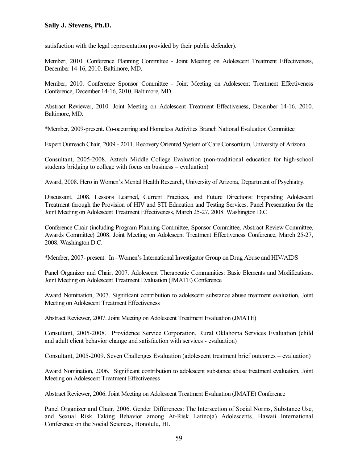satisfaction with the legal representation provided by their public defender).

Member, 2010. Conference Planning Committee - Joint Meeting on Adolescent Treatment Effectiveness, December 14-16, 2010. Baltimore, MD.

Member, 2010. Conference Sponsor Committee - Joint Meeting on Adolescent Treatment Effectiveness Conference, December 14-16, 2010. Baltimore, MD.

Abstract Reviewer, 2010. Joint Meeting on Adolescent Treatment Effectiveness, December 14-16, 2010. Baltimore, MD.

\*Member, 2009-present. Co-occurring and Homeless Activities Branch National Evaluation Committee

Expert Outreach Chair, 2009 - 2011. Recovery Oriented System of Care Consortium, University of Arizona.

Consultant, 2005-2008. Aztech Middle College Evaluation (non-traditional education for high-school students bridging to college with focus on business – evaluation)

Award, 2008. Hero in Women's Mental Health Research, University of Arizona, Department of Psychiatry.

Discussant, 2008. Lessons Learned, Current Practices, and Future Directions: Expanding Adolescent Treatment through the Provision of HIV and STI Education and Testing Services. Panel Presentation for the Joint Meeting on Adolescent Treatment Effectiveness, March 25-27, 2008. Washington D.C

Conference Chair (including Program Planning Committee, Sponsor Committee, Abstract Review Committee, Awards Committee) 2008. Joint Meeting on Adolescent Treatment Effectiveness Conference, March 25-27, 2008. Washington D.C.

\*Member, 2007- present. In –Women's International Investigator Group on Drug Abuse and HIV/AIDS

Panel Organizer and Chair, 2007. Adolescent Therapeutic Communities: Basic Elements and Modifications. Joint Meeting on Adolescent Treatment Evaluation (JMATE) Conference

Award Nomination, 2007. Significant contribution to adolescent substance abuse treatment evaluation, Joint Meeting on Adolescent Treatment Effectiveness

Abstract Reviewer, 2007. Joint Meeting on Adolescent Treatment Evaluation (JMATE)

Consultant, 2005-2008. Providence Service Corporation. Rural Oklahoma Services Evaluation (child and adult client behavior change and satisfaction with services - evaluation)

Consultant, 2005-2009. Seven Challenges Evaluation (adolescent treatment brief outcomes – evaluation)

Award Nomination, 2006. Significant contribution to adolescent substance abuse treatment evaluation, Joint Meeting on Adolescent Treatment Effectiveness

Abstract Reviewer, 2006. Joint Meeting on Adolescent Treatment Evaluation (JMATE) Conference

Panel Organizer and Chair, 2006. Gender Differences: The Intersection of Social Norms, Substance Use, and Sexual Risk Taking Behavior among At-Risk Latino(a) Adolescents. Hawaii International Conference on the Social Sciences, Honolulu, HI.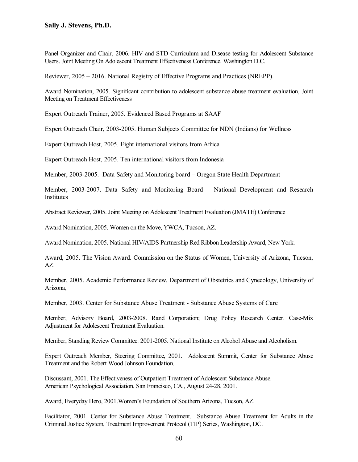Panel Organizer and Chair, 2006. HIV and STD Curriculum and Disease testing for Adolescent Substance Users. Joint Meeting On Adolescent Treatment Effectiveness Conference. Washington D.C.

Reviewer, 2005 – 2016. National Registry of Effective Programs and Practices (NREPP).

Award Nomination, 2005. Significant contribution to adolescent substance abuse treatment evaluation, Joint Meeting on Treatment Effectiveness

Expert Outreach Trainer, 2005. Evidenced Based Programs at SAAF

Expert Outreach Chair, 2003-2005. Human Subjects Committee for NDN (Indians) for Wellness

Expert Outreach Host, 2005. Eight international visitors from Africa

Expert Outreach Host, 2005. Ten international visitors from Indonesia

Member, 2003-2005. Data Safety and Monitoring board – Oregon State Health Department

Member, 2003-2007. Data Safety and Monitoring Board – National Development and Research Institutes

Abstract Reviewer, 2005. Joint Meeting on Adolescent Treatment Evaluation (JMATE) Conference

Award Nomination, 2005. Women on the Move, YWCA, Tucson, AZ.

Award Nomination, 2005. National HIV/AIDS Partnership Red Ribbon Leadership Award, New York.

Award, 2005. The Vision Award. Commission on the Status of Women, University of Arizona, Tucson, AZ.

Member, 2005. Academic Performance Review, Department of Obstetrics and Gynecology, University of Arizona,

Member, 2003. Center for Substance Abuse Treatment - Substance Abuse Systems of Care

Member, Advisory Board, 2003-2008. Rand Corporation; Drug Policy Research Center. Case-Mix Adjustment for Adolescent Treatment Evaluation.

Member, Standing Review Committee. 2001-2005. National Institute on Alcohol Abuse and Alcoholism.

Expert Outreach Member, Steering Committee, 2001. Adolescent Summit, Center for Substance Abuse Treatment and the Robert Wood Johnson Foundation.

Discussant, 2001. The Effectiveness of Outpatient Treatment of Adolescent Substance Abuse. American Psychological Association, San Francisco, CA., August 24-28, 2001.

Award, Everyday Hero, 2001.Women's Foundation of Southern Arizona, Tucson, AZ.

Facilitator, 2001. Center for Substance Abuse Treatment. Substance Abuse Treatment for Adults in the Criminal Justice System, Treatment Improvement Protocol (TIP) Series, Washington, DC.